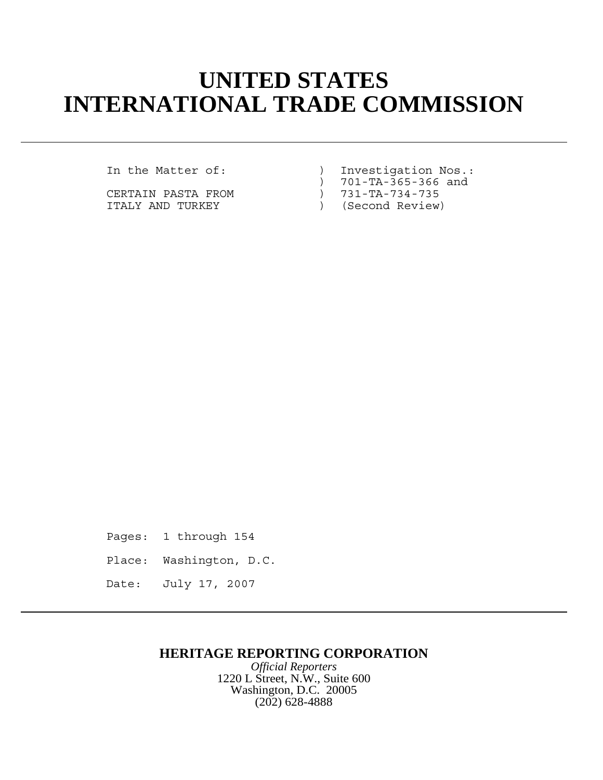## **UNITED STATES INTERNATIONAL TRADE COMMISSION**

CERTAIN PASTA FROM ITALY AND TURKEY ) (Second Review)

In the Matter of: ) Investigation Nos.:

) 701-TA-365-366 and<br>) 731-TA-734-735

Pages: 1 through 154 Place: Washington, D.C. Date: July 17, 2007

## **HERITAGE REPORTING CORPORATION**

*Official Reporters* 1220 L Street, N.W., Suite 600 Washington, D.C. 20005 (202) 628-4888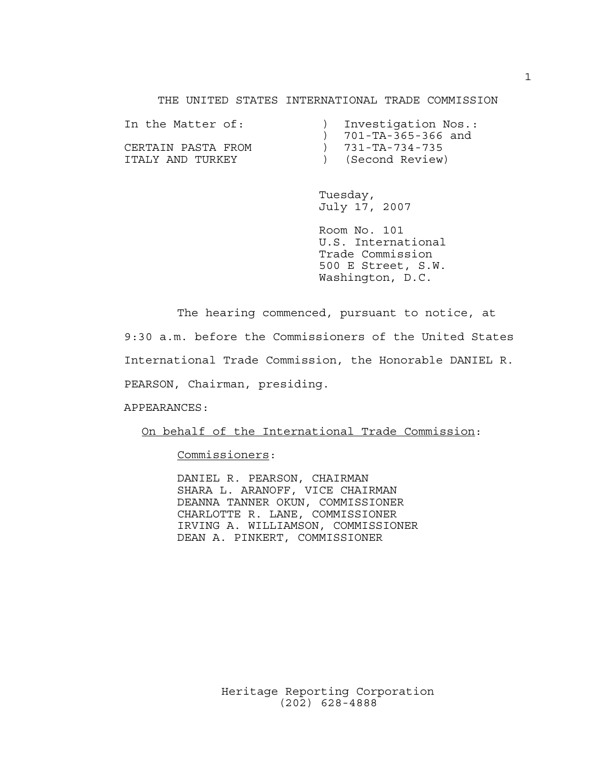THE UNITED STATES INTERNATIONAL TRADE COMMISSION

| In the Matter of:  | Investigation Nos.:      |
|--------------------|--------------------------|
|                    | 701-TA-365-366 and       |
| CERTAIN PASTA FROM | $) 731 - TA - 734 - 735$ |
| TTALY AND TURKEY   | (Second Review)          |

Tuesday, July 17, 2007

Room No. 101 U.S. International Trade Commission 500 E Street, S.W. Washington, D.C.

The hearing commenced, pursuant to notice, at

9:30 a.m. before the Commissioners of the United States International Trade Commission, the Honorable DANIEL R. PEARSON, Chairman, presiding.

APPEARANCES:

On behalf of the International Trade Commission:

Commissioners:

DANIEL R. PEARSON, CHAIRMAN SHARA L. ARANOFF, VICE CHAIRMAN DEANNA TANNER OKUN, COMMISSIONER CHARLOTTE R. LANE, COMMISSIONER IRVING A. WILLIAMSON, COMMISSIONER DEAN A. PINKERT, COMMISSIONER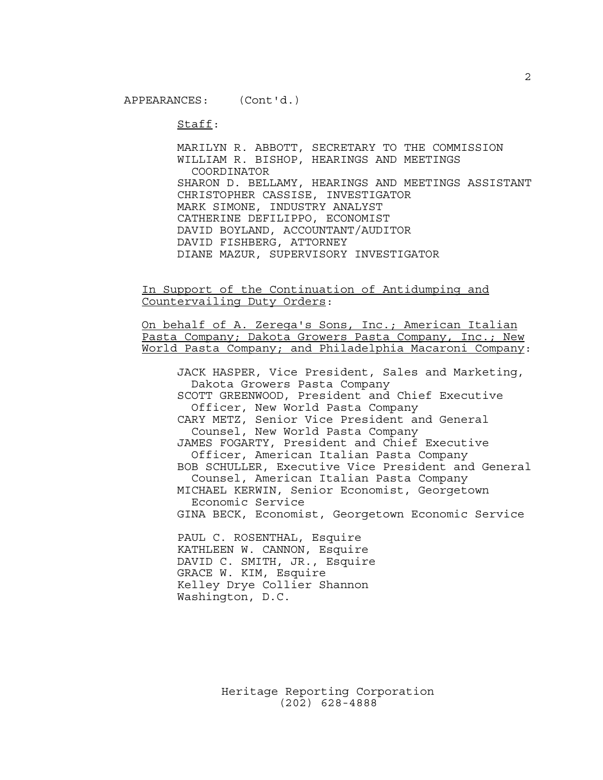Staff:

MARILYN R. ABBOTT, SECRETARY TO THE COMMISSION WILLIAM R. BISHOP, HEARINGS AND MEETINGS COORDINATOR SHARON D. BELLAMY, HEARINGS AND MEETINGS ASSISTANT CHRISTOPHER CASSISE, INVESTIGATOR MARK SIMONE, INDUSTRY ANALYST CATHERINE DEFILIPPO, ECONOMIST DAVID BOYLAND, ACCOUNTANT/AUDITOR DAVID FISHBERG, ATTORNEY DIANE MAZUR, SUPERVISORY INVESTIGATOR

In Support of the Continuation of Antidumping and Countervailing Duty Orders:

On behalf of A. Zerega's Sons, Inc.; American Italian Pasta Company; Dakota Growers Pasta Company, Inc.; New World Pasta Company; and Philadelphia Macaroni Company:

JACK HASPER, Vice President, Sales and Marketing, Dakota Growers Pasta Company SCOTT GREENWOOD, President and Chief Executive Officer, New World Pasta Company CARY METZ, Senior Vice President and General Counsel, New World Pasta Company JAMES FOGARTY, President and Chief Executive Officer, American Italian Pasta Company BOB SCHULLER, Executive Vice President and General Counsel, American Italian Pasta Company MICHAEL KERWIN, Senior Economist, Georgetown Economic Service GINA BECK, Economist, Georgetown Economic Service PAUL C. ROSENTHAL, Esquire

KATHLEEN W. CANNON, Esquire DAVID C. SMITH, JR., Esquire GRACE W. KIM, Esquire Kelley Drye Collier Shannon Washington, D.C.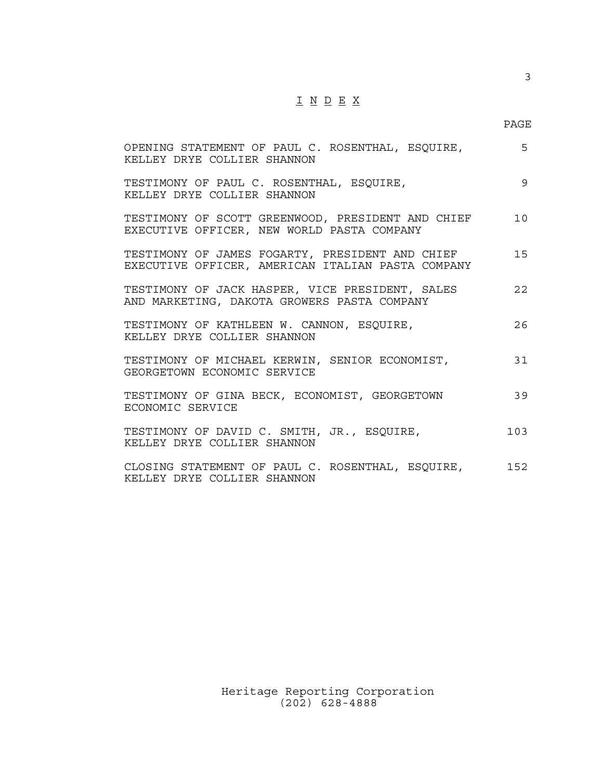## $\underline{\texttt{I}} \underline{\texttt{N}} \underline{\texttt{D}} \underline{\texttt{E}} \underline{\texttt{X}}$

3

| OPENING STATEMENT OF PAUL C. ROSENTHAL, ESQUIRE,<br>KELLEY DRYE COLLIER SHANNON                      | 5   |
|------------------------------------------------------------------------------------------------------|-----|
| TESTIMONY OF PAUL C. ROSENTHAL, ESQUIRE,<br>KELLEY DRYE COLLIFE SHANNON                              | 9   |
| TESTIMONY OF SCOTT GREENWOOD, PRESIDENT AND CHIEF<br>EXECUTIVE OFFICER, NEW WORLD PASTA COMPANY      | 10  |
| TESTIMONY OF JAMES FOGARTY, PRESIDENT AND CHIEF<br>EXECUTIVE OFFICER, AMERICAN ITALIAN PASTA COMPANY | 15  |
| TESTIMONY OF JACK HASPER, VICE PRESIDENT, SALES<br>AND MARKETING, DAKOTA GROWERS PASTA COMPANY       | 22  |
| TESTIMONY OF KATHLEEN W. CANNON, ESQUIRE,<br>KELLEY DRYE COLLIER SHANNON                             | 26  |
| TESTIMONY OF MICHAEL KERWIN, SENIOR ECONOMIST,<br>GEORGETOWN ECONOMIC SERVICE                        | 31  |
| TESTIMONY OF GINA BECK, ECONOMIST, GEORGETOWN<br>ECONOMIC SERVICE                                    | 39  |
| TESTIMONY OF DAVID C. SMITH, JR., ESQUIRE,<br>KELLEY DRYE COLLIFE SHANNON                            | 103 |
| CLOSING STATEMENT OF PAUL C. ROSENTHAL, ESQUIRE,<br>KELLEY DRYE COLLIER SHANNON                      | 152 |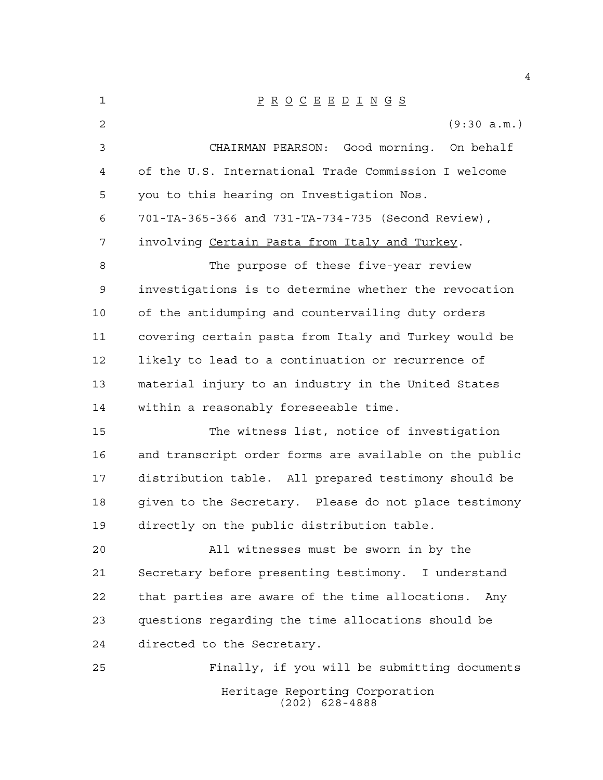| 1              | $\underline{P} \underline{R} \underline{O} \underline{C} \underline{E} \underline{E} \underline{D} \underline{I} \underline{N} \underline{G} \underline{S}$ |
|----------------|-------------------------------------------------------------------------------------------------------------------------------------------------------------|
| $\overline{2}$ | (9:30 a.m.)                                                                                                                                                 |
| 3              | CHAIRMAN PEARSON: Good morning. On behalf                                                                                                                   |
| 4              | of the U.S. International Trade Commission I welcome                                                                                                        |
| 5              | you to this hearing on Investigation Nos.                                                                                                                   |
| 6              | 701-TA-365-366 and 731-TA-734-735 (Second Review),                                                                                                          |
| 7              | involving Certain Pasta from Italy and Turkey.                                                                                                              |
| 8              | The purpose of these five-year review                                                                                                                       |
| 9              | investigations is to determine whether the revocation                                                                                                       |
| 10             | of the antidumping and countervailing duty orders                                                                                                           |
| 11             | covering certain pasta from Italy and Turkey would be                                                                                                       |
| 12             | likely to lead to a continuation or recurrence of                                                                                                           |
| 13             | material injury to an industry in the United States                                                                                                         |
| 14             | within a reasonably foreseeable time.                                                                                                                       |
| 15             | The witness list, notice of investigation                                                                                                                   |
| 16             | and transcript order forms are available on the public                                                                                                      |
| 17             | distribution table. All prepared testimony should be                                                                                                        |
| 18             | given to the Secretary. Please do not place testimony                                                                                                       |
| 19             | directly on the public distribution table.                                                                                                                  |
| 20             | All witnesses must be sworn in by the                                                                                                                       |
| 21             | Secretary before presenting testimony. I understand                                                                                                         |
| 22             | that parties are aware of the time allocations.<br>Any                                                                                                      |
| 23             | questions regarding the time allocations should be                                                                                                          |
| 24             | directed to the Secretary.                                                                                                                                  |
| 25             | Finally, if you will be submitting documents                                                                                                                |
|                | Heritage Reporting Corporation<br>$(202)$ 628-4888                                                                                                          |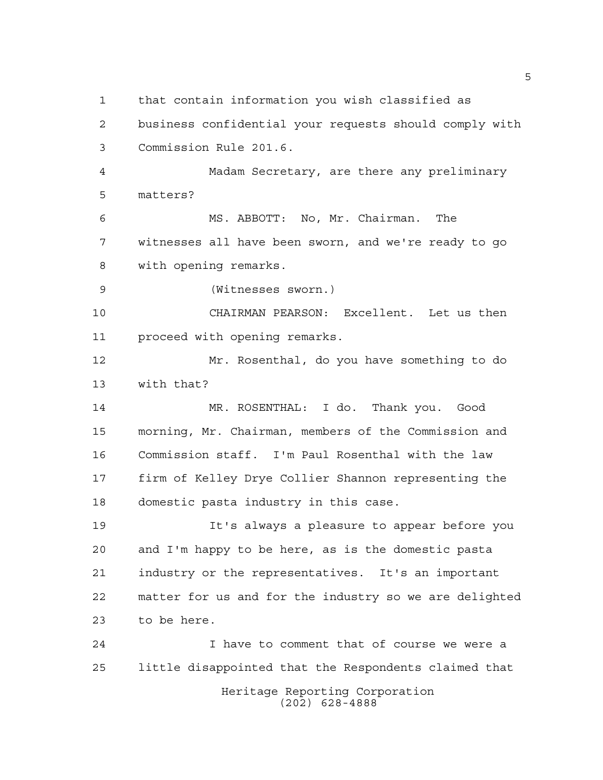that contain information you wish classified as

 business confidential your requests should comply with Commission Rule 201.6.

 Madam Secretary, are there any preliminary matters?

 MS. ABBOTT: No, Mr. Chairman. The witnesses all have been sworn, and we're ready to go with opening remarks.

(Witnesses sworn.)

 CHAIRMAN PEARSON: Excellent. Let us then proceed with opening remarks.

 Mr. Rosenthal, do you have something to do with that?

 MR. ROSENTHAL: I do. Thank you. Good morning, Mr. Chairman, members of the Commission and Commission staff. I'm Paul Rosenthal with the law firm of Kelley Drye Collier Shannon representing the domestic pasta industry in this case.

 It's always a pleasure to appear before you and I'm happy to be here, as is the domestic pasta industry or the representatives. It's an important matter for us and for the industry so we are delighted to be here.

Heritage Reporting Corporation (202) 628-4888 I have to comment that of course we were a little disappointed that the Respondents claimed that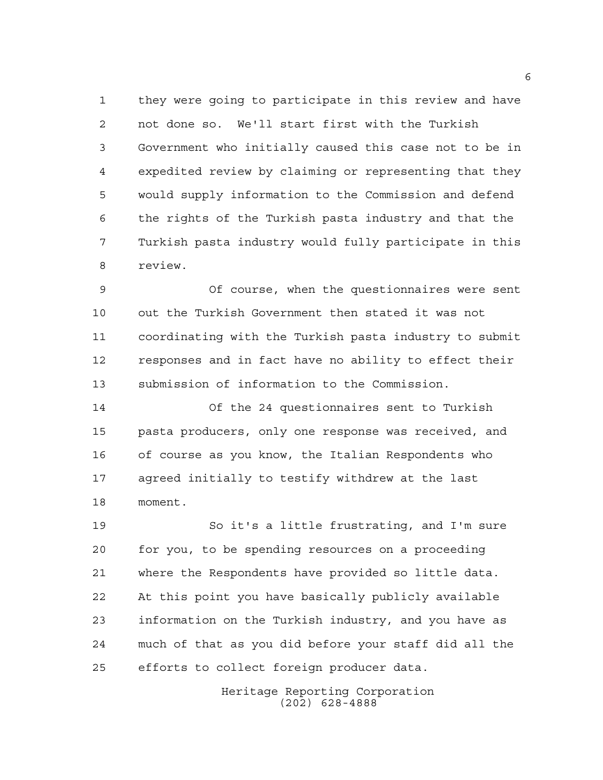they were going to participate in this review and have not done so. We'll start first with the Turkish Government who initially caused this case not to be in expedited review by claiming or representing that they would supply information to the Commission and defend the rights of the Turkish pasta industry and that the Turkish pasta industry would fully participate in this review.

 Of course, when the questionnaires were sent out the Turkish Government then stated it was not coordinating with the Turkish pasta industry to submit responses and in fact have no ability to effect their submission of information to the Commission.

 Of the 24 questionnaires sent to Turkish pasta producers, only one response was received, and of course as you know, the Italian Respondents who agreed initially to testify withdrew at the last moment.

 So it's a little frustrating, and I'm sure for you, to be spending resources on a proceeding where the Respondents have provided so little data. At this point you have basically publicly available information on the Turkish industry, and you have as much of that as you did before your staff did all the efforts to collect foreign producer data.

> Heritage Reporting Corporation (202) 628-4888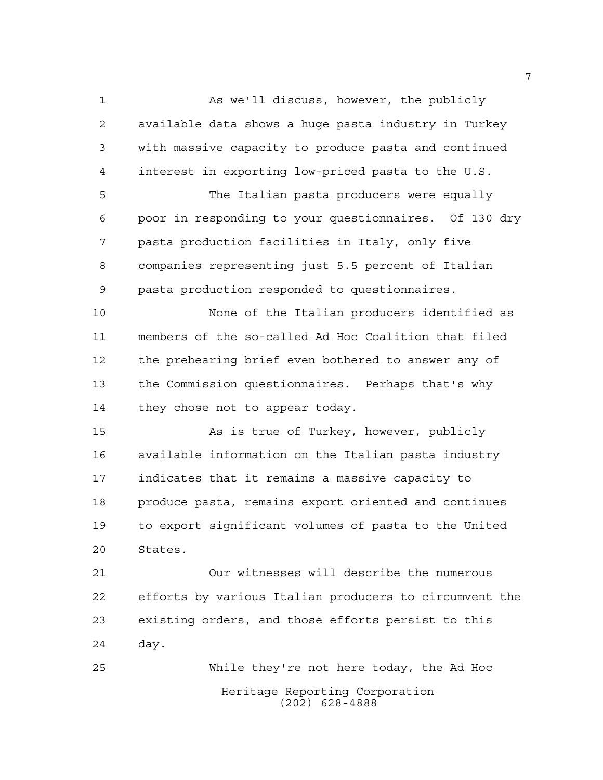As we'll discuss, however, the publicly available data shows a huge pasta industry in Turkey with massive capacity to produce pasta and continued interest in exporting low-priced pasta to the U.S. The Italian pasta producers were equally poor in responding to your questionnaires. Of 130 dry pasta production facilities in Italy, only five companies representing just 5.5 percent of Italian pasta production responded to questionnaires. None of the Italian producers identified as members of the so-called Ad Hoc Coalition that filed the prehearing brief even bothered to answer any of the Commission questionnaires. Perhaps that's why 14 they chose not to appear today. As is true of Turkey, however, publicly available information on the Italian pasta industry indicates that it remains a massive capacity to produce pasta, remains export oriented and continues to export significant volumes of pasta to the United States. Our witnesses will describe the numerous efforts by various Italian producers to circumvent the existing orders, and those efforts persist to this day. While they're not here today, the Ad Hoc

Heritage Reporting Corporation (202) 628-4888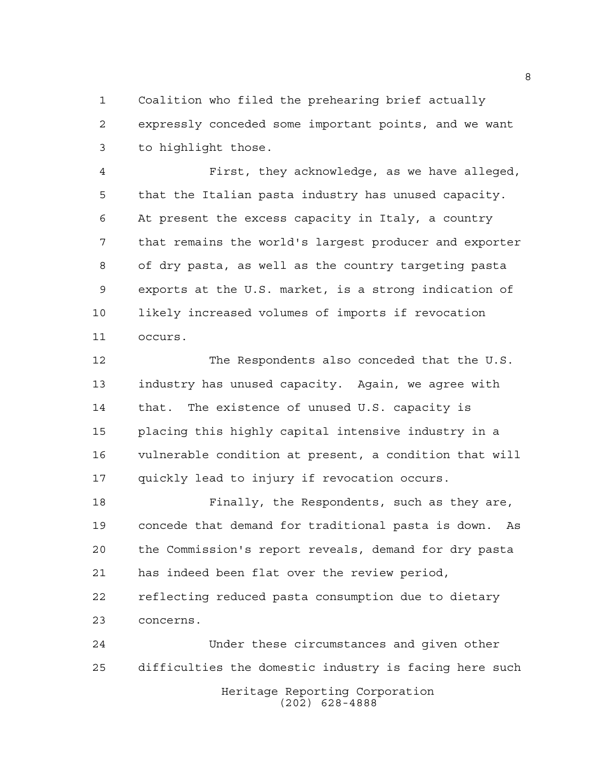Coalition who filed the prehearing brief actually expressly conceded some important points, and we want to highlight those.

 First, they acknowledge, as we have alleged, that the Italian pasta industry has unused capacity. At present the excess capacity in Italy, a country that remains the world's largest producer and exporter of dry pasta, as well as the country targeting pasta exports at the U.S. market, is a strong indication of likely increased volumes of imports if revocation occurs.

 The Respondents also conceded that the U.S. industry has unused capacity. Again, we agree with that. The existence of unused U.S. capacity is placing this highly capital intensive industry in a vulnerable condition at present, a condition that will quickly lead to injury if revocation occurs.

 Finally, the Respondents, such as they are, concede that demand for traditional pasta is down. As the Commission's report reveals, demand for dry pasta has indeed been flat over the review period, reflecting reduced pasta consumption due to dietary concerns.

Heritage Reporting Corporation (202) 628-4888 Under these circumstances and given other difficulties the domestic industry is facing here such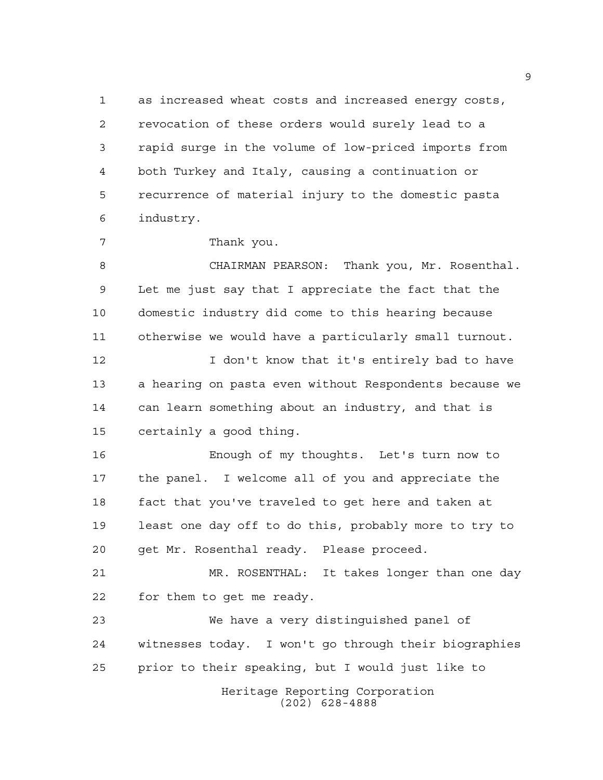as increased wheat costs and increased energy costs, revocation of these orders would surely lead to a rapid surge in the volume of low-priced imports from both Turkey and Italy, causing a continuation or recurrence of material injury to the domestic pasta industry.

Thank you.

 CHAIRMAN PEARSON: Thank you, Mr. Rosenthal. Let me just say that I appreciate the fact that the domestic industry did come to this hearing because otherwise we would have a particularly small turnout.

**I** don't know that it's entirely bad to have a hearing on pasta even without Respondents because we can learn something about an industry, and that is certainly a good thing.

 Enough of my thoughts. Let's turn now to the panel. I welcome all of you and appreciate the fact that you've traveled to get here and taken at least one day off to do this, probably more to try to get Mr. Rosenthal ready. Please proceed.

 MR. ROSENTHAL: It takes longer than one day for them to get me ready.

 We have a very distinguished panel of witnesses today. I won't go through their biographies prior to their speaking, but I would just like to

Heritage Reporting Corporation (202) 628-4888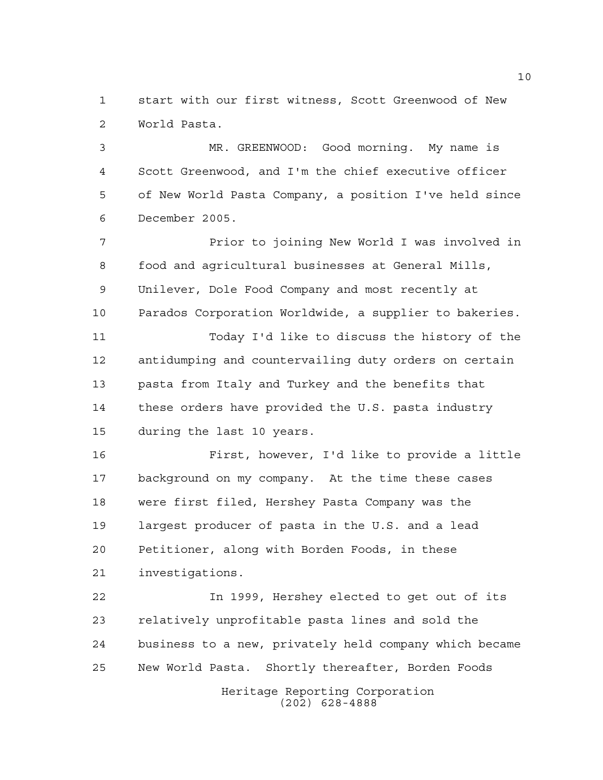start with our first witness, Scott Greenwood of New World Pasta.

 MR. GREENWOOD: Good morning. My name is Scott Greenwood, and I'm the chief executive officer of New World Pasta Company, a position I've held since December 2005.

7 Prior to joining New World I was involved in food and agricultural businesses at General Mills, Unilever, Dole Food Company and most recently at Parados Corporation Worldwide, a supplier to bakeries. Today I'd like to discuss the history of the

 antidumping and countervailing duty orders on certain pasta from Italy and Turkey and the benefits that these orders have provided the U.S. pasta industry during the last 10 years.

 First, however, I'd like to provide a little background on my company. At the time these cases were first filed, Hershey Pasta Company was the largest producer of pasta in the U.S. and a lead Petitioner, along with Borden Foods, in these investigations.

 In 1999, Hershey elected to get out of its relatively unprofitable pasta lines and sold the business to a new, privately held company which became New World Pasta. Shortly thereafter, Borden Foods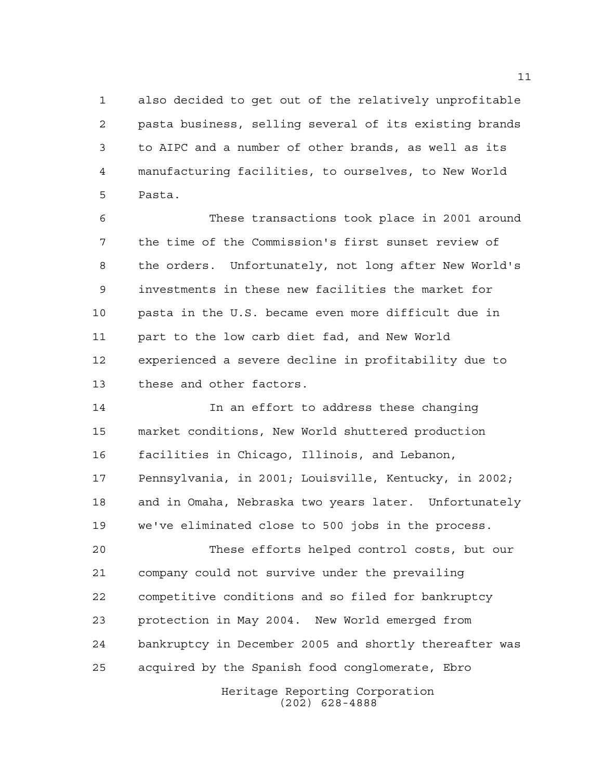also decided to get out of the relatively unprofitable pasta business, selling several of its existing brands to AIPC and a number of other brands, as well as its manufacturing facilities, to ourselves, to New World Pasta.

 These transactions took place in 2001 around the time of the Commission's first sunset review of the orders. Unfortunately, not long after New World's investments in these new facilities the market for pasta in the U.S. became even more difficult due in part to the low carb diet fad, and New World experienced a severe decline in profitability due to these and other factors.

 In an effort to address these changing market conditions, New World shuttered production facilities in Chicago, Illinois, and Lebanon, Pennsylvania, in 2001; Louisville, Kentucky, in 2002; and in Omaha, Nebraska two years later. Unfortunately we've eliminated close to 500 jobs in the process.

 These efforts helped control costs, but our company could not survive under the prevailing competitive conditions and so filed for bankruptcy protection in May 2004. New World emerged from bankruptcy in December 2005 and shortly thereafter was acquired by the Spanish food conglomerate, Ebro

> Heritage Reporting Corporation (202) 628-4888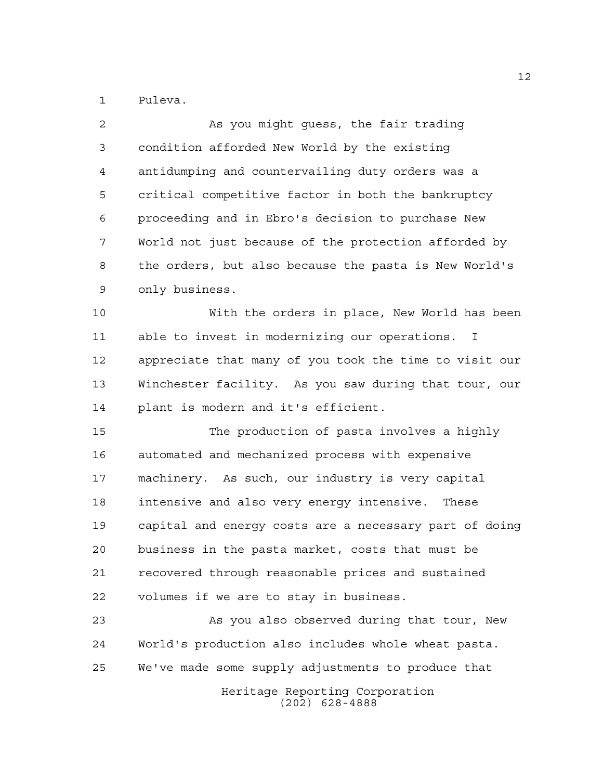Puleva.

| 2  | As you might guess, the fair trading                   |
|----|--------------------------------------------------------|
| 3  | condition afforded New World by the existing           |
| 4  | antidumping and countervailing duty orders was a       |
| 5  | critical competitive factor in both the bankruptcy     |
| 6  | proceeding and in Ebro's decision to purchase New      |
| 7  | World not just because of the protection afforded by   |
| 8  | the orders, but also because the pasta is New World's  |
| 9  | only business.                                         |
| 10 | With the orders in place, New World has been           |
| 11 | able to invest in modernizing our operations.<br>T.    |
| 12 | appreciate that many of you took the time to visit our |
| 13 | Winchester facility. As you saw during that tour, our  |
| 14 | plant is modern and it's efficient.                    |
| 15 | The production of pasta involves a highly              |
| 16 | automated and mechanized process with expensive        |
| 17 | machinery. As such, our industry is very capital       |
| 18 | intensive and also very energy intensive. These        |
| 19 | capital and energy costs are a necessary part of doing |
| 20 | business in the pasta market, costs that must be       |
| 21 | recovered through reasonable prices and sustained      |
| 22 | volumes if we are to stay in business.                 |
| 23 | As you also observed during that tour, New             |
| 24 | World's production also includes whole wheat pasta.    |
| 25 | We've made some supply adjustments to produce that     |
|    | Heritage Reporting Corporation<br>$(202)$ 628-4888     |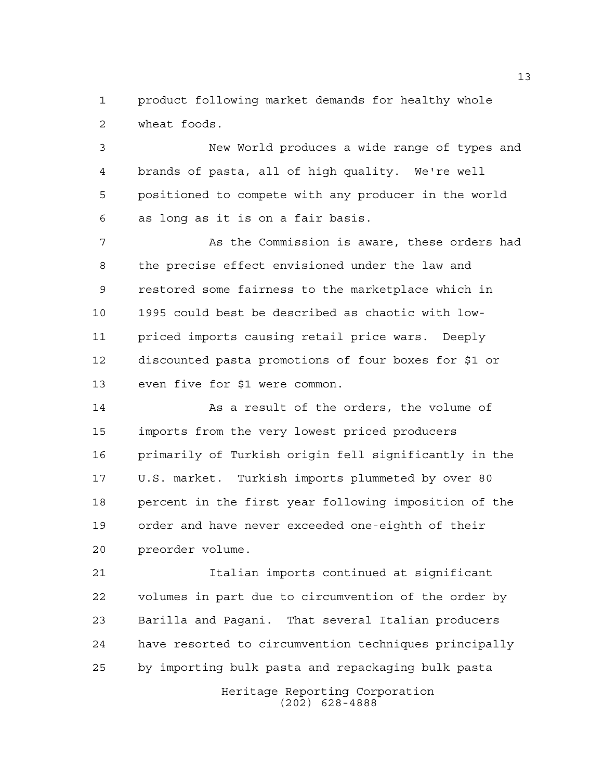product following market demands for healthy whole wheat foods.

 New World produces a wide range of types and brands of pasta, all of high quality. We're well positioned to compete with any producer in the world as long as it is on a fair basis.

 As the Commission is aware, these orders had the precise effect envisioned under the law and restored some fairness to the marketplace which in 1995 could best be described as chaotic with low- priced imports causing retail price wars. Deeply discounted pasta promotions of four boxes for \$1 or even five for \$1 were common.

 As a result of the orders, the volume of imports from the very lowest priced producers primarily of Turkish origin fell significantly in the U.S. market. Turkish imports plummeted by over 80 percent in the first year following imposition of the order and have never exceeded one-eighth of their preorder volume.

 Italian imports continued at significant volumes in part due to circumvention of the order by Barilla and Pagani. That several Italian producers have resorted to circumvention techniques principally by importing bulk pasta and repackaging bulk pasta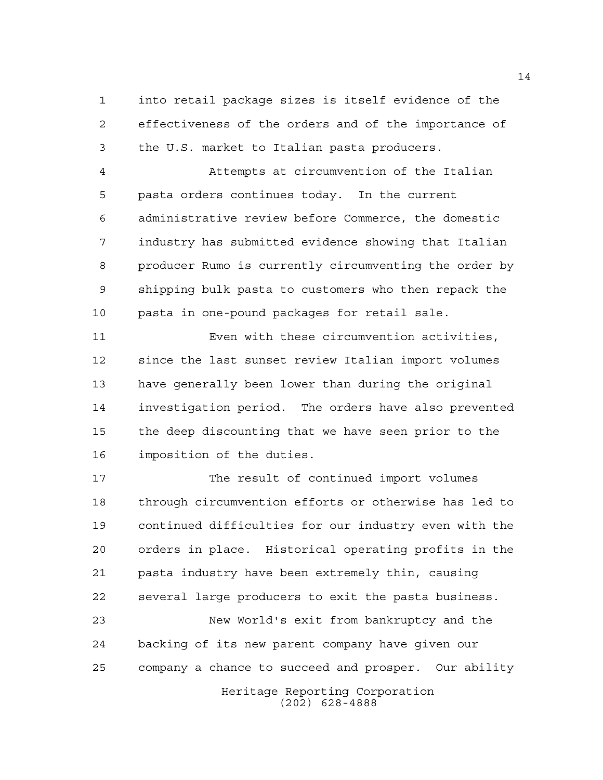into retail package sizes is itself evidence of the effectiveness of the orders and of the importance of the U.S. market to Italian pasta producers.

 Attempts at circumvention of the Italian pasta orders continues today. In the current administrative review before Commerce, the domestic industry has submitted evidence showing that Italian producer Rumo is currently circumventing the order by shipping bulk pasta to customers who then repack the pasta in one-pound packages for retail sale.

 Even with these circumvention activities, since the last sunset review Italian import volumes have generally been lower than during the original investigation period. The orders have also prevented the deep discounting that we have seen prior to the imposition of the duties.

 The result of continued import volumes through circumvention efforts or otherwise has led to continued difficulties for our industry even with the orders in place. Historical operating profits in the pasta industry have been extremely thin, causing several large producers to exit the pasta business.

 New World's exit from bankruptcy and the backing of its new parent company have given our company a chance to succeed and prosper. Our ability

> Heritage Reporting Corporation (202) 628-4888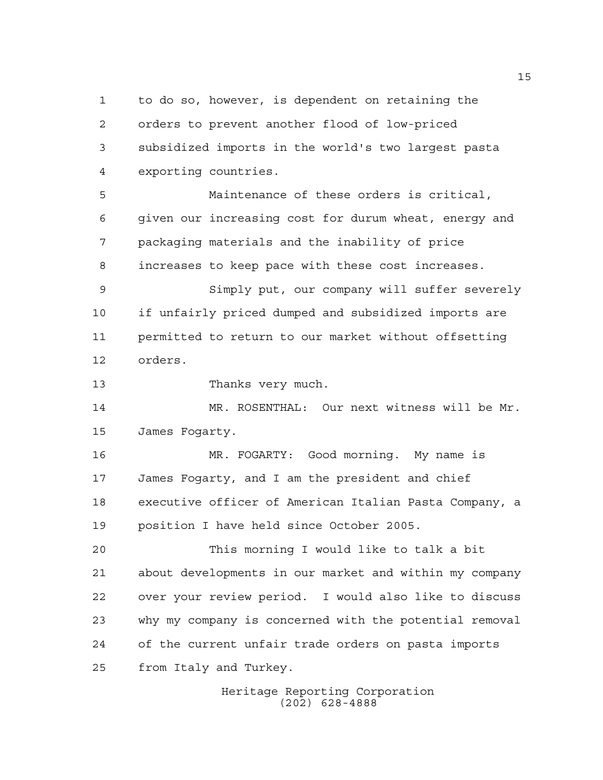to do so, however, is dependent on retaining the orders to prevent another flood of low-priced subsidized imports in the world's two largest pasta exporting countries.

 Maintenance of these orders is critical, given our increasing cost for durum wheat, energy and packaging materials and the inability of price increases to keep pace with these cost increases.

 Simply put, our company will suffer severely if unfairly priced dumped and subsidized imports are permitted to return to our market without offsetting orders.

13 Thanks very much.

 MR. ROSENTHAL: Our next witness will be Mr. James Fogarty.

 MR. FOGARTY: Good morning. My name is James Fogarty, and I am the president and chief executive officer of American Italian Pasta Company, a position I have held since October 2005.

 This morning I would like to talk a bit about developments in our market and within my company over your review period. I would also like to discuss why my company is concerned with the potential removal of the current unfair trade orders on pasta imports from Italy and Turkey.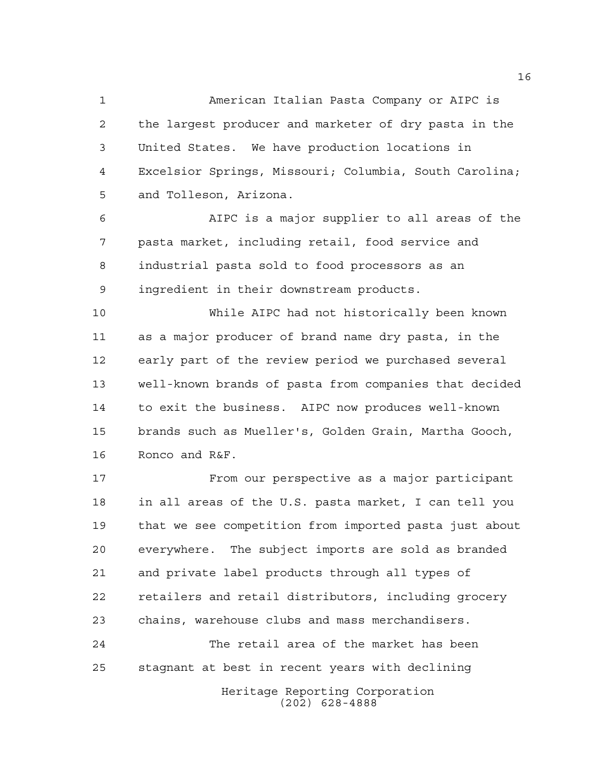American Italian Pasta Company or AIPC is the largest producer and marketer of dry pasta in the United States. We have production locations in Excelsior Springs, Missouri; Columbia, South Carolina; and Tolleson, Arizona.

 AIPC is a major supplier to all areas of the pasta market, including retail, food service and industrial pasta sold to food processors as an ingredient in their downstream products.

 While AIPC had not historically been known as a major producer of brand name dry pasta, in the early part of the review period we purchased several well-known brands of pasta from companies that decided to exit the business. AIPC now produces well-known brands such as Mueller's, Golden Grain, Martha Gooch, Ronco and R&F.

 From our perspective as a major participant in all areas of the U.S. pasta market, I can tell you that we see competition from imported pasta just about everywhere. The subject imports are sold as branded and private label products through all types of retailers and retail distributors, including grocery chains, warehouse clubs and mass merchandisers.

 The retail area of the market has been stagnant at best in recent years with declining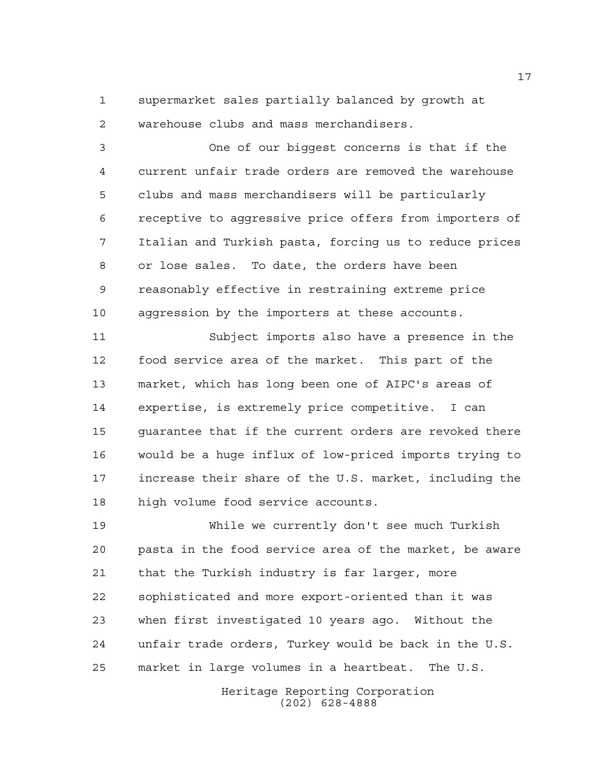supermarket sales partially balanced by growth at warehouse clubs and mass merchandisers.

 One of our biggest concerns is that if the current unfair trade orders are removed the warehouse clubs and mass merchandisers will be particularly receptive to aggressive price offers from importers of Italian and Turkish pasta, forcing us to reduce prices or lose sales. To date, the orders have been reasonably effective in restraining extreme price aggression by the importers at these accounts.

 Subject imports also have a presence in the food service area of the market. This part of the market, which has long been one of AIPC's areas of expertise, is extremely price competitive. I can guarantee that if the current orders are revoked there would be a huge influx of low-priced imports trying to increase their share of the U.S. market, including the high volume food service accounts.

 While we currently don't see much Turkish pasta in the food service area of the market, be aware that the Turkish industry is far larger, more sophisticated and more export-oriented than it was when first investigated 10 years ago. Without the unfair trade orders, Turkey would be back in the U.S. market in large volumes in a heartbeat. The U.S.

> Heritage Reporting Corporation (202) 628-4888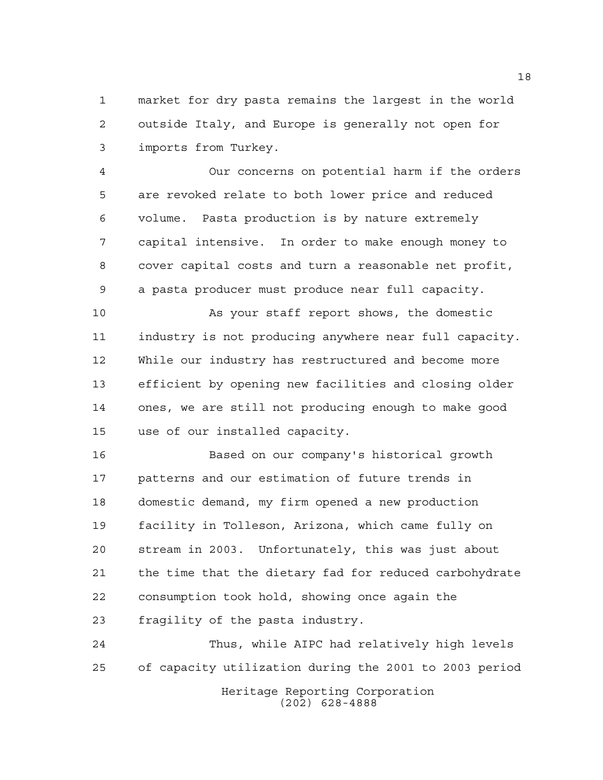market for dry pasta remains the largest in the world outside Italy, and Europe is generally not open for imports from Turkey.

 Our concerns on potential harm if the orders are revoked relate to both lower price and reduced volume. Pasta production is by nature extremely capital intensive. In order to make enough money to cover capital costs and turn a reasonable net profit, a pasta producer must produce near full capacity.

 As your staff report shows, the domestic industry is not producing anywhere near full capacity. While our industry has restructured and become more efficient by opening new facilities and closing older ones, we are still not producing enough to make good use of our installed capacity.

 Based on our company's historical growth patterns and our estimation of future trends in domestic demand, my firm opened a new production facility in Tolleson, Arizona, which came fully on stream in 2003. Unfortunately, this was just about the time that the dietary fad for reduced carbohydrate consumption took hold, showing once again the fragility of the pasta industry.

Heritage Reporting Corporation (202) 628-4888 Thus, while AIPC had relatively high levels of capacity utilization during the 2001 to 2003 period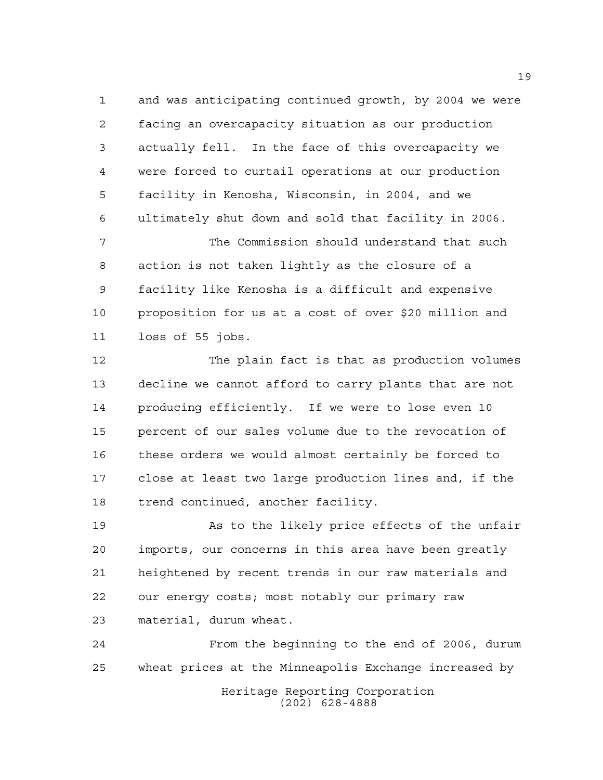and was anticipating continued growth, by 2004 we were facing an overcapacity situation as our production actually fell. In the face of this overcapacity we were forced to curtail operations at our production facility in Kenosha, Wisconsin, in 2004, and we ultimately shut down and sold that facility in 2006.

 The Commission should understand that such action is not taken lightly as the closure of a facility like Kenosha is a difficult and expensive proposition for us at a cost of over \$20 million and loss of 55 jobs.

 The plain fact is that as production volumes decline we cannot afford to carry plants that are not producing efficiently. If we were to lose even 10 percent of our sales volume due to the revocation of these orders we would almost certainly be forced to close at least two large production lines and, if the trend continued, another facility.

 As to the likely price effects of the unfair imports, our concerns in this area have been greatly heightened by recent trends in our raw materials and our energy costs; most notably our primary raw material, durum wheat.

Heritage Reporting Corporation (202) 628-4888 From the beginning to the end of 2006, durum wheat prices at the Minneapolis Exchange increased by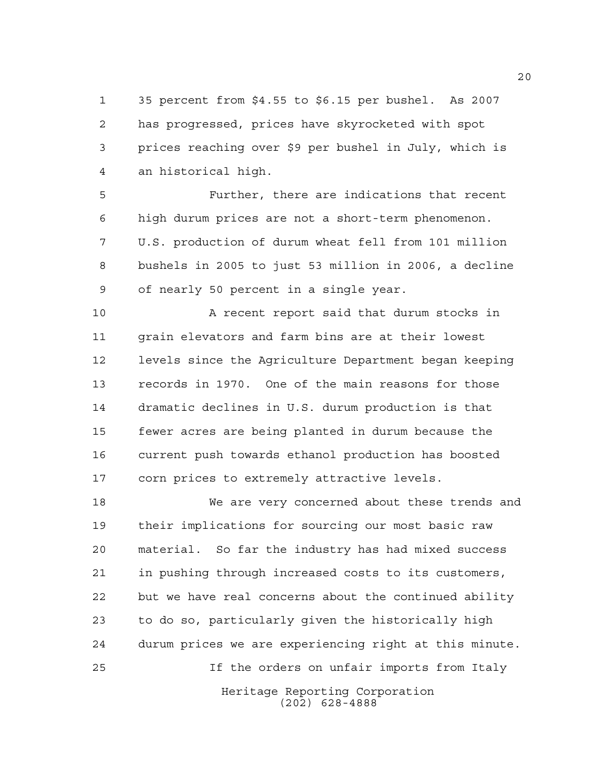35 percent from \$4.55 to \$6.15 per bushel. As 2007 has progressed, prices have skyrocketed with spot prices reaching over \$9 per bushel in July, which is an historical high.

 Further, there are indications that recent high durum prices are not a short-term phenomenon. U.S. production of durum wheat fell from 101 million bushels in 2005 to just 53 million in 2006, a decline of nearly 50 percent in a single year.

10 A recent report said that durum stocks in grain elevators and farm bins are at their lowest levels since the Agriculture Department began keeping records in 1970. One of the main reasons for those dramatic declines in U.S. durum production is that fewer acres are being planted in durum because the current push towards ethanol production has boosted corn prices to extremely attractive levels.

 We are very concerned about these trends and their implications for sourcing our most basic raw material. So far the industry has had mixed success in pushing through increased costs to its customers, but we have real concerns about the continued ability to do so, particularly given the historically high durum prices we are experiencing right at this minute. If the orders on unfair imports from Italy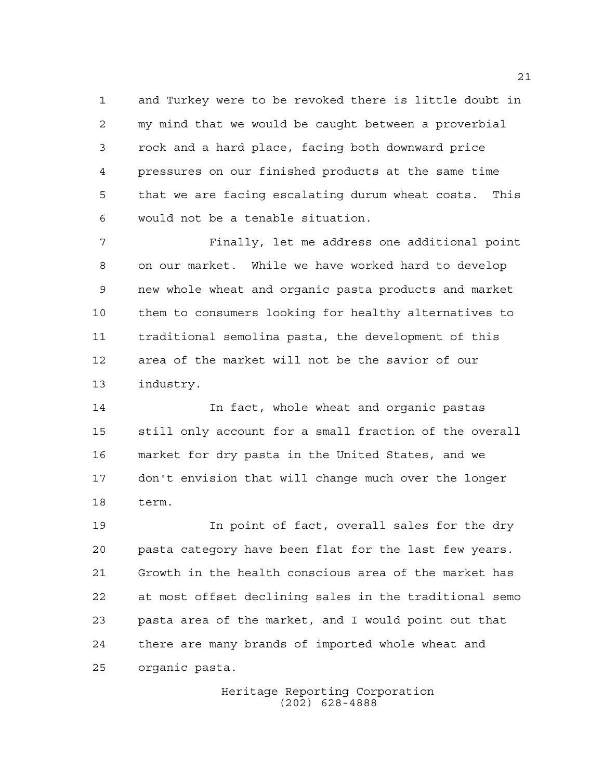and Turkey were to be revoked there is little doubt in my mind that we would be caught between a proverbial rock and a hard place, facing both downward price pressures on our finished products at the same time that we are facing escalating durum wheat costs. This would not be a tenable situation.

 Finally, let me address one additional point on our market. While we have worked hard to develop new whole wheat and organic pasta products and market them to consumers looking for healthy alternatives to traditional semolina pasta, the development of this area of the market will not be the savior of our industry.

 In fact, whole wheat and organic pastas still only account for a small fraction of the overall market for dry pasta in the United States, and we don't envision that will change much over the longer term.

 In point of fact, overall sales for the dry pasta category have been flat for the last few years. Growth in the health conscious area of the market has at most offset declining sales in the traditional semo pasta area of the market, and I would point out that there are many brands of imported whole wheat and organic pasta.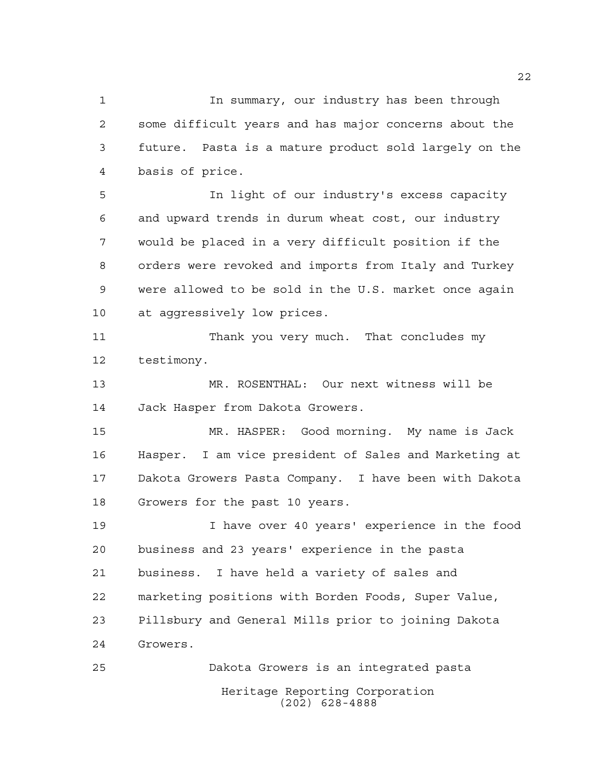In summary, our industry has been through some difficult years and has major concerns about the future. Pasta is a mature product sold largely on the basis of price.

 In light of our industry's excess capacity and upward trends in durum wheat cost, our industry would be placed in a very difficult position if the orders were revoked and imports from Italy and Turkey were allowed to be sold in the U.S. market once again at aggressively low prices.

 Thank you very much. That concludes my testimony.

 MR. ROSENTHAL: Our next witness will be Jack Hasper from Dakota Growers.

 MR. HASPER: Good morning. My name is Jack Hasper. I am vice president of Sales and Marketing at Dakota Growers Pasta Company. I have been with Dakota Growers for the past 10 years.

 I have over 40 years' experience in the food business and 23 years' experience in the pasta business. I have held a variety of sales and marketing positions with Borden Foods, Super Value, Pillsbury and General Mills prior to joining Dakota Growers.

Heritage Reporting Corporation (202) 628-4888 Dakota Growers is an integrated pasta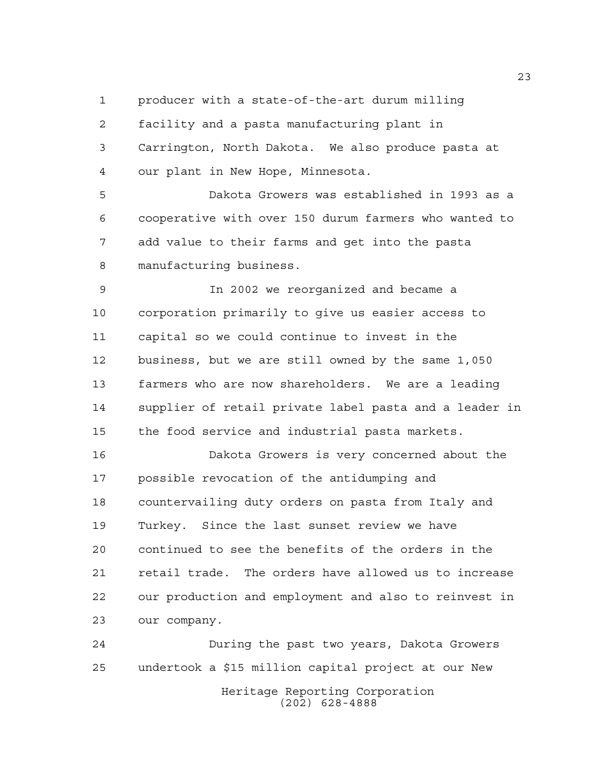producer with a state-of-the-art durum milling

 facility and a pasta manufacturing plant in Carrington, North Dakota. We also produce pasta at our plant in New Hope, Minnesota.

 Dakota Growers was established in 1993 as a cooperative with over 150 durum farmers who wanted to add value to their farms and get into the pasta manufacturing business.

 In 2002 we reorganized and became a corporation primarily to give us easier access to capital so we could continue to invest in the business, but we are still owned by the same 1,050 farmers who are now shareholders. We are a leading supplier of retail private label pasta and a leader in the food service and industrial pasta markets.

 Dakota Growers is very concerned about the possible revocation of the antidumping and countervailing duty orders on pasta from Italy and Turkey. Since the last sunset review we have continued to see the benefits of the orders in the retail trade. The orders have allowed us to increase our production and employment and also to reinvest in our company.

Heritage Reporting Corporation (202) 628-4888 During the past two years, Dakota Growers undertook a \$15 million capital project at our New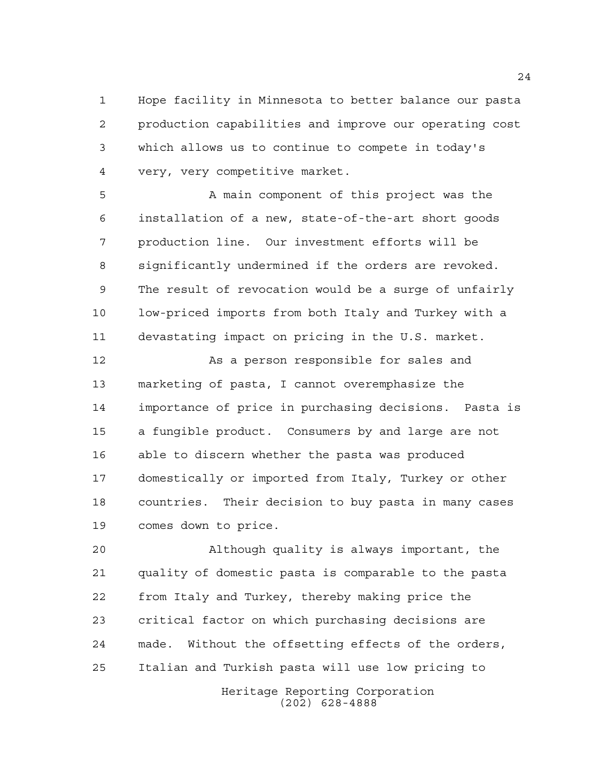Hope facility in Minnesota to better balance our pasta production capabilities and improve our operating cost which allows us to continue to compete in today's very, very competitive market.

 A main component of this project was the installation of a new, state-of-the-art short goods production line. Our investment efforts will be significantly undermined if the orders are revoked. The result of revocation would be a surge of unfairly low-priced imports from both Italy and Turkey with a devastating impact on pricing in the U.S. market.

12 As a person responsible for sales and marketing of pasta, I cannot overemphasize the importance of price in purchasing decisions. Pasta is a fungible product. Consumers by and large are not able to discern whether the pasta was produced domestically or imported from Italy, Turkey or other countries. Their decision to buy pasta in many cases comes down to price.

 Although quality is always important, the quality of domestic pasta is comparable to the pasta from Italy and Turkey, thereby making price the critical factor on which purchasing decisions are made. Without the offsetting effects of the orders, Italian and Turkish pasta will use low pricing to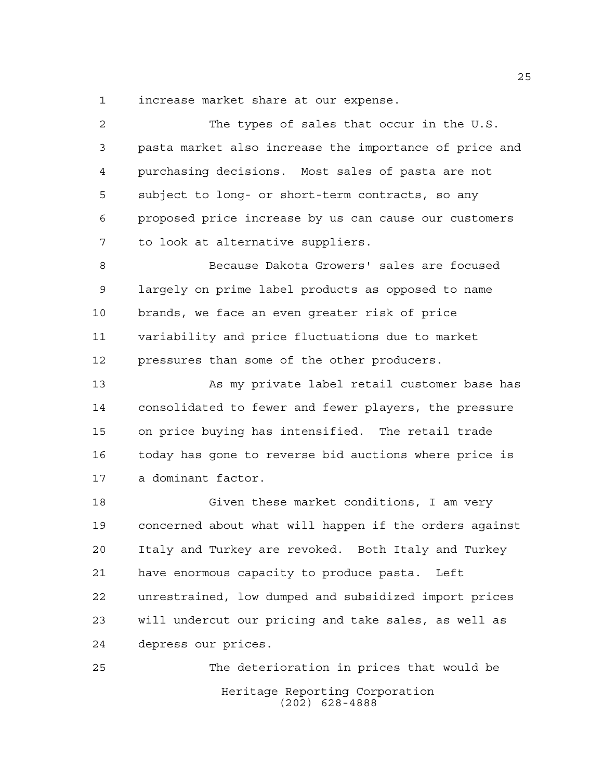increase market share at our expense.

| 2  | The types of sales that occur in the U.S.              |
|----|--------------------------------------------------------|
| 3  | pasta market also increase the importance of price and |
| 4  | purchasing decisions. Most sales of pasta are not      |
| 5  | subject to long- or short-term contracts, so any       |
| 6  | proposed price increase by us can cause our customers  |
| 7  | to look at alternative suppliers.                      |
| 8  | Because Dakota Growers' sales are focused              |
| 9  | largely on prime label products as opposed to name     |
| 10 | brands, we face an even greater risk of price          |
| 11 | variability and price fluctuations due to market       |
| 12 | pressures than some of the other producers.            |
| 13 | As my private label retail customer base has           |
| 14 | consolidated to fewer and fewer players, the pressure  |
| 15 | on price buying has intensified. The retail trade      |
| 16 | today has gone to reverse bid auctions where price is  |
| 17 | a dominant factor.                                     |
| 18 | Given these market conditions, I am very               |
| 19 | concerned about what will happen if the orders against |
| 20 | Italy and Turkey are revoked. Both Italy and Turkey    |
| 21 | have enormous capacity to produce pasta.<br>Left       |
| 22 | unrestrained, low dumped and subsidized import prices  |
| 23 | will undercut our pricing and take sales, as well as   |
| 24 | depress our prices.                                    |
| 25 | The deterioration in prices that would be              |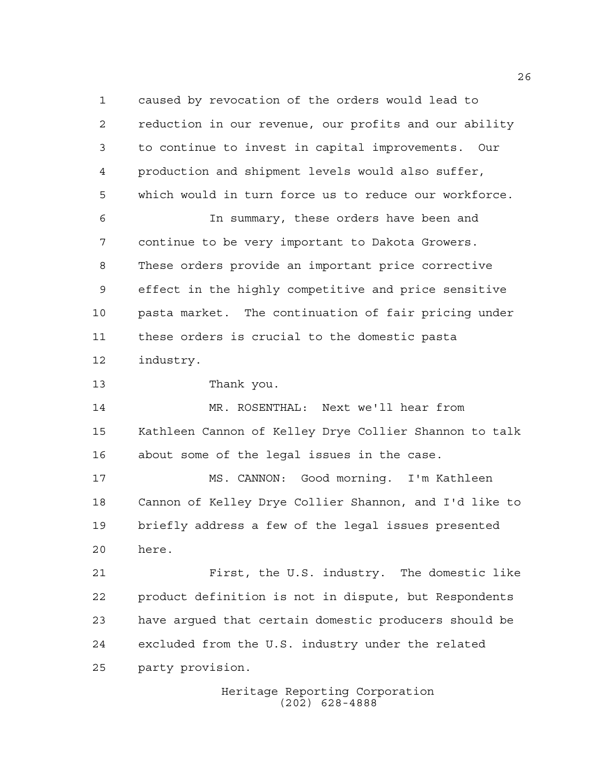caused by revocation of the orders would lead to reduction in our revenue, our profits and our ability to continue to invest in capital improvements. Our production and shipment levels would also suffer, which would in turn force us to reduce our workforce. In summary, these orders have been and continue to be very important to Dakota Growers. These orders provide an important price corrective effect in the highly competitive and price sensitive pasta market. The continuation of fair pricing under these orders is crucial to the domestic pasta industry. Thank you. MR. ROSENTHAL: Next we'll hear from Kathleen Cannon of Kelley Drye Collier Shannon to talk about some of the legal issues in the case. MS. CANNON: Good morning. I'm Kathleen Cannon of Kelley Drye Collier Shannon, and I'd like to briefly address a few of the legal issues presented

here.

 First, the U.S. industry. The domestic like product definition is not in dispute, but Respondents have argued that certain domestic producers should be excluded from the U.S. industry under the related party provision.

> Heritage Reporting Corporation (202) 628-4888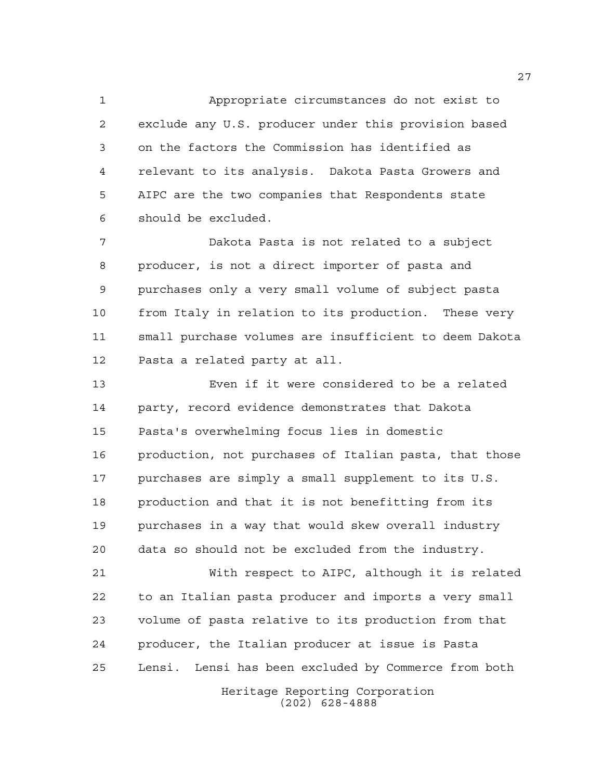Appropriate circumstances do not exist to exclude any U.S. producer under this provision based on the factors the Commission has identified as relevant to its analysis. Dakota Pasta Growers and AIPC are the two companies that Respondents state should be excluded.

 Dakota Pasta is not related to a subject producer, is not a direct importer of pasta and purchases only a very small volume of subject pasta from Italy in relation to its production. These very small purchase volumes are insufficient to deem Dakota Pasta a related party at all.

 Even if it were considered to be a related party, record evidence demonstrates that Dakota Pasta's overwhelming focus lies in domestic production, not purchases of Italian pasta, that those purchases are simply a small supplement to its U.S. production and that it is not benefitting from its purchases in a way that would skew overall industry data so should not be excluded from the industry.

 With respect to AIPC, although it is related to an Italian pasta producer and imports a very small volume of pasta relative to its production from that producer, the Italian producer at issue is Pasta Lensi. Lensi has been excluded by Commerce from both

Heritage Reporting Corporation (202) 628-4888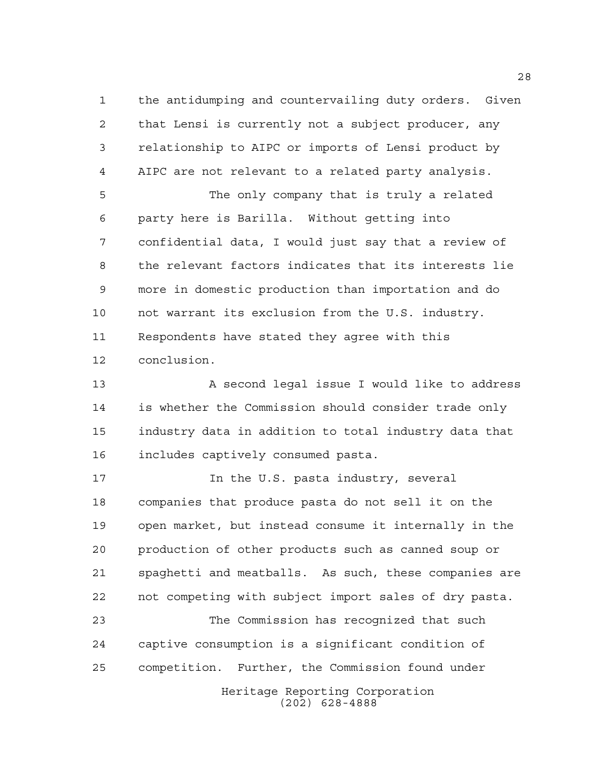the antidumping and countervailing duty orders. Given that Lensi is currently not a subject producer, any relationship to AIPC or imports of Lensi product by AIPC are not relevant to a related party analysis.

 The only company that is truly a related party here is Barilla. Without getting into confidential data, I would just say that a review of the relevant factors indicates that its interests lie more in domestic production than importation and do not warrant its exclusion from the U.S. industry. Respondents have stated they agree with this conclusion.

 A second legal issue I would like to address is whether the Commission should consider trade only industry data in addition to total industry data that includes captively consumed pasta.

 In the U.S. pasta industry, several companies that produce pasta do not sell it on the open market, but instead consume it internally in the production of other products such as canned soup or spaghetti and meatballs. As such, these companies are not competing with subject import sales of dry pasta.

 The Commission has recognized that such captive consumption is a significant condition of competition. Further, the Commission found under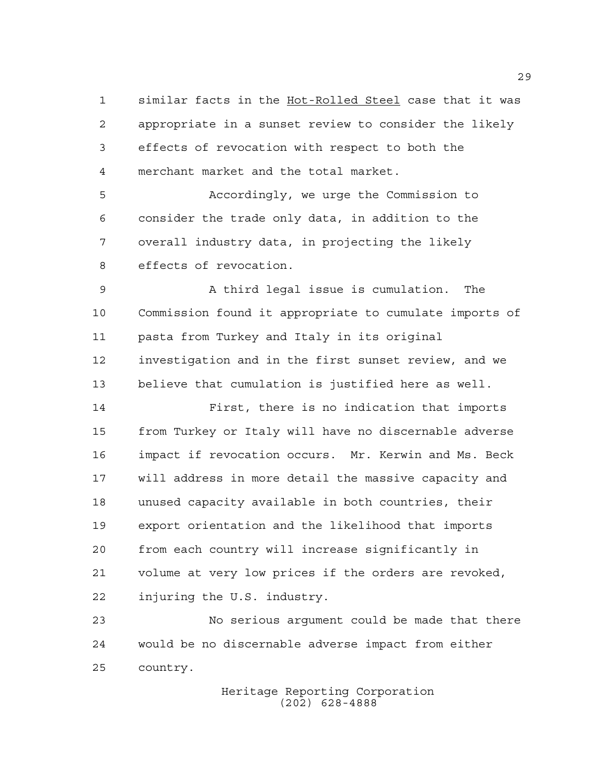similar facts in the Hot-Rolled Steel case that it was appropriate in a sunset review to consider the likely effects of revocation with respect to both the merchant market and the total market.

 Accordingly, we urge the Commission to consider the trade only data, in addition to the overall industry data, in projecting the likely effects of revocation.

 A third legal issue is cumulation. The Commission found it appropriate to cumulate imports of pasta from Turkey and Italy in its original investigation and in the first sunset review, and we believe that cumulation is justified here as well.

 First, there is no indication that imports from Turkey or Italy will have no discernable adverse impact if revocation occurs. Mr. Kerwin and Ms. Beck will address in more detail the massive capacity and unused capacity available in both countries, their export orientation and the likelihood that imports from each country will increase significantly in volume at very low prices if the orders are revoked, injuring the U.S. industry.

 No serious argument could be made that there would be no discernable adverse impact from either country.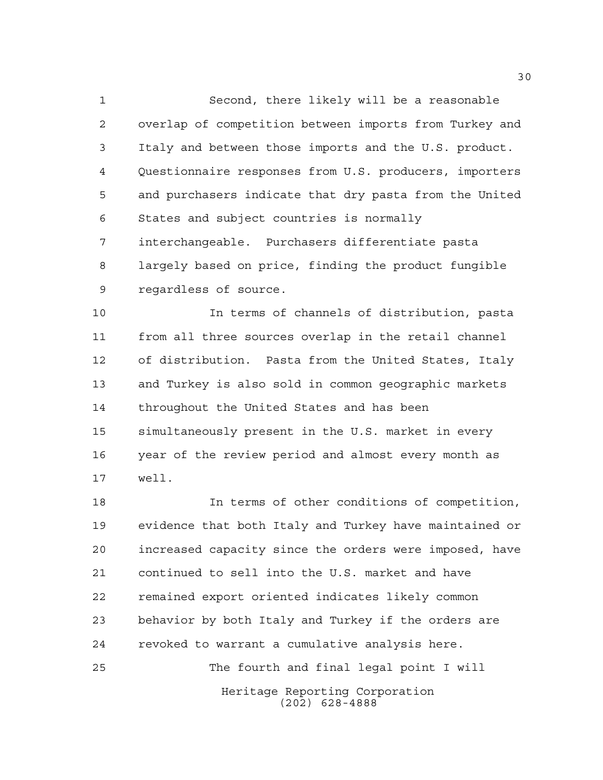Second, there likely will be a reasonable overlap of competition between imports from Turkey and Italy and between those imports and the U.S. product. Questionnaire responses from U.S. producers, importers and purchasers indicate that dry pasta from the United States and subject countries is normally interchangeable. Purchasers differentiate pasta largely based on price, finding the product fungible regardless of source.

 In terms of channels of distribution, pasta from all three sources overlap in the retail channel of distribution. Pasta from the United States, Italy and Turkey is also sold in common geographic markets throughout the United States and has been simultaneously present in the U.S. market in every year of the review period and almost every month as well.

 In terms of other conditions of competition, evidence that both Italy and Turkey have maintained or increased capacity since the orders were imposed, have continued to sell into the U.S. market and have remained export oriented indicates likely common behavior by both Italy and Turkey if the orders are revoked to warrant a cumulative analysis here. The fourth and final legal point I will

Heritage Reporting Corporation (202) 628-4888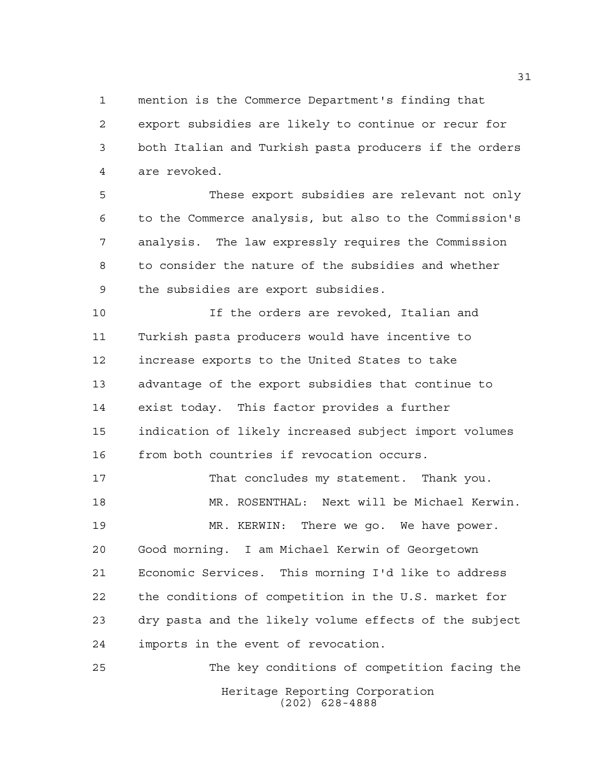mention is the Commerce Department's finding that

 export subsidies are likely to continue or recur for both Italian and Turkish pasta producers if the orders are revoked.

 These export subsidies are relevant not only to the Commerce analysis, but also to the Commission's analysis. The law expressly requires the Commission to consider the nature of the subsidies and whether the subsidies are export subsidies.

 If the orders are revoked, Italian and Turkish pasta producers would have incentive to increase exports to the United States to take advantage of the export subsidies that continue to exist today. This factor provides a further indication of likely increased subject import volumes from both countries if revocation occurs.

 That concludes my statement. Thank you. MR. ROSENTHAL: Next will be Michael Kerwin. MR. KERWIN: There we go. We have power. Good morning. I am Michael Kerwin of Georgetown Economic Services. This morning I'd like to address the conditions of competition in the U.S. market for dry pasta and the likely volume effects of the subject imports in the event of revocation.

Heritage Reporting Corporation (202) 628-4888 The key conditions of competition facing the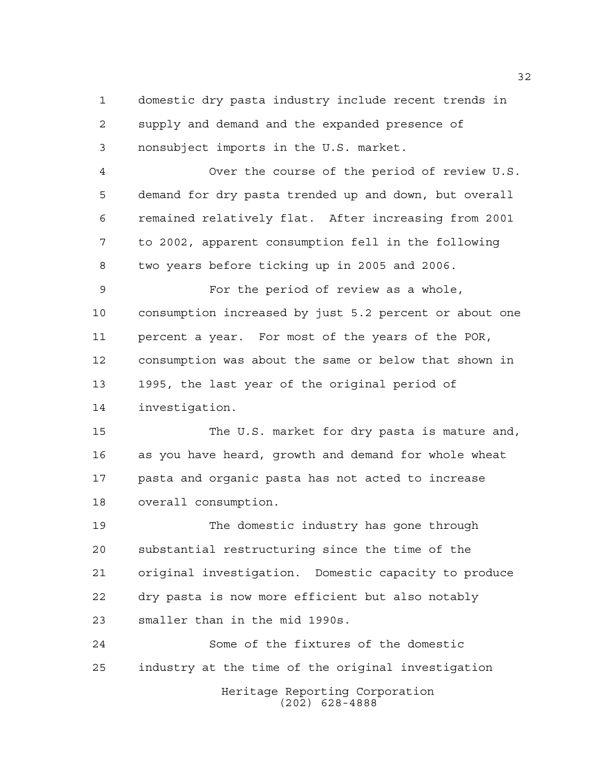domestic dry pasta industry include recent trends in supply and demand and the expanded presence of nonsubject imports in the U.S. market.

 Over the course of the period of review U.S. demand for dry pasta trended up and down, but overall remained relatively flat. After increasing from 2001 to 2002, apparent consumption fell in the following two years before ticking up in 2005 and 2006.

 For the period of review as a whole, consumption increased by just 5.2 percent or about one percent a year. For most of the years of the POR, consumption was about the same or below that shown in 1995, the last year of the original period of investigation.

 The U.S. market for dry pasta is mature and, as you have heard, growth and demand for whole wheat pasta and organic pasta has not acted to increase overall consumption.

 The domestic industry has gone through substantial restructuring since the time of the original investigation. Domestic capacity to produce dry pasta is now more efficient but also notably smaller than in the mid 1990s.

Heritage Reporting Corporation (202) 628-4888 Some of the fixtures of the domestic industry at the time of the original investigation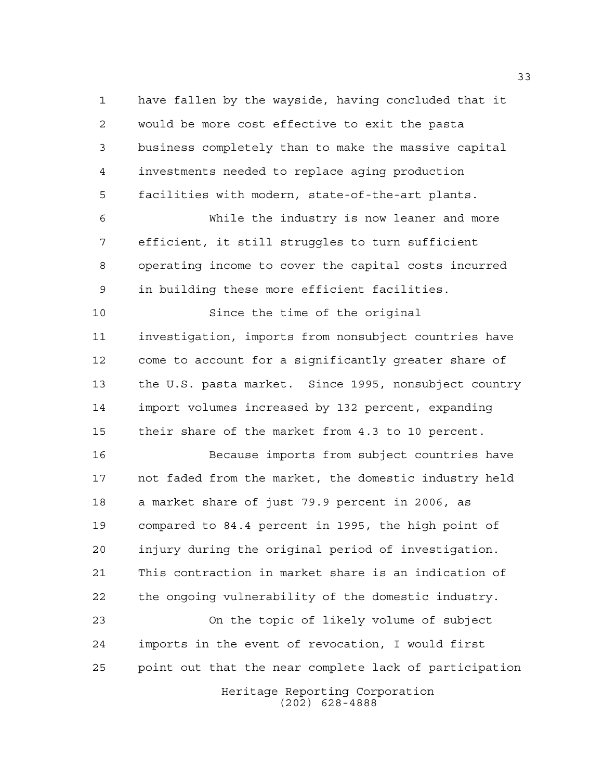have fallen by the wayside, having concluded that it would be more cost effective to exit the pasta business completely than to make the massive capital investments needed to replace aging production facilities with modern, state-of-the-art plants.

 While the industry is now leaner and more efficient, it still struggles to turn sufficient operating income to cover the capital costs incurred in building these more efficient facilities.

 Since the time of the original investigation, imports from nonsubject countries have come to account for a significantly greater share of the U.S. pasta market. Since 1995, nonsubject country import volumes increased by 132 percent, expanding their share of the market from 4.3 to 10 percent.

 Because imports from subject countries have not faded from the market, the domestic industry held a market share of just 79.9 percent in 2006, as compared to 84.4 percent in 1995, the high point of injury during the original period of investigation. This contraction in market share is an indication of the ongoing vulnerability of the domestic industry.

 On the topic of likely volume of subject imports in the event of revocation, I would first point out that the near complete lack of participation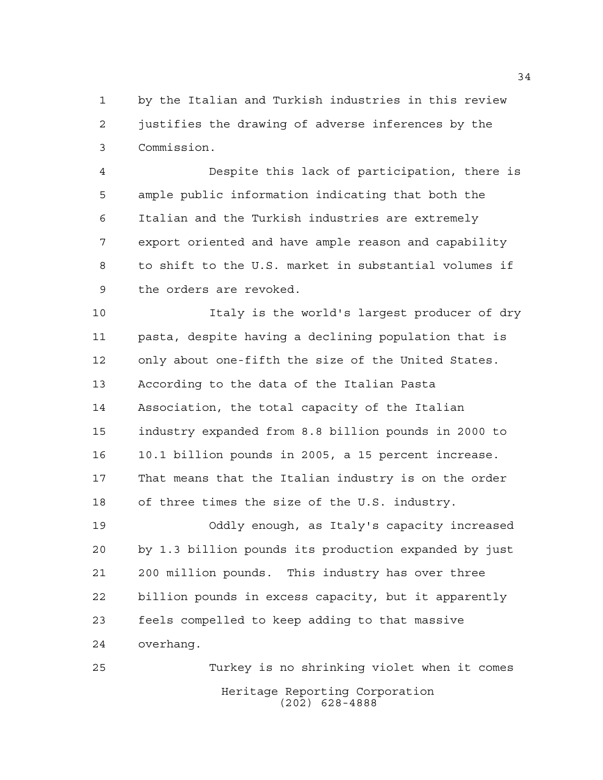by the Italian and Turkish industries in this review justifies the drawing of adverse inferences by the Commission.

 Despite this lack of participation, there is ample public information indicating that both the Italian and the Turkish industries are extremely export oriented and have ample reason and capability to shift to the U.S. market in substantial volumes if the orders are revoked.

 Italy is the world's largest producer of dry pasta, despite having a declining population that is only about one-fifth the size of the United States. According to the data of the Italian Pasta Association, the total capacity of the Italian industry expanded from 8.8 billion pounds in 2000 to 10.1 billion pounds in 2005, a 15 percent increase. That means that the Italian industry is on the order of three times the size of the U.S. industry.

 Oddly enough, as Italy's capacity increased by 1.3 billion pounds its production expanded by just 200 million pounds. This industry has over three billion pounds in excess capacity, but it apparently feels compelled to keep adding to that massive overhang.

Heritage Reporting Corporation (202) 628-4888 Turkey is no shrinking violet when it comes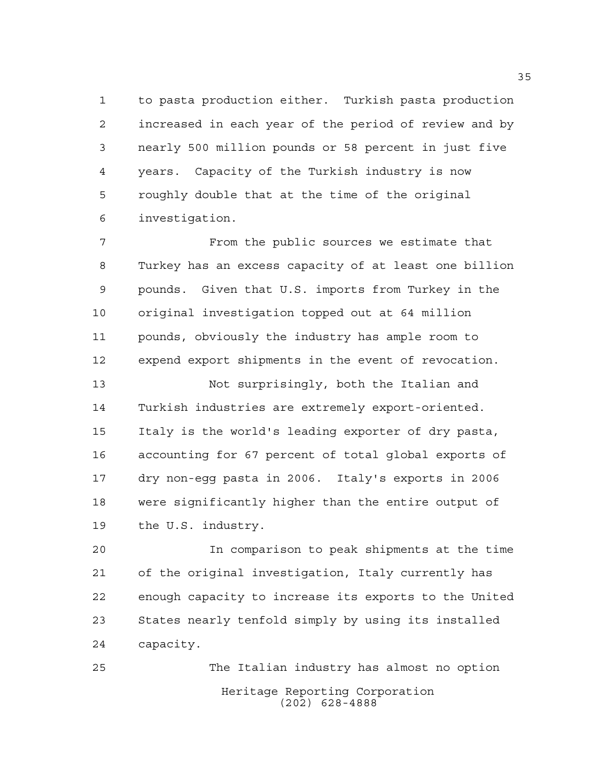to pasta production either. Turkish pasta production increased in each year of the period of review and by nearly 500 million pounds or 58 percent in just five years. Capacity of the Turkish industry is now roughly double that at the time of the original investigation.

 From the public sources we estimate that Turkey has an excess capacity of at least one billion pounds. Given that U.S. imports from Turkey in the original investigation topped out at 64 million pounds, obviously the industry has ample room to expend export shipments in the event of revocation.

 Not surprisingly, both the Italian and Turkish industries are extremely export-oriented. Italy is the world's leading exporter of dry pasta, accounting for 67 percent of total global exports of dry non-egg pasta in 2006. Italy's exports in 2006 were significantly higher than the entire output of the U.S. industry.

 In comparison to peak shipments at the time of the original investigation, Italy currently has enough capacity to increase its exports to the United States nearly tenfold simply by using its installed capacity.

Heritage Reporting Corporation (202) 628-4888 The Italian industry has almost no option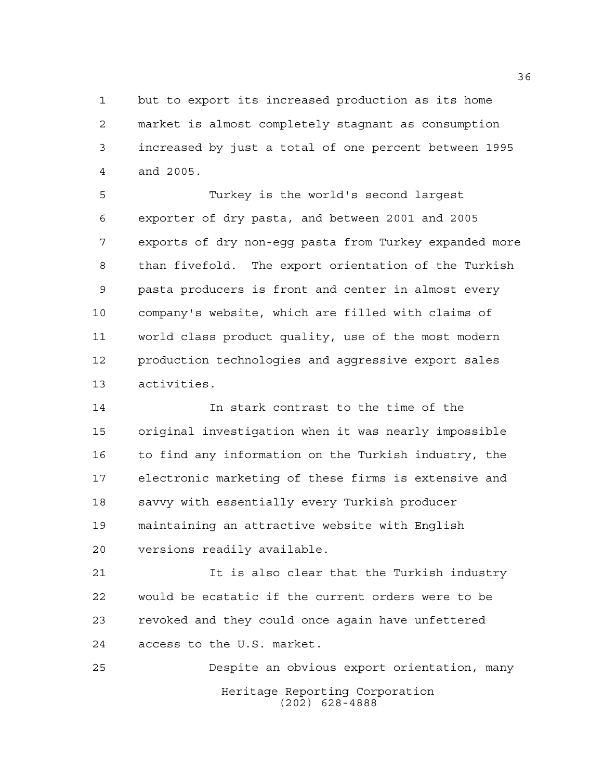but to export its increased production as its home market is almost completely stagnant as consumption increased by just a total of one percent between 1995 and 2005.

 Turkey is the world's second largest exporter of dry pasta, and between 2001 and 2005 exports of dry non-egg pasta from Turkey expanded more than fivefold. The export orientation of the Turkish pasta producers is front and center in almost every company's website, which are filled with claims of world class product quality, use of the most modern production technologies and aggressive export sales activities.

 In stark contrast to the time of the original investigation when it was nearly impossible to find any information on the Turkish industry, the electronic marketing of these firms is extensive and savvy with essentially every Turkish producer maintaining an attractive website with English versions readily available.

 It is also clear that the Turkish industry would be ecstatic if the current orders were to be revoked and they could once again have unfettered access to the U.S. market.

Heritage Reporting Corporation (202) 628-4888 Despite an obvious export orientation, many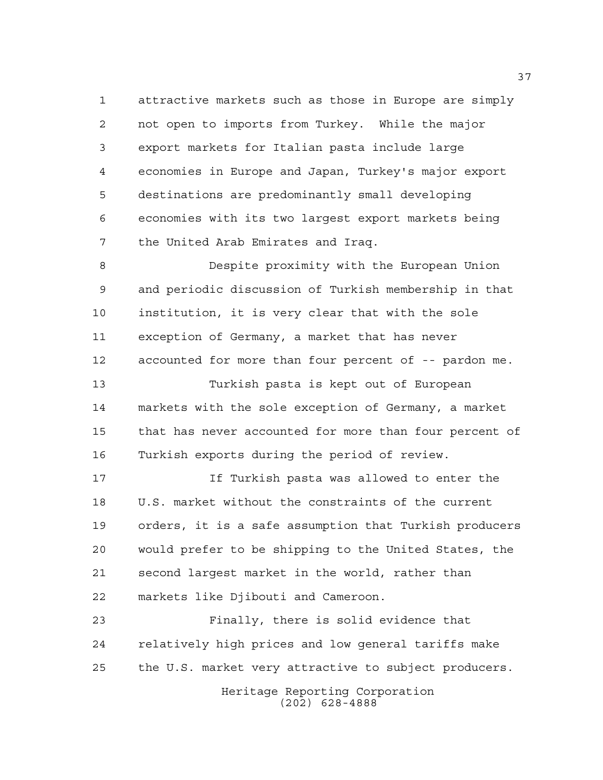attractive markets such as those in Europe are simply not open to imports from Turkey. While the major export markets for Italian pasta include large economies in Europe and Japan, Turkey's major export destinations are predominantly small developing economies with its two largest export markets being the United Arab Emirates and Iraq.

 Despite proximity with the European Union and periodic discussion of Turkish membership in that institution, it is very clear that with the sole exception of Germany, a market that has never accounted for more than four percent of -- pardon me.

 Turkish pasta is kept out of European markets with the sole exception of Germany, a market that has never accounted for more than four percent of Turkish exports during the period of review.

 If Turkish pasta was allowed to enter the U.S. market without the constraints of the current orders, it is a safe assumption that Turkish producers would prefer to be shipping to the United States, the second largest market in the world, rather than markets like Djibouti and Cameroon.

 Finally, there is solid evidence that relatively high prices and low general tariffs make the U.S. market very attractive to subject producers.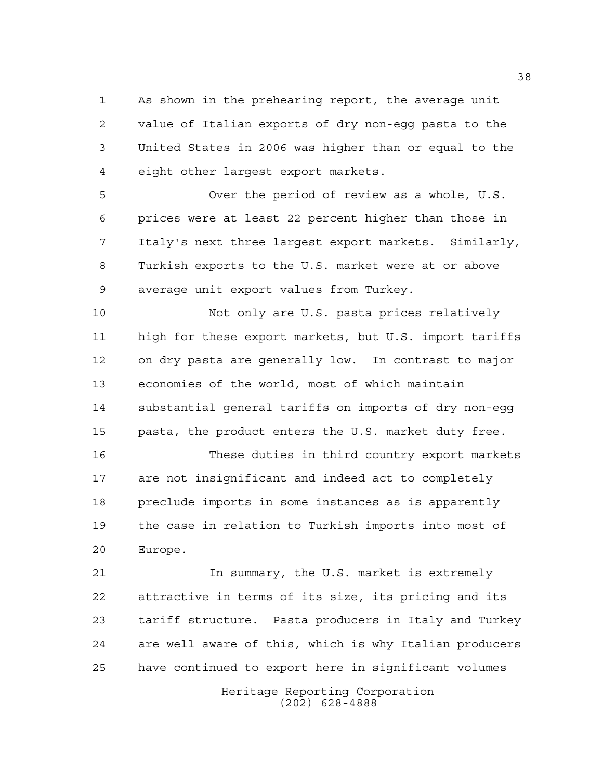As shown in the prehearing report, the average unit value of Italian exports of dry non-egg pasta to the United States in 2006 was higher than or equal to the eight other largest export markets.

 Over the period of review as a whole, U.S. prices were at least 22 percent higher than those in Italy's next three largest export markets. Similarly, Turkish exports to the U.S. market were at or above average unit export values from Turkey.

 Not only are U.S. pasta prices relatively high for these export markets, but U.S. import tariffs on dry pasta are generally low. In contrast to major economies of the world, most of which maintain substantial general tariffs on imports of dry non-egg pasta, the product enters the U.S. market duty free.

 These duties in third country export markets are not insignificant and indeed act to completely preclude imports in some instances as is apparently the case in relation to Turkish imports into most of Europe.

 In summary, the U.S. market is extremely attractive in terms of its size, its pricing and its tariff structure. Pasta producers in Italy and Turkey are well aware of this, which is why Italian producers have continued to export here in significant volumes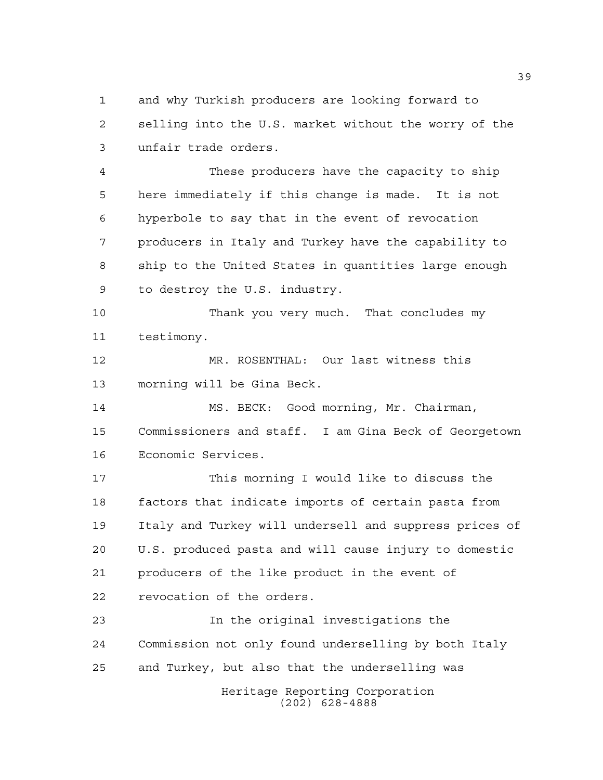and why Turkish producers are looking forward to selling into the U.S. market without the worry of the unfair trade orders.

 These producers have the capacity to ship here immediately if this change is made. It is not hyperbole to say that in the event of revocation producers in Italy and Turkey have the capability to ship to the United States in quantities large enough to destroy the U.S. industry.

 Thank you very much. That concludes my testimony.

 MR. ROSENTHAL: Our last witness this morning will be Gina Beck.

 MS. BECK: Good morning, Mr. Chairman, Commissioners and staff. I am Gina Beck of Georgetown Economic Services.

 This morning I would like to discuss the factors that indicate imports of certain pasta from Italy and Turkey will undersell and suppress prices of U.S. produced pasta and will cause injury to domestic producers of the like product in the event of revocation of the orders.

 In the original investigations the Commission not only found underselling by both Italy and Turkey, but also that the underselling was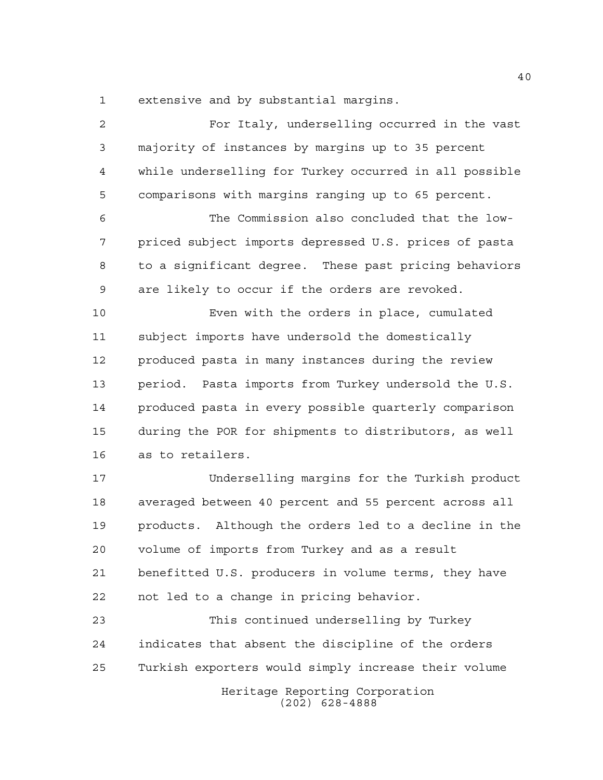extensive and by substantial margins.

Heritage Reporting Corporation (202) 628-4888 For Italy, underselling occurred in the vast majority of instances by margins up to 35 percent while underselling for Turkey occurred in all possible comparisons with margins ranging up to 65 percent. The Commission also concluded that the low- priced subject imports depressed U.S. prices of pasta to a significant degree. These past pricing behaviors are likely to occur if the orders are revoked. Even with the orders in place, cumulated subject imports have undersold the domestically produced pasta in many instances during the review period. Pasta imports from Turkey undersold the U.S. produced pasta in every possible quarterly comparison during the POR for shipments to distributors, as well as to retailers. Underselling margins for the Turkish product averaged between 40 percent and 55 percent across all products. Although the orders led to a decline in the volume of imports from Turkey and as a result benefitted U.S. producers in volume terms, they have not led to a change in pricing behavior. This continued underselling by Turkey indicates that absent the discipline of the orders Turkish exporters would simply increase their volume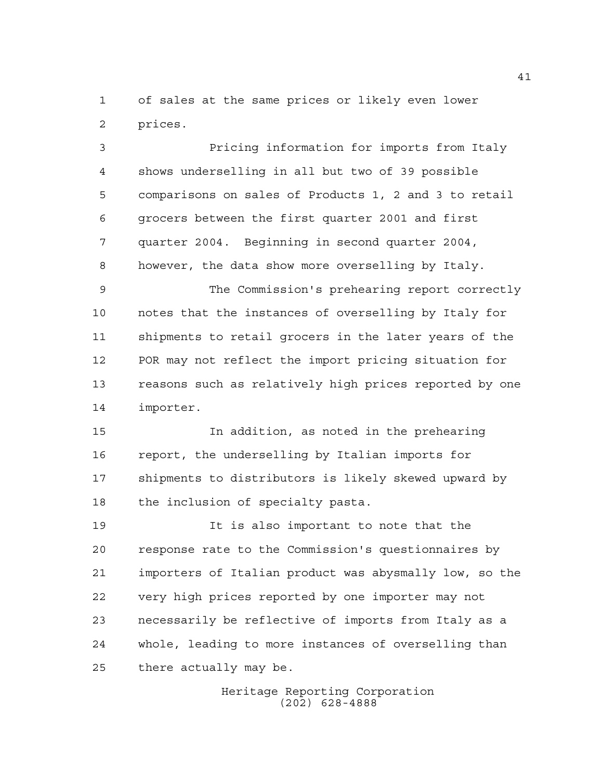of sales at the same prices or likely even lower prices.

 Pricing information for imports from Italy shows underselling in all but two of 39 possible comparisons on sales of Products 1, 2 and 3 to retail grocers between the first quarter 2001 and first quarter 2004. Beginning in second quarter 2004, however, the data show more overselling by Italy.

 The Commission's prehearing report correctly notes that the instances of overselling by Italy for shipments to retail grocers in the later years of the POR may not reflect the import pricing situation for reasons such as relatively high prices reported by one importer.

 In addition, as noted in the prehearing report, the underselling by Italian imports for shipments to distributors is likely skewed upward by the inclusion of specialty pasta.

 It is also important to note that the response rate to the Commission's questionnaires by importers of Italian product was abysmally low, so the very high prices reported by one importer may not necessarily be reflective of imports from Italy as a whole, leading to more instances of overselling than there actually may be.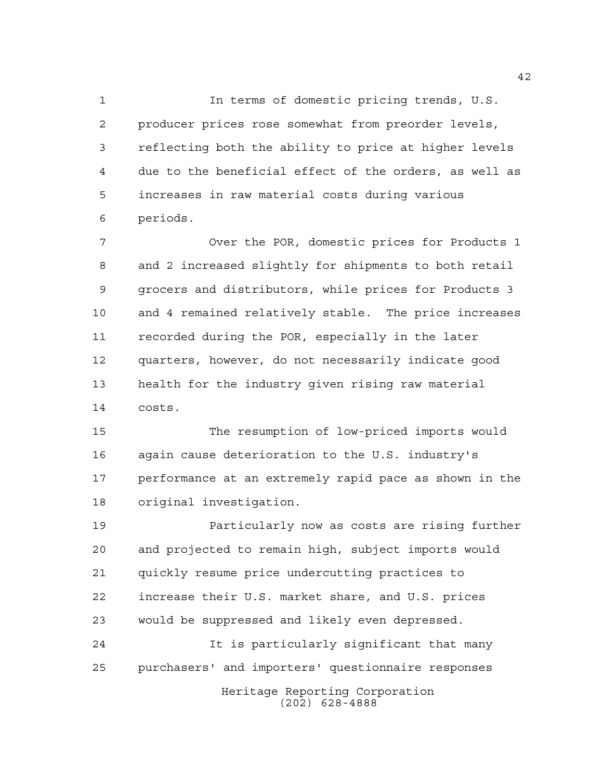In terms of domestic pricing trends, U.S. producer prices rose somewhat from preorder levels, reflecting both the ability to price at higher levels due to the beneficial effect of the orders, as well as increases in raw material costs during various periods.

 Over the POR, domestic prices for Products 1 and 2 increased slightly for shipments to both retail grocers and distributors, while prices for Products 3 and 4 remained relatively stable. The price increases recorded during the POR, especially in the later quarters, however, do not necessarily indicate good health for the industry given rising raw material costs.

 The resumption of low-priced imports would again cause deterioration to the U.S. industry's performance at an extremely rapid pace as shown in the original investigation.

 Particularly now as costs are rising further and projected to remain high, subject imports would quickly resume price undercutting practices to increase their U.S. market share, and U.S. prices would be suppressed and likely even depressed.

Heritage Reporting Corporation (202) 628-4888 It is particularly significant that many purchasers' and importers' questionnaire responses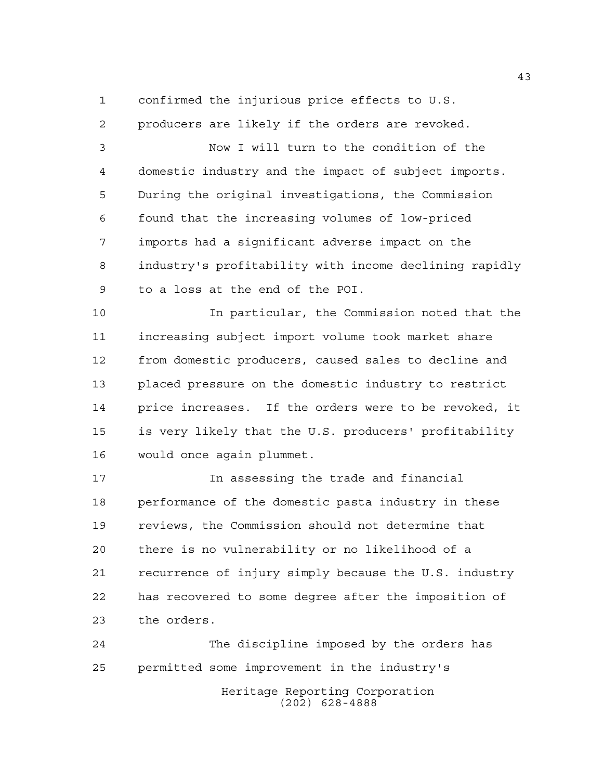confirmed the injurious price effects to U.S.

 producers are likely if the orders are revoked. Now I will turn to the condition of the domestic industry and the impact of subject imports. During the original investigations, the Commission found that the increasing volumes of low-priced imports had a significant adverse impact on the industry's profitability with income declining rapidly to a loss at the end of the POI.

 In particular, the Commission noted that the increasing subject import volume took market share from domestic producers, caused sales to decline and placed pressure on the domestic industry to restrict price increases. If the orders were to be revoked, it is very likely that the U.S. producers' profitability would once again plummet.

 In assessing the trade and financial performance of the domestic pasta industry in these reviews, the Commission should not determine that there is no vulnerability or no likelihood of a recurrence of injury simply because the U.S. industry has recovered to some degree after the imposition of the orders.

Heritage Reporting Corporation The discipline imposed by the orders has permitted some improvement in the industry's

(202) 628-4888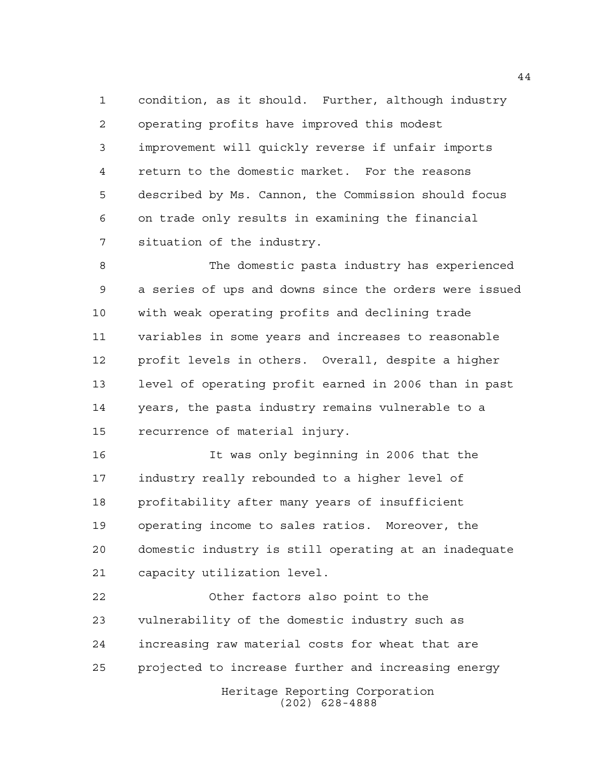condition, as it should. Further, although industry operating profits have improved this modest improvement will quickly reverse if unfair imports return to the domestic market. For the reasons described by Ms. Cannon, the Commission should focus on trade only results in examining the financial situation of the industry.

 The domestic pasta industry has experienced a series of ups and downs since the orders were issued with weak operating profits and declining trade variables in some years and increases to reasonable profit levels in others. Overall, despite a higher level of operating profit earned in 2006 than in past years, the pasta industry remains vulnerable to a recurrence of material injury.

 It was only beginning in 2006 that the industry really rebounded to a higher level of profitability after many years of insufficient operating income to sales ratios. Moreover, the domestic industry is still operating at an inadequate capacity utilization level.

Heritage Reporting Corporation Other factors also point to the vulnerability of the domestic industry such as increasing raw material costs for wheat that are projected to increase further and increasing energy

(202) 628-4888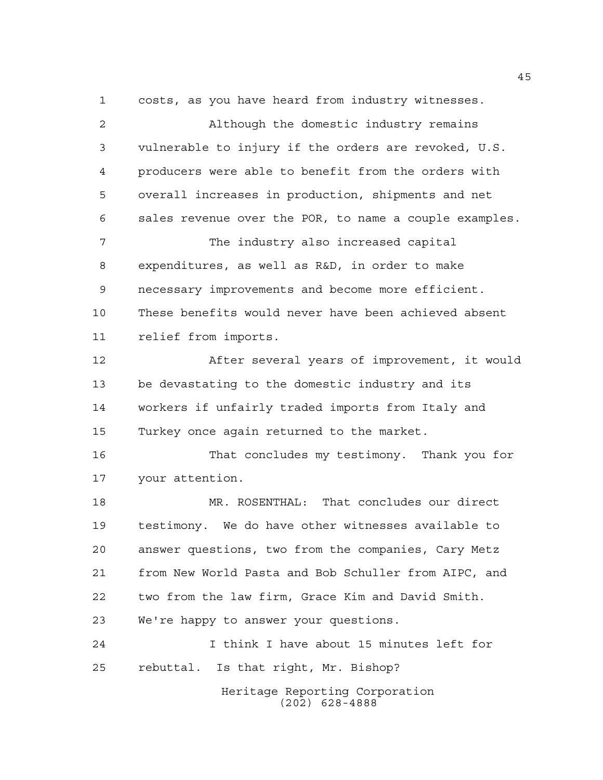costs, as you have heard from industry witnesses.

Heritage Reporting Corporation Although the domestic industry remains vulnerable to injury if the orders are revoked, U.S. producers were able to benefit from the orders with overall increases in production, shipments and net sales revenue over the POR, to name a couple examples. The industry also increased capital expenditures, as well as R&D, in order to make necessary improvements and become more efficient. These benefits would never have been achieved absent relief from imports. After several years of improvement, it would be devastating to the domestic industry and its workers if unfairly traded imports from Italy and Turkey once again returned to the market. That concludes my testimony. Thank you for your attention. MR. ROSENTHAL: That concludes our direct testimony. We do have other witnesses available to answer questions, two from the companies, Cary Metz from New World Pasta and Bob Schuller from AIPC, and two from the law firm, Grace Kim and David Smith. We're happy to answer your questions. I think I have about 15 minutes left for rebuttal. Is that right, Mr. Bishop?

(202) 628-4888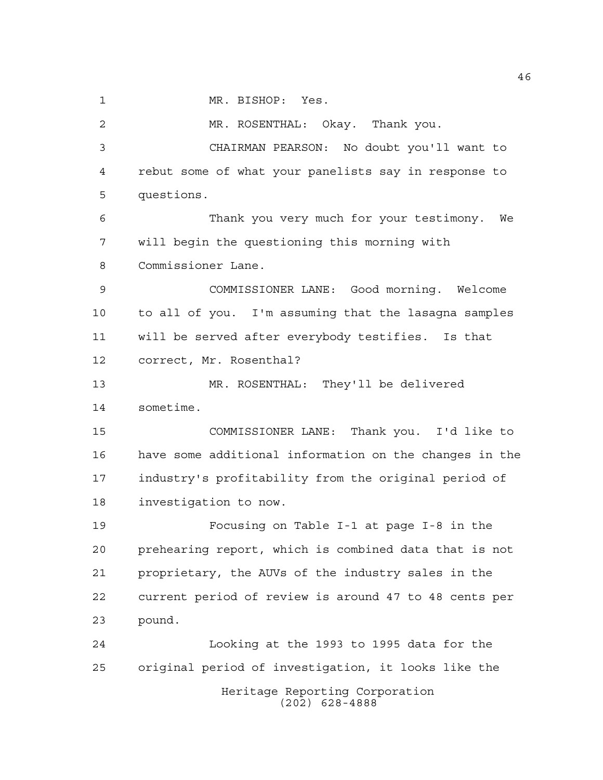1 MR. BISHOP: Yes.

 MR. ROSENTHAL: Okay. Thank you. CHAIRMAN PEARSON: No doubt you'll want to rebut some of what your panelists say in response to questions. Thank you very much for your testimony. We will begin the questioning this morning with Commissioner Lane. COMMISSIONER LANE: Good morning. Welcome to all of you. I'm assuming that the lasagna samples will be served after everybody testifies. Is that correct, Mr. Rosenthal? MR. ROSENTHAL: They'll be delivered sometime. COMMISSIONER LANE: Thank you. I'd like to have some additional information on the changes in the industry's profitability from the original period of investigation to now. Focusing on Table I-1 at page I-8 in the prehearing report, which is combined data that is not proprietary, the AUVs of the industry sales in the current period of review is around 47 to 48 cents per pound. Looking at the 1993 to 1995 data for the original period of investigation, it looks like the

> Heritage Reporting Corporation (202) 628-4888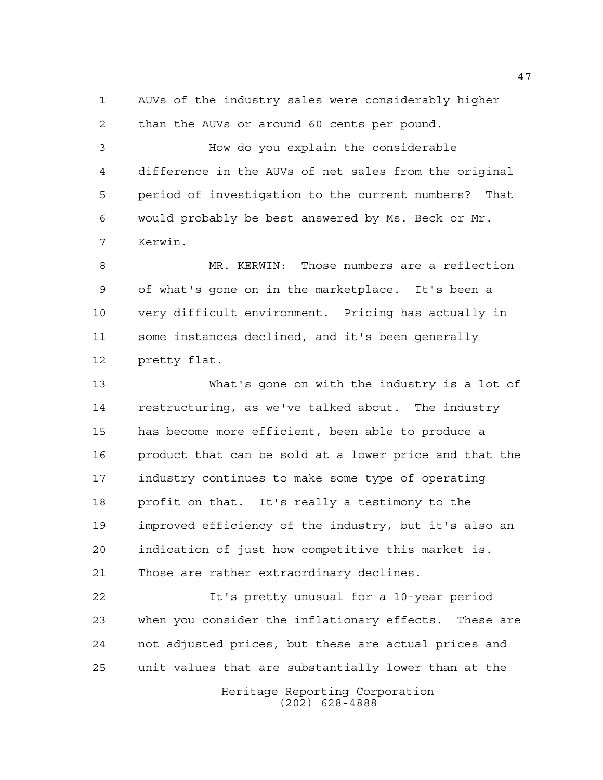AUVs of the industry sales were considerably higher than the AUVs or around 60 cents per pound.

 How do you explain the considerable difference in the AUVs of net sales from the original period of investigation to the current numbers? That would probably be best answered by Ms. Beck or Mr. Kerwin.

 MR. KERWIN: Those numbers are a reflection of what's gone on in the marketplace. It's been a very difficult environment. Pricing has actually in some instances declined, and it's been generally pretty flat.

 What's gone on with the industry is a lot of restructuring, as we've talked about. The industry has become more efficient, been able to produce a product that can be sold at a lower price and that the industry continues to make some type of operating profit on that. It's really a testimony to the improved efficiency of the industry, but it's also an indication of just how competitive this market is. Those are rather extraordinary declines.

 It's pretty unusual for a 10-year period when you consider the inflationary effects. These are not adjusted prices, but these are actual prices and unit values that are substantially lower than at the

> Heritage Reporting Corporation (202) 628-4888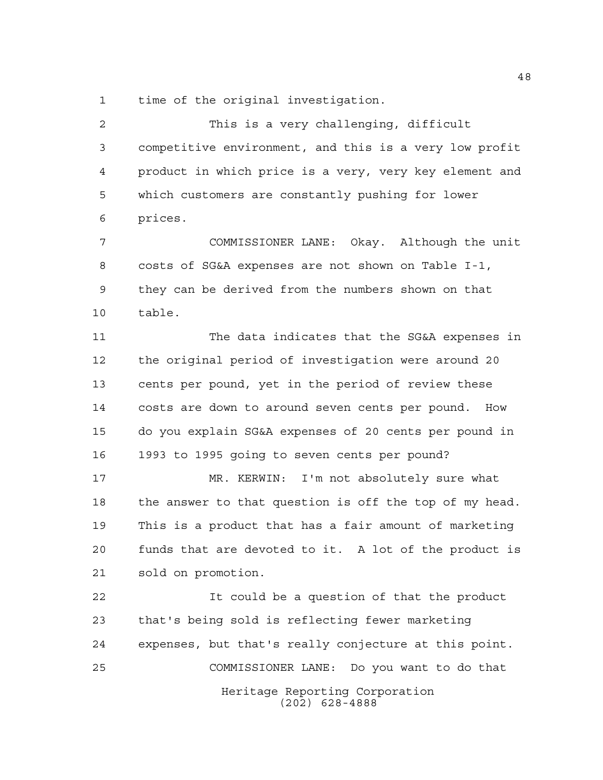time of the original investigation.

 This is a very challenging, difficult competitive environment, and this is a very low profit product in which price is a very, very key element and which customers are constantly pushing for lower prices.

 COMMISSIONER LANE: Okay. Although the unit costs of SG&A expenses are not shown on Table I-1, they can be derived from the numbers shown on that table.

 The data indicates that the SG&A expenses in the original period of investigation were around 20 cents per pound, yet in the period of review these costs are down to around seven cents per pound. How do you explain SG&A expenses of 20 cents per pound in 1993 to 1995 going to seven cents per pound?

 MR. KERWIN: I'm not absolutely sure what the answer to that question is off the top of my head. This is a product that has a fair amount of marketing funds that are devoted to it. A lot of the product is sold on promotion.

Heritage Reporting Corporation (202) 628-4888 It could be a question of that the product that's being sold is reflecting fewer marketing expenses, but that's really conjecture at this point. COMMISSIONER LANE: Do you want to do that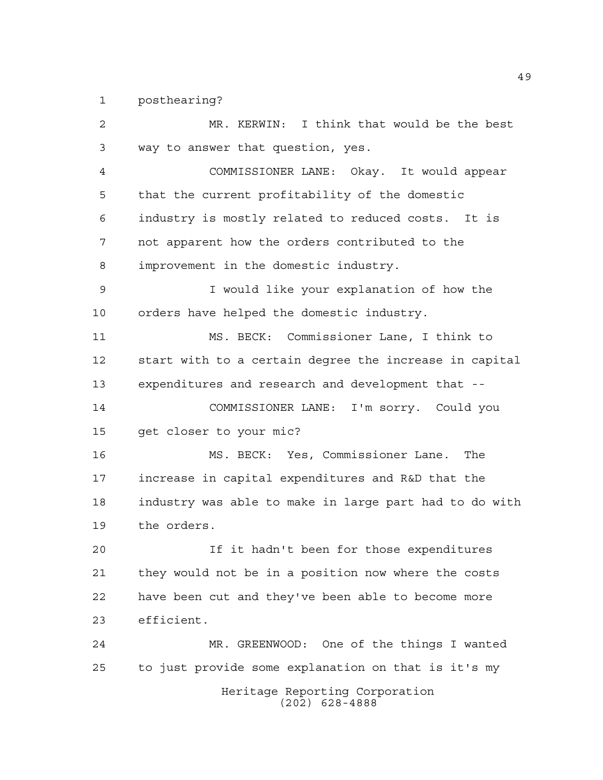posthearing?

Heritage Reporting Corporation (202) 628-4888 MR. KERWIN: I think that would be the best way to answer that question, yes. COMMISSIONER LANE: Okay. It would appear that the current profitability of the domestic industry is mostly related to reduced costs. It is not apparent how the orders contributed to the improvement in the domestic industry. I would like your explanation of how the orders have helped the domestic industry. MS. BECK: Commissioner Lane, I think to start with to a certain degree the increase in capital expenditures and research and development that -- COMMISSIONER LANE: I'm sorry. Could you get closer to your mic? MS. BECK: Yes, Commissioner Lane. The increase in capital expenditures and R&D that the industry was able to make in large part had to do with the orders. If it hadn't been for those expenditures they would not be in a position now where the costs have been cut and they've been able to become more efficient. MR. GREENWOOD: One of the things I wanted to just provide some explanation on that is it's my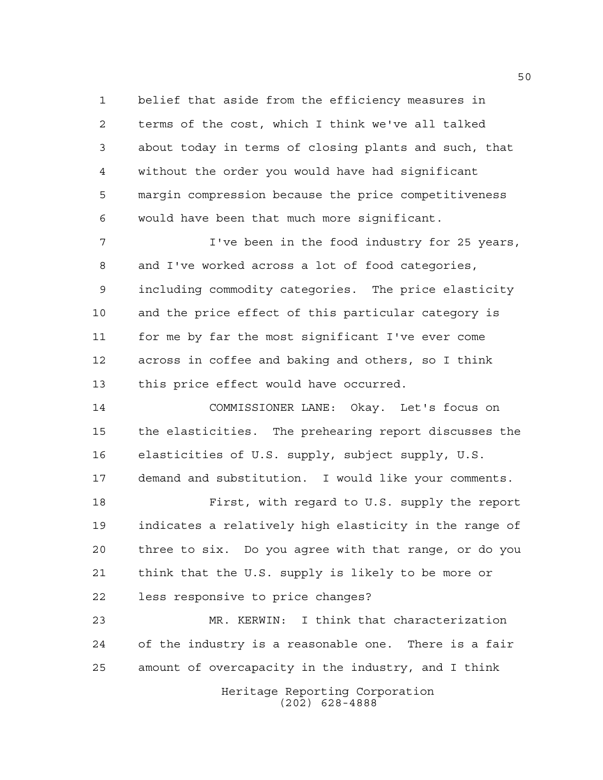belief that aside from the efficiency measures in terms of the cost, which I think we've all talked about today in terms of closing plants and such, that without the order you would have had significant margin compression because the price competitiveness would have been that much more significant.

 I've been in the food industry for 25 years, and I've worked across a lot of food categories, including commodity categories. The price elasticity and the price effect of this particular category is for me by far the most significant I've ever come across in coffee and baking and others, so I think this price effect would have occurred.

 COMMISSIONER LANE: Okay. Let's focus on the elasticities. The prehearing report discusses the elasticities of U.S. supply, subject supply, U.S. demand and substitution. I would like your comments.

 First, with regard to U.S. supply the report indicates a relatively high elasticity in the range of three to six. Do you agree with that range, or do you think that the U.S. supply is likely to be more or less responsive to price changes?

 MR. KERWIN: I think that characterization of the industry is a reasonable one. There is a fair amount of overcapacity in the industry, and I think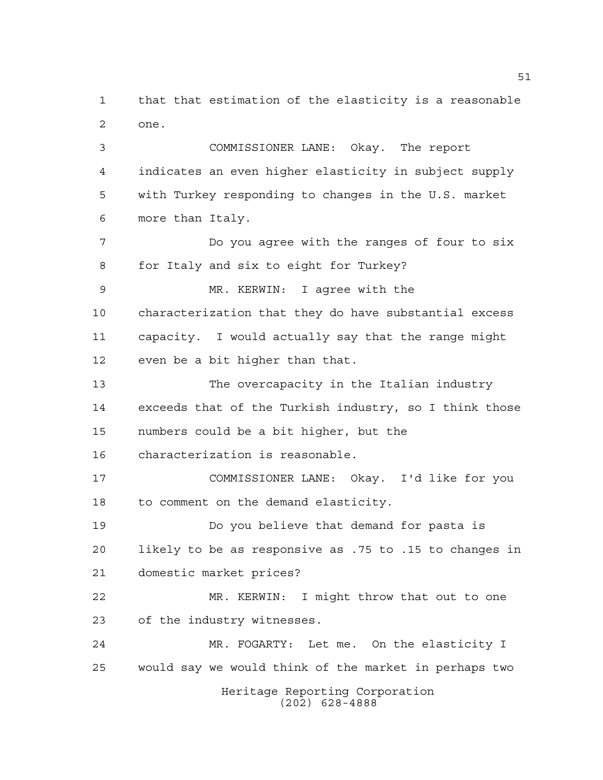that that estimation of the elasticity is a reasonable one.

 COMMISSIONER LANE: Okay. The report indicates an even higher elasticity in subject supply with Turkey responding to changes in the U.S. market more than Italy.

 Do you agree with the ranges of four to six for Italy and six to eight for Turkey?

 MR. KERWIN: I agree with the characterization that they do have substantial excess capacity. I would actually say that the range might even be a bit higher than that.

 The overcapacity in the Italian industry exceeds that of the Turkish industry, so I think those numbers could be a bit higher, but the

characterization is reasonable.

 COMMISSIONER LANE: Okay. I'd like for you to comment on the demand elasticity.

 Do you believe that demand for pasta is likely to be as responsive as .75 to .15 to changes in domestic market prices?

 MR. KERWIN: I might throw that out to one of the industry witnesses.

 MR. FOGARTY: Let me. On the elasticity I would say we would think of the market in perhaps two

Heritage Reporting Corporation (202) 628-4888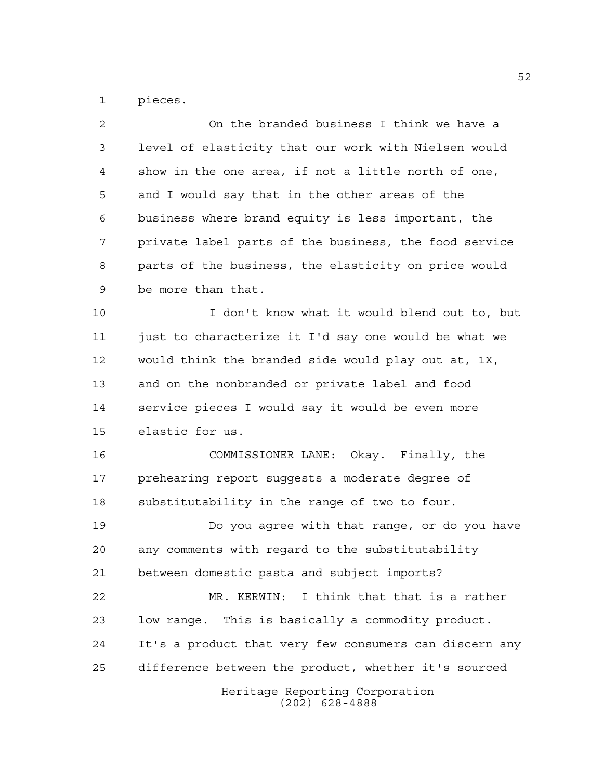pieces.

| 2              | On the branded business I think we have a              |
|----------------|--------------------------------------------------------|
| 3              | level of elasticity that our work with Nielsen would   |
| $\overline{4}$ | show in the one area, if not a little north of one,    |
| 5              | and I would say that in the other areas of the         |
| 6              | business where brand equity is less important, the     |
| 7              | private label parts of the business, the food service  |
| 8              | parts of the business, the elasticity on price would   |
| 9              | be more than that.                                     |
| 10             | I don't know what it would blend out to, but           |
| 11             | just to characterize it I'd say one would be what we   |
| 12             | would think the branded side would play out at, 1X,    |
| 13             | and on the nonbranded or private label and food        |
| 14             | service pieces I would say it would be even more       |
| 15             | elastic for us.                                        |
| 16             | COMMISSIONER LANE: Okay. Finally, the                  |
| 17             | prehearing report suggests a moderate degree of        |
| 18             | substitutability in the range of two to four.          |
| 19             | Do you agree with that range, or do you have           |
| 20             | any comments with regard to the substitutability       |
| 21             | between domestic pasta and subject imports?            |
| 22             | MR. KERWIN: I think that that is a rather              |
| 23             | low range. This is basically a commodity product.      |
| 24             | It's a product that very few consumers can discern any |
| 25             | difference between the product, whether it's sourced   |
|                | Heritage Reporting Corporation<br>$(202)$ 628-4888     |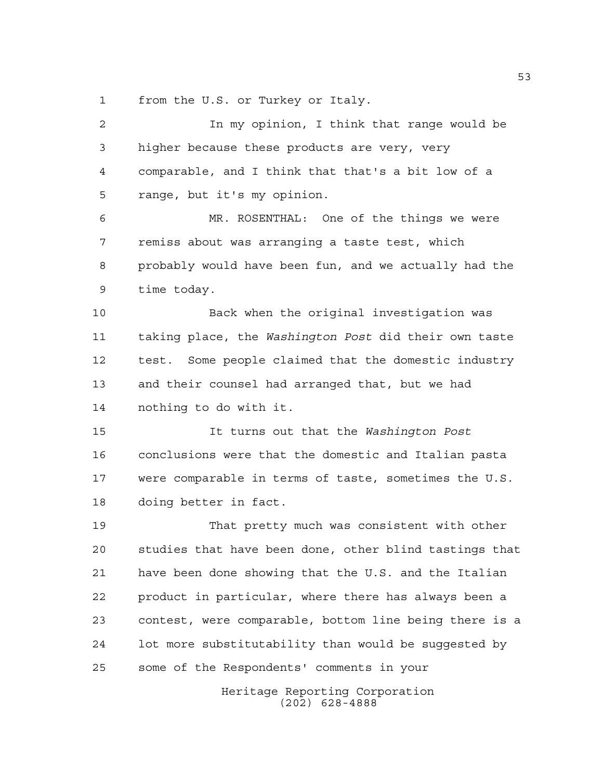from the U.S. or Turkey or Italy.

 In my opinion, I think that range would be higher because these products are very, very comparable, and I think that that's a bit low of a range, but it's my opinion. MR. ROSENTHAL: One of the things we were remiss about was arranging a taste test, which probably would have been fun, and we actually had the time today. Back when the original investigation was taking place, the *Washington Post* did their own taste test. Some people claimed that the domestic industry and their counsel had arranged that, but we had nothing to do with it. It turns out that the *Washington Post* conclusions were that the domestic and Italian pasta were comparable in terms of taste, sometimes the U.S. doing better in fact. That pretty much was consistent with other studies that have been done, other blind tastings that have been done showing that the U.S. and the Italian product in particular, where there has always been a contest, were comparable, bottom line being there is a lot more substitutability than would be suggested by some of the Respondents' comments in your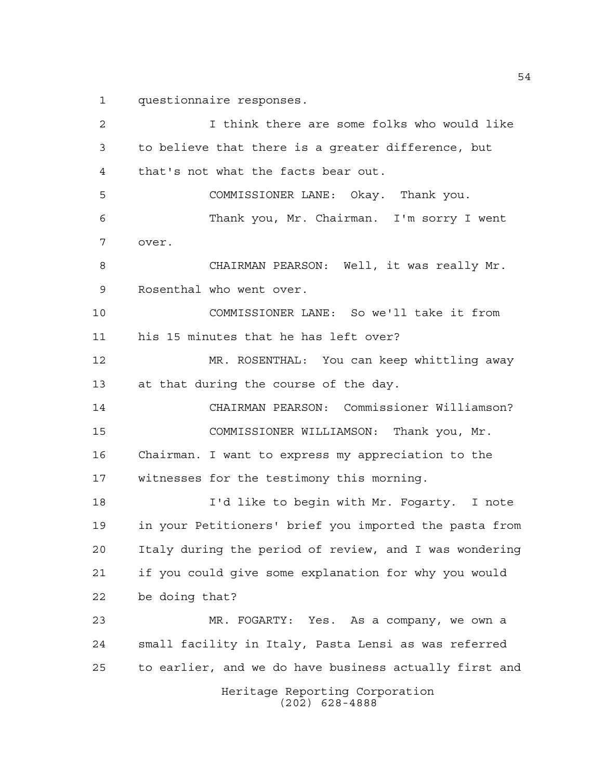questionnaire responses.

Heritage Reporting Corporation (202) 628-4888 I think there are some folks who would like to believe that there is a greater difference, but that's not what the facts bear out. COMMISSIONER LANE: Okay. Thank you. Thank you, Mr. Chairman. I'm sorry I went over. CHAIRMAN PEARSON: Well, it was really Mr. Rosenthal who went over. COMMISSIONER LANE: So we'll take it from his 15 minutes that he has left over? MR. ROSENTHAL: You can keep whittling away at that during the course of the day. CHAIRMAN PEARSON: Commissioner Williamson? COMMISSIONER WILLIAMSON: Thank you, Mr. Chairman. I want to express my appreciation to the witnesses for the testimony this morning. I'd like to begin with Mr. Fogarty. I note in your Petitioners' brief you imported the pasta from Italy during the period of review, and I was wondering if you could give some explanation for why you would be doing that? MR. FOGARTY: Yes. As a company, we own a small facility in Italy, Pasta Lensi as was referred to earlier, and we do have business actually first and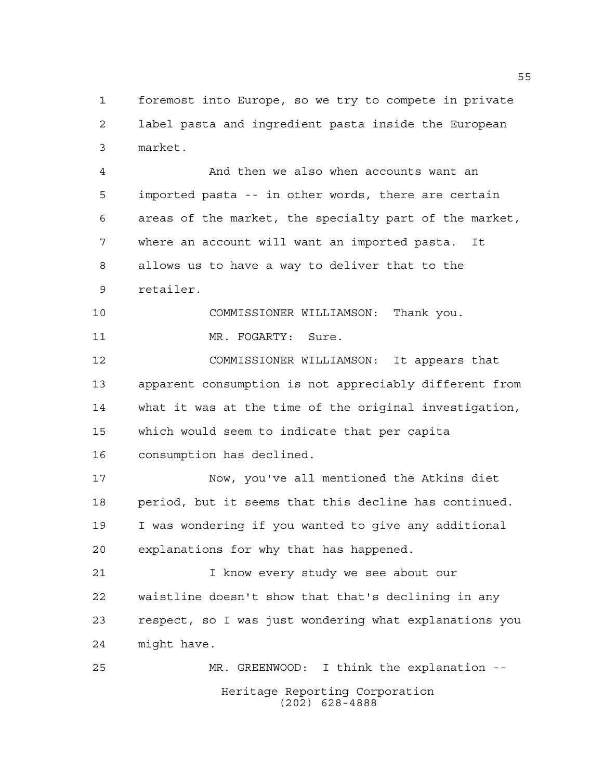foremost into Europe, so we try to compete in private label pasta and ingredient pasta inside the European market.

 And then we also when accounts want an imported pasta -- in other words, there are certain areas of the market, the specialty part of the market, where an account will want an imported pasta. It allows us to have a way to deliver that to the retailer.

 COMMISSIONER WILLIAMSON: Thank you. 11 MR. FOGARTY: Sure.

 COMMISSIONER WILLIAMSON: It appears that apparent consumption is not appreciably different from what it was at the time of the original investigation, which would seem to indicate that per capita consumption has declined.

 Now, you've all mentioned the Atkins diet period, but it seems that this decline has continued. I was wondering if you wanted to give any additional explanations for why that has happened.

 I know every study we see about our waistline doesn't show that that's declining in any respect, so I was just wondering what explanations you might have.

Heritage Reporting Corporation (202) 628-4888 MR. GREENWOOD: I think the explanation --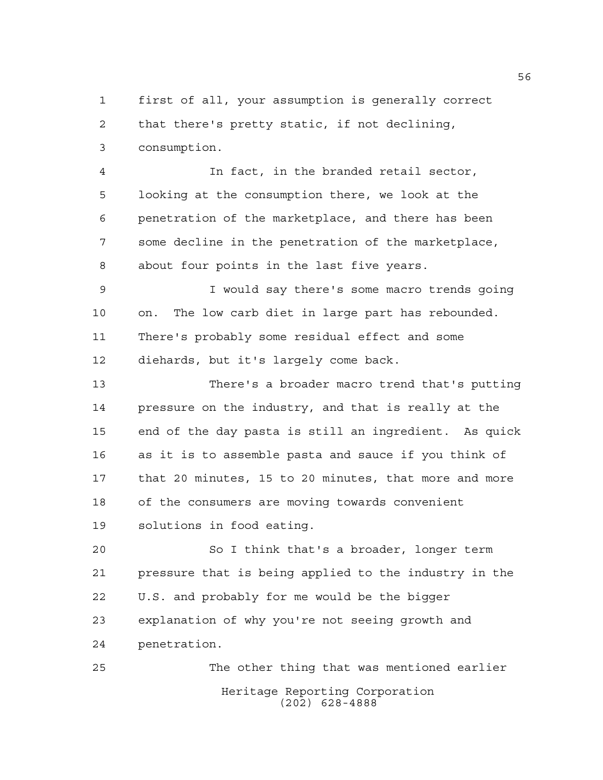first of all, your assumption is generally correct that there's pretty static, if not declining, consumption.

 In fact, in the branded retail sector, looking at the consumption there, we look at the penetration of the marketplace, and there has been some decline in the penetration of the marketplace, about four points in the last five years.

 I would say there's some macro trends going on. The low carb diet in large part has rebounded. There's probably some residual effect and some diehards, but it's largely come back.

 There's a broader macro trend that's putting pressure on the industry, and that is really at the end of the day pasta is still an ingredient. As quick as it is to assemble pasta and sauce if you think of that 20 minutes, 15 to 20 minutes, that more and more of the consumers are moving towards convenient solutions in food eating.

 So I think that's a broader, longer term pressure that is being applied to the industry in the U.S. and probably for me would be the bigger explanation of why you're not seeing growth and penetration.

Heritage Reporting Corporation (202) 628-4888 The other thing that was mentioned earlier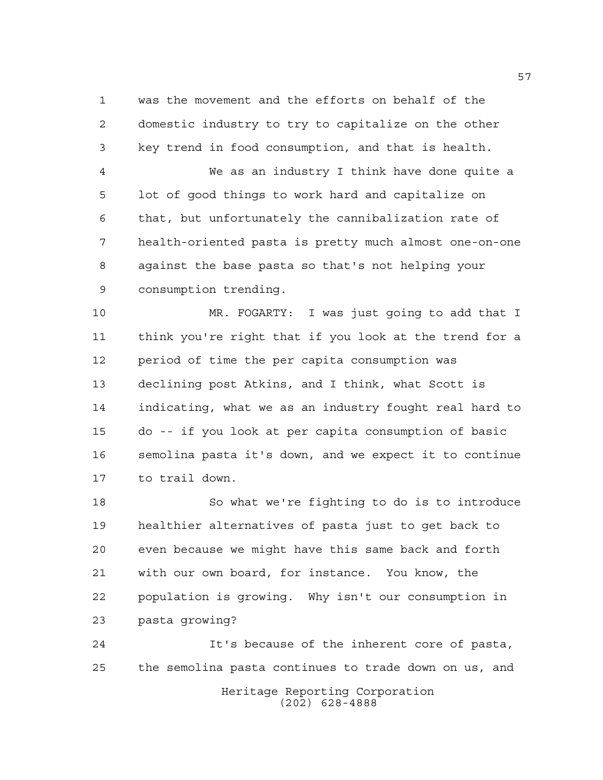was the movement and the efforts on behalf of the domestic industry to try to capitalize on the other key trend in food consumption, and that is health.

 We as an industry I think have done quite a lot of good things to work hard and capitalize on that, but unfortunately the cannibalization rate of health-oriented pasta is pretty much almost one-on-one against the base pasta so that's not helping your consumption trending.

 MR. FOGARTY: I was just going to add that I think you're right that if you look at the trend for a period of time the per capita consumption was declining post Atkins, and I think, what Scott is indicating, what we as an industry fought real hard to do -- if you look at per capita consumption of basic semolina pasta it's down, and we expect it to continue to trail down.

 So what we're fighting to do is to introduce healthier alternatives of pasta just to get back to even because we might have this same back and forth with our own board, for instance. You know, the population is growing. Why isn't our consumption in pasta growing?

Heritage Reporting Corporation (202) 628-4888 It's because of the inherent core of pasta, the semolina pasta continues to trade down on us, and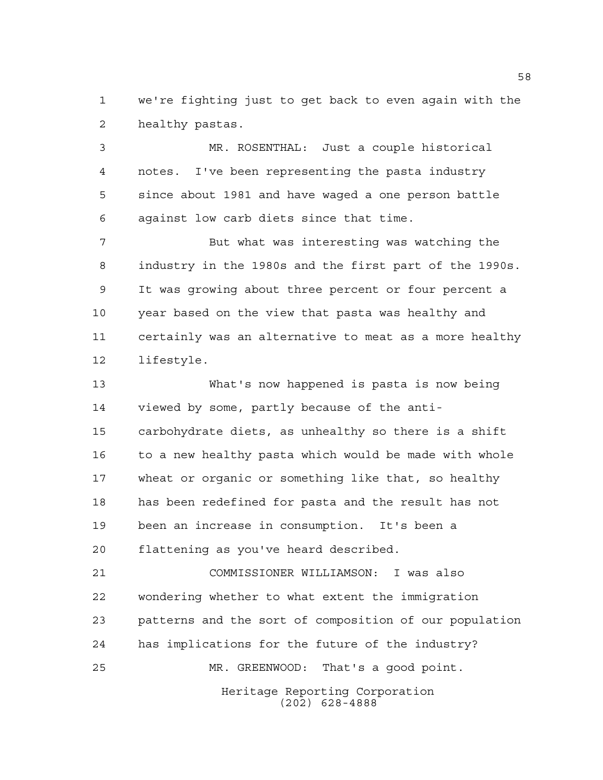we're fighting just to get back to even again with the healthy pastas.

 MR. ROSENTHAL: Just a couple historical notes. I've been representing the pasta industry since about 1981 and have waged a one person battle against low carb diets since that time.

 But what was interesting was watching the industry in the 1980s and the first part of the 1990s. It was growing about three percent or four percent a year based on the view that pasta was healthy and certainly was an alternative to meat as a more healthy lifestyle.

 What's now happened is pasta is now being viewed by some, partly because of the anti- carbohydrate diets, as unhealthy so there is a shift to a new healthy pasta which would be made with whole wheat or organic or something like that, so healthy has been redefined for pasta and the result has not been an increase in consumption. It's been a flattening as you've heard described.

 COMMISSIONER WILLIAMSON: I was also wondering whether to what extent the immigration patterns and the sort of composition of our population has implications for the future of the industry? MR. GREENWOOD: That's a good point.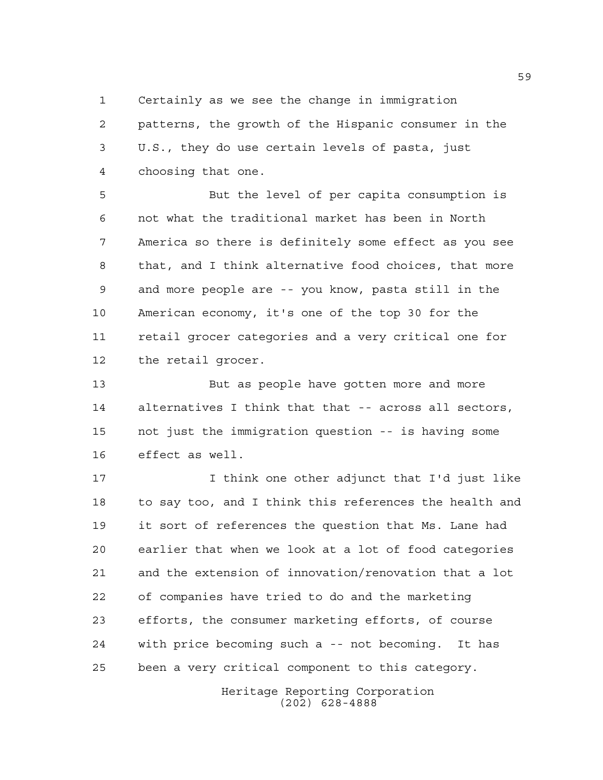Certainly as we see the change in immigration

 patterns, the growth of the Hispanic consumer in the U.S., they do use certain levels of pasta, just choosing that one.

 But the level of per capita consumption is not what the traditional market has been in North America so there is definitely some effect as you see that, and I think alternative food choices, that more and more people are -- you know, pasta still in the American economy, it's one of the top 30 for the retail grocer categories and a very critical one for the retail grocer.

 But as people have gotten more and more alternatives I think that that -- across all sectors, not just the immigration question -- is having some effect as well.

 I think one other adjunct that I'd just like to say too, and I think this references the health and it sort of references the question that Ms. Lane had earlier that when we look at a lot of food categories and the extension of innovation/renovation that a lot of companies have tried to do and the marketing efforts, the consumer marketing efforts, of course with price becoming such a -- not becoming. It has been a very critical component to this category.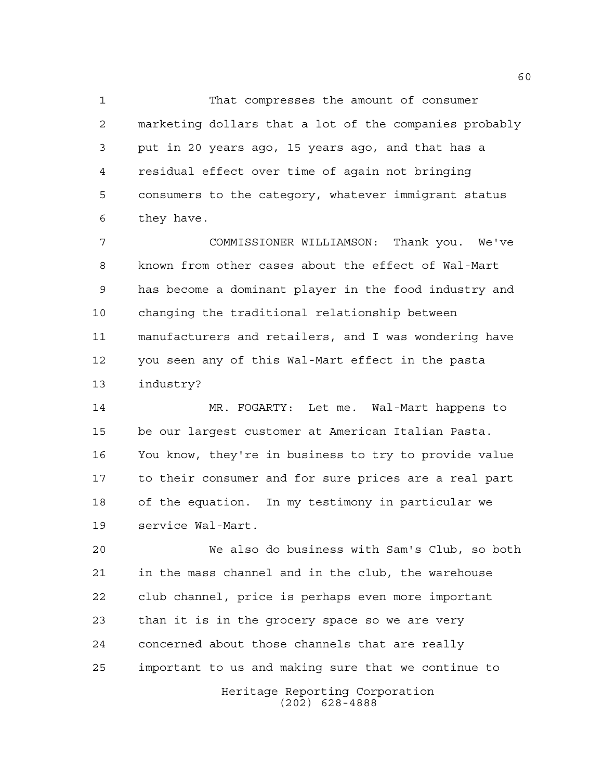That compresses the amount of consumer marketing dollars that a lot of the companies probably put in 20 years ago, 15 years ago, and that has a residual effect over time of again not bringing consumers to the category, whatever immigrant status they have.

 COMMISSIONER WILLIAMSON: Thank you. We've known from other cases about the effect of Wal-Mart has become a dominant player in the food industry and changing the traditional relationship between manufacturers and retailers, and I was wondering have you seen any of this Wal-Mart effect in the pasta industry?

 MR. FOGARTY: Let me. Wal-Mart happens to be our largest customer at American Italian Pasta. You know, they're in business to try to provide value to their consumer and for sure prices are a real part of the equation. In my testimony in particular we service Wal-Mart.

 We also do business with Sam's Club, so both in the mass channel and in the club, the warehouse club channel, price is perhaps even more important than it is in the grocery space so we are very concerned about those channels that are really important to us and making sure that we continue to

Heritage Reporting Corporation (202) 628-4888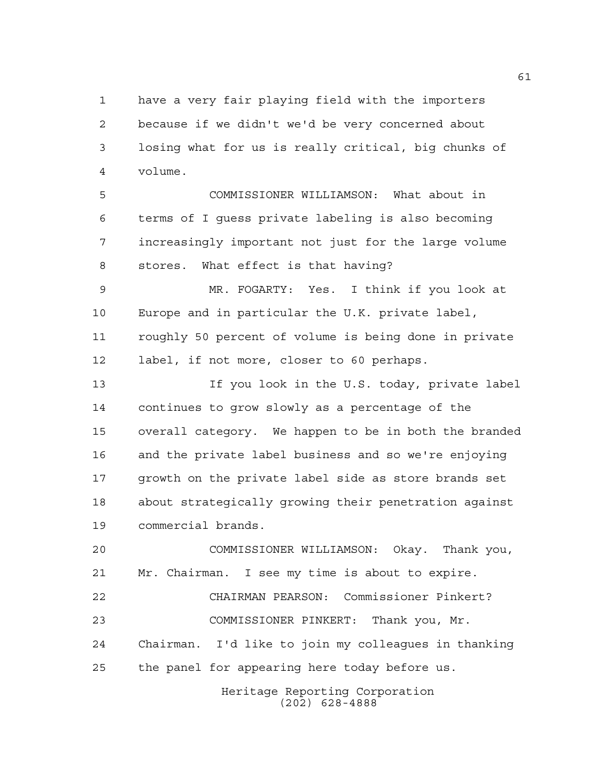have a very fair playing field with the importers because if we didn't we'd be very concerned about losing what for us is really critical, big chunks of volume.

 COMMISSIONER WILLIAMSON: What about in terms of I guess private labeling is also becoming increasingly important not just for the large volume stores. What effect is that having?

 MR. FOGARTY: Yes. I think if you look at Europe and in particular the U.K. private label, roughly 50 percent of volume is being done in private label, if not more, closer to 60 perhaps.

 If you look in the U.S. today, private label continues to grow slowly as a percentage of the overall category. We happen to be in both the branded and the private label business and so we're enjoying growth on the private label side as store brands set about strategically growing their penetration against commercial brands.

 COMMISSIONER WILLIAMSON: Okay. Thank you, Mr. Chairman. I see my time is about to expire. CHAIRMAN PEARSON: Commissioner Pinkert? COMMISSIONER PINKERT: Thank you, Mr. Chairman. I'd like to join my colleagues in thanking the panel for appearing here today before us.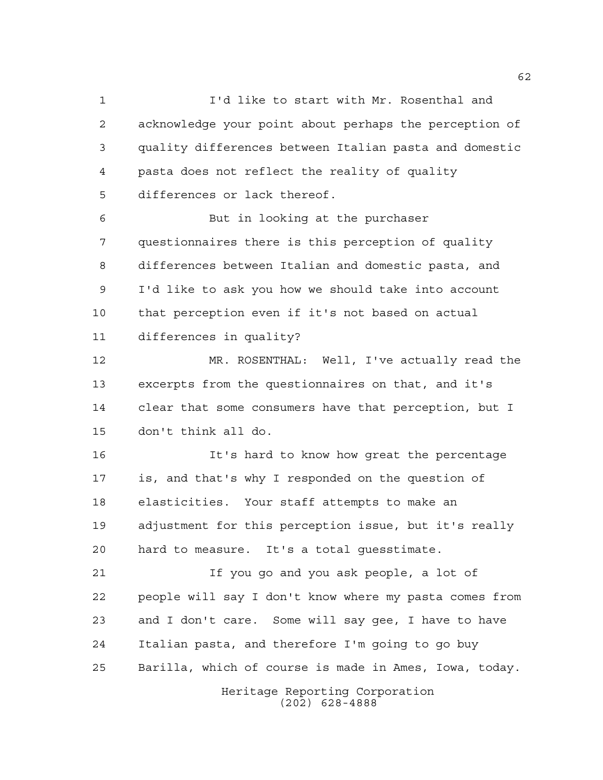I'd like to start with Mr. Rosenthal and acknowledge your point about perhaps the perception of quality differences between Italian pasta and domestic pasta does not reflect the reality of quality differences or lack thereof.

 But in looking at the purchaser questionnaires there is this perception of quality differences between Italian and domestic pasta, and I'd like to ask you how we should take into account that perception even if it's not based on actual differences in quality?

 MR. ROSENTHAL: Well, I've actually read the excerpts from the questionnaires on that, and it's clear that some consumers have that perception, but I don't think all do.

 It's hard to know how great the percentage is, and that's why I responded on the question of elasticities. Your staff attempts to make an adjustment for this perception issue, but it's really hard to measure. It's a total guesstimate.

 If you go and you ask people, a lot of people will say I don't know where my pasta comes from and I don't care. Some will say gee, I have to have Italian pasta, and therefore I'm going to go buy Barilla, which of course is made in Ames, Iowa, today.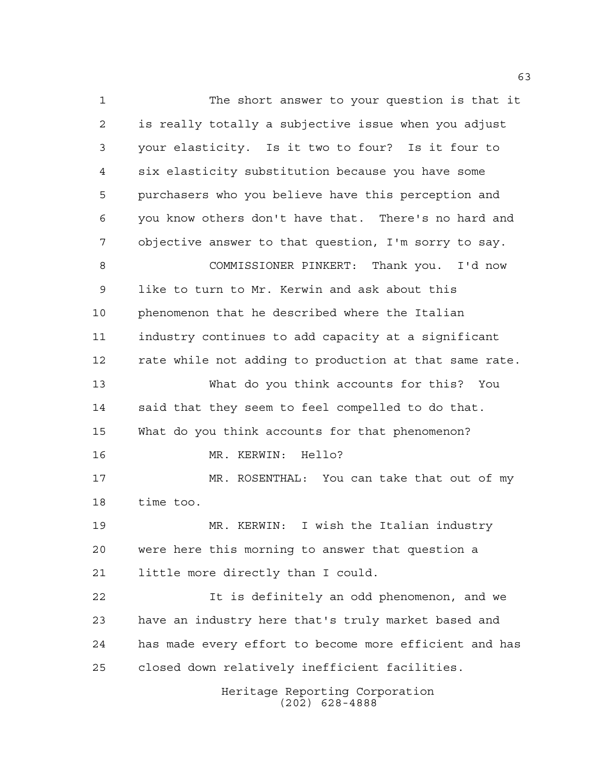Heritage Reporting Corporation (202) 628-4888 The short answer to your question is that it is really totally a subjective issue when you adjust your elasticity. Is it two to four? Is it four to six elasticity substitution because you have some purchasers who you believe have this perception and you know others don't have that. There's no hard and objective answer to that question, I'm sorry to say. COMMISSIONER PINKERT: Thank you. I'd now like to turn to Mr. Kerwin and ask about this phenomenon that he described where the Italian industry continues to add capacity at a significant rate while not adding to production at that same rate. What do you think accounts for this? You said that they seem to feel compelled to do that. What do you think accounts for that phenomenon? MR. KERWIN: Hello? MR. ROSENTHAL: You can take that out of my time too. MR. KERWIN: I wish the Italian industry were here this morning to answer that question a little more directly than I could. It is definitely an odd phenomenon, and we have an industry here that's truly market based and has made every effort to become more efficient and has closed down relatively inefficient facilities.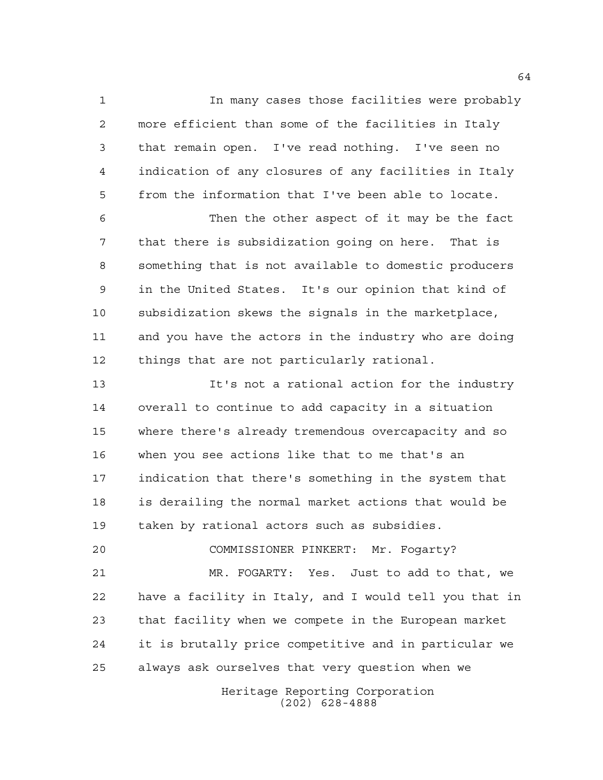In many cases those facilities were probably more efficient than some of the facilities in Italy that remain open. I've read nothing. I've seen no indication of any closures of any facilities in Italy from the information that I've been able to locate.

 Then the other aspect of it may be the fact that there is subsidization going on here. That is something that is not available to domestic producers in the United States. It's our opinion that kind of subsidization skews the signals in the marketplace, and you have the actors in the industry who are doing things that are not particularly rational.

 It's not a rational action for the industry overall to continue to add capacity in a situation where there's already tremendous overcapacity and so when you see actions like that to me that's an indication that there's something in the system that is derailing the normal market actions that would be taken by rational actors such as subsidies.

 COMMISSIONER PINKERT: Mr. Fogarty? MR. FOGARTY: Yes. Just to add to that, we have a facility in Italy, and I would tell you that in that facility when we compete in the European market it is brutally price competitive and in particular we always ask ourselves that very question when we

> Heritage Reporting Corporation (202) 628-4888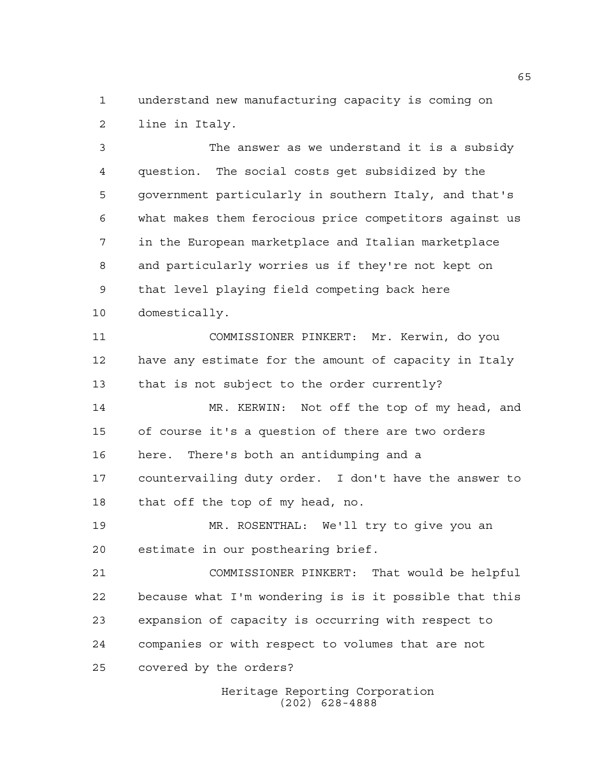understand new manufacturing capacity is coming on line in Italy.

 The answer as we understand it is a subsidy question. The social costs get subsidized by the government particularly in southern Italy, and that's what makes them ferocious price competitors against us in the European marketplace and Italian marketplace and particularly worries us if they're not kept on that level playing field competing back here domestically.

 COMMISSIONER PINKERT: Mr. Kerwin, do you have any estimate for the amount of capacity in Italy that is not subject to the order currently?

 MR. KERWIN: Not off the top of my head, and of course it's a question of there are two orders here. There's both an antidumping and a countervailing duty order. I don't have the answer to that off the top of my head, no.

 MR. ROSENTHAL: We'll try to give you an estimate in our posthearing brief.

 COMMISSIONER PINKERT: That would be helpful because what I'm wondering is is it possible that this expansion of capacity is occurring with respect to companies or with respect to volumes that are not covered by the orders?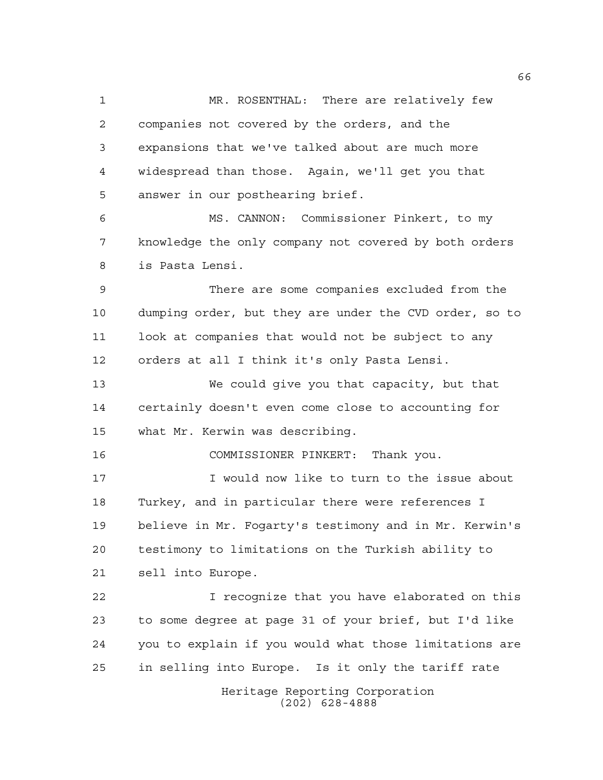Heritage Reporting Corporation MR. ROSENTHAL: There are relatively few companies not covered by the orders, and the expansions that we've talked about are much more widespread than those. Again, we'll get you that answer in our posthearing brief. MS. CANNON: Commissioner Pinkert, to my knowledge the only company not covered by both orders is Pasta Lensi. There are some companies excluded from the dumping order, but they are under the CVD order, so to look at companies that would not be subject to any orders at all I think it's only Pasta Lensi. We could give you that capacity, but that certainly doesn't even come close to accounting for what Mr. Kerwin was describing. COMMISSIONER PINKERT: Thank you. I would now like to turn to the issue about Turkey, and in particular there were references I believe in Mr. Fogarty's testimony and in Mr. Kerwin's testimony to limitations on the Turkish ability to sell into Europe. I recognize that you have elaborated on this to some degree at page 31 of your brief, but I'd like you to explain if you would what those limitations are in selling into Europe. Is it only the tariff rate

(202) 628-4888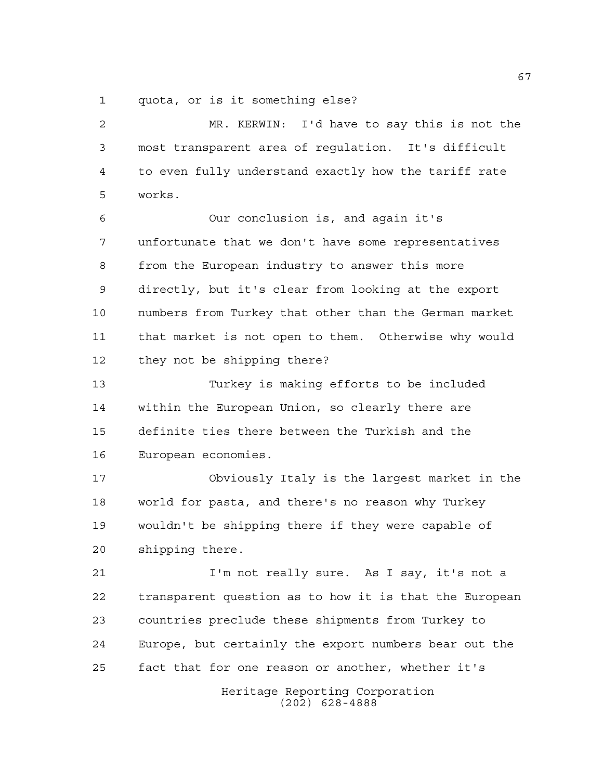quota, or is it something else?

Heritage Reporting Corporation (202) 628-4888 MR. KERWIN: I'd have to say this is not the most transparent area of regulation. It's difficult to even fully understand exactly how the tariff rate works. Our conclusion is, and again it's unfortunate that we don't have some representatives from the European industry to answer this more directly, but it's clear from looking at the export numbers from Turkey that other than the German market that market is not open to them. Otherwise why would they not be shipping there? Turkey is making efforts to be included within the European Union, so clearly there are definite ties there between the Turkish and the European economies. Obviously Italy is the largest market in the world for pasta, and there's no reason why Turkey wouldn't be shipping there if they were capable of shipping there. I'm not really sure. As I say, it's not a transparent question as to how it is that the European countries preclude these shipments from Turkey to Europe, but certainly the export numbers bear out the fact that for one reason or another, whether it's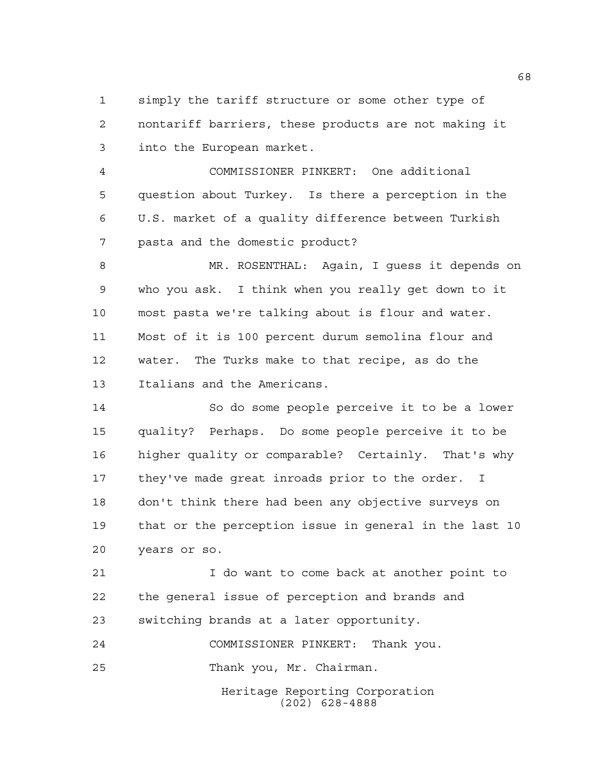simply the tariff structure or some other type of nontariff barriers, these products are not making it into the European market.

 COMMISSIONER PINKERT: One additional question about Turkey. Is there a perception in the U.S. market of a quality difference between Turkish pasta and the domestic product?

 MR. ROSENTHAL: Again, I guess it depends on who you ask. I think when you really get down to it most pasta we're talking about is flour and water. Most of it is 100 percent durum semolina flour and water. The Turks make to that recipe, as do the Italians and the Americans.

 So do some people perceive it to be a lower quality? Perhaps. Do some people perceive it to be higher quality or comparable? Certainly. That's why they've made great inroads prior to the order. I don't think there had been any objective surveys on that or the perception issue in general in the last 10 years or so.

 I do want to come back at another point to the general issue of perception and brands and switching brands at a later opportunity.

Heritage Reporting Corporation (202) 628-4888 COMMISSIONER PINKERT: Thank you. Thank you, Mr. Chairman.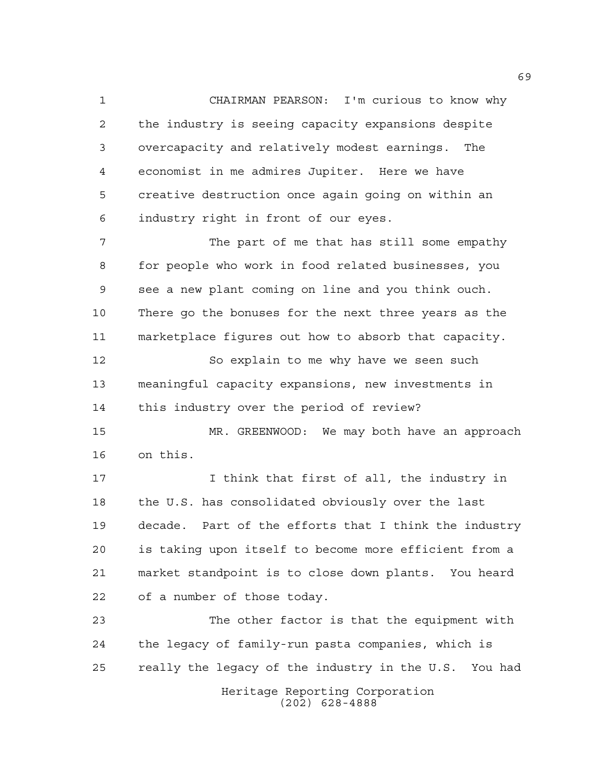CHAIRMAN PEARSON: I'm curious to know why the industry is seeing capacity expansions despite overcapacity and relatively modest earnings. The economist in me admires Jupiter. Here we have creative destruction once again going on within an industry right in front of our eyes.

 The part of me that has still some empathy for people who work in food related businesses, you see a new plant coming on line and you think ouch. There go the bonuses for the next three years as the marketplace figures out how to absorb that capacity.

 So explain to me why have we seen such meaningful capacity expansions, new investments in this industry over the period of review?

 MR. GREENWOOD: We may both have an approach on this.

 I think that first of all, the industry in the U.S. has consolidated obviously over the last decade. Part of the efforts that I think the industry is taking upon itself to become more efficient from a market standpoint is to close down plants. You heard of a number of those today.

Heritage Reporting Corporation The other factor is that the equipment with the legacy of family-run pasta companies, which is really the legacy of the industry in the U.S. You had

(202) 628-4888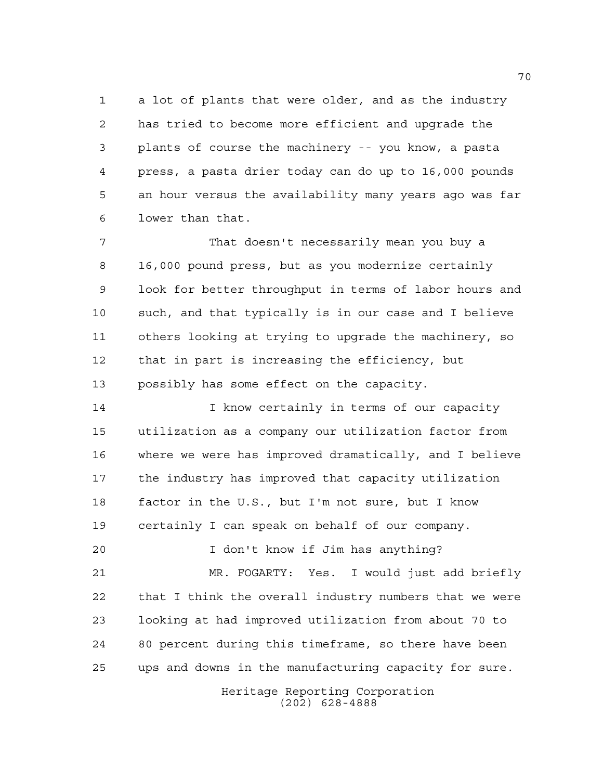a lot of plants that were older, and as the industry has tried to become more efficient and upgrade the plants of course the machinery -- you know, a pasta press, a pasta drier today can do up to 16,000 pounds an hour versus the availability many years ago was far lower than that.

 That doesn't necessarily mean you buy a 16,000 pound press, but as you modernize certainly look for better throughput in terms of labor hours and such, and that typically is in our case and I believe others looking at trying to upgrade the machinery, so that in part is increasing the efficiency, but possibly has some effect on the capacity.

**I know certainly in terms of our capacity**  utilization as a company our utilization factor from where we were has improved dramatically, and I believe the industry has improved that capacity utilization factor in the U.S., but I'm not sure, but I know certainly I can speak on behalf of our company.

 I don't know if Jim has anything? MR. FOGARTY: Yes. I would just add briefly that I think the overall industry numbers that we were looking at had improved utilization from about 70 to 80 percent during this timeframe, so there have been ups and downs in the manufacturing capacity for sure.

> Heritage Reporting Corporation (202) 628-4888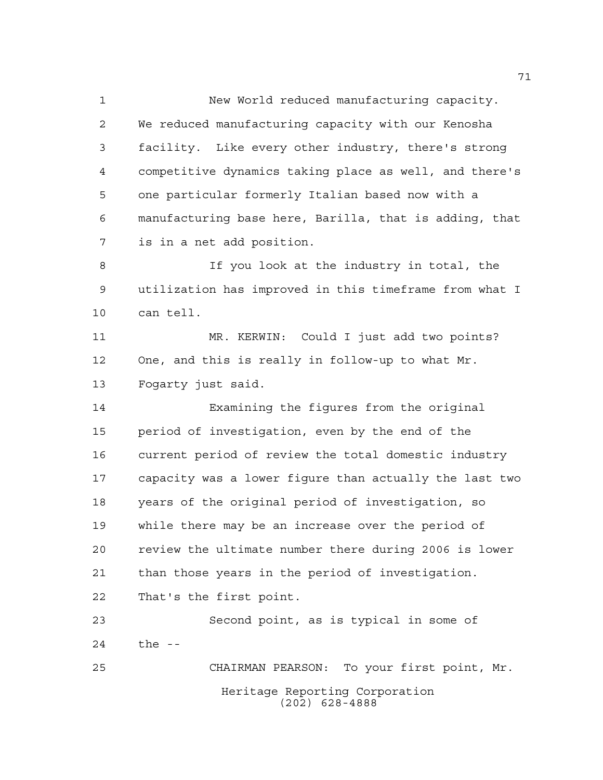New World reduced manufacturing capacity. We reduced manufacturing capacity with our Kenosha facility. Like every other industry, there's strong competitive dynamics taking place as well, and there's one particular formerly Italian based now with a manufacturing base here, Barilla, that is adding, that is in a net add position.

8 15 If you look at the industry in total, the utilization has improved in this timeframe from what I can tell.

 MR. KERWIN: Could I just add two points? One, and this is really in follow-up to what Mr. Fogarty just said.

 Examining the figures from the original period of investigation, even by the end of the current period of review the total domestic industry capacity was a lower figure than actually the last two years of the original period of investigation, so while there may be an increase over the period of review the ultimate number there during 2006 is lower than those years in the period of investigation. That's the first point.

Heritage Reporting Corporation (202) 628-4888 Second point, as is typical in some of the -- CHAIRMAN PEARSON: To your first point, Mr.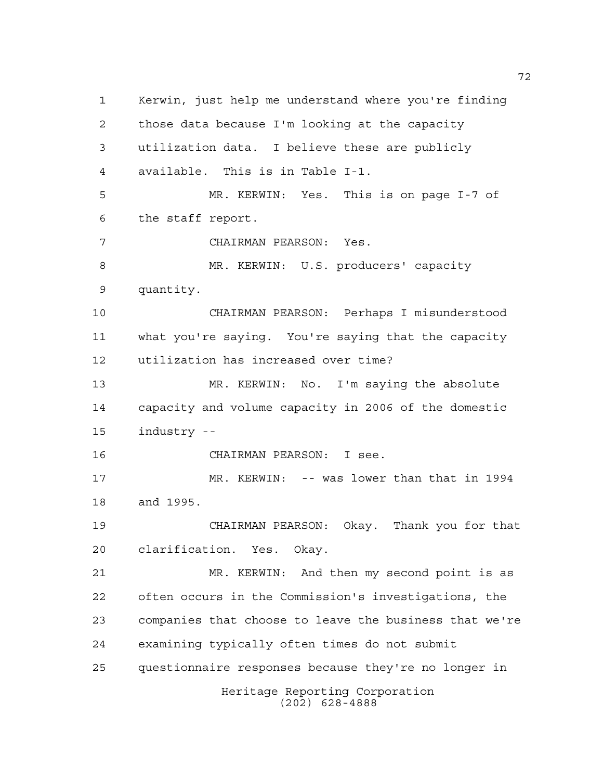Heritage Reporting Corporation Kerwin, just help me understand where you're finding those data because I'm looking at the capacity utilization data. I believe these are publicly available. This is in Table I-1. MR. KERWIN: Yes. This is on page I-7 of the staff report. CHAIRMAN PEARSON: Yes. MR. KERWIN: U.S. producers' capacity quantity. CHAIRMAN PEARSON: Perhaps I misunderstood what you're saying. You're saying that the capacity utilization has increased over time? MR. KERWIN: No. I'm saying the absolute capacity and volume capacity in 2006 of the domestic industry -- CHAIRMAN PEARSON: I see. MR. KERWIN: -- was lower than that in 1994 and 1995. CHAIRMAN PEARSON: Okay. Thank you for that clarification. Yes. Okay. MR. KERWIN: And then my second point is as often occurs in the Commission's investigations, the companies that choose to leave the business that we're examining typically often times do not submit questionnaire responses because they're no longer in

(202) 628-4888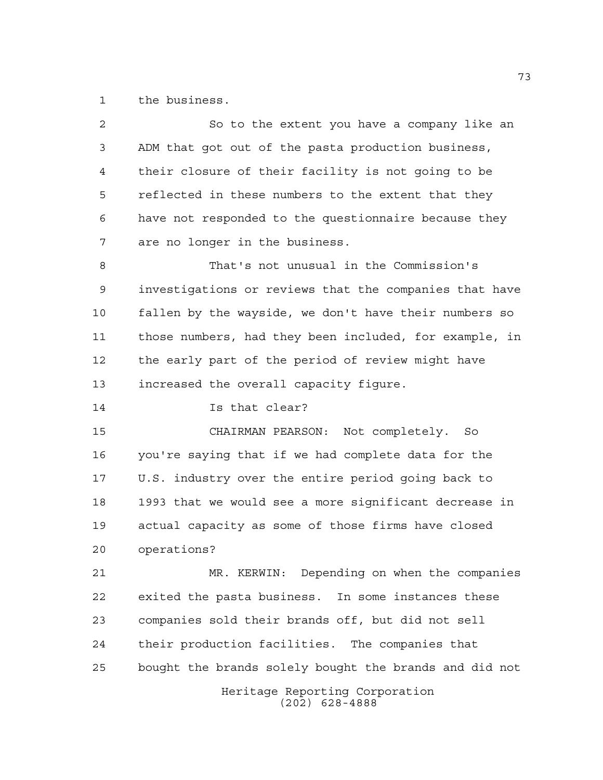the business.

| $\overline{2}$ | So to the extent you have a company like an            |
|----------------|--------------------------------------------------------|
| 3              | ADM that got out of the pasta production business,     |
| 4              | their closure of their facility is not going to be     |
| 5              | reflected in these numbers to the extent that they     |
| 6              | have not responded to the questionnaire because they   |
| 7              | are no longer in the business.                         |
| 8              | That's not unusual in the Commission's                 |
| 9              | investigations or reviews that the companies that have |
| 10             | fallen by the wayside, we don't have their numbers so  |
| 11             | those numbers, had they been included, for example, in |
| 12             | the early part of the period of review might have      |
| 13             | increased the overall capacity figure.                 |
| 14             | Is that clear?                                         |
| 15             | CHAIRMAN PEARSON: Not completely. So                   |
| 16             | you're saying that if we had complete data for the     |
| 17             | U.S. industry over the entire period going back to     |
| 18             | 1993 that we would see a more significant decrease in  |
| 19             | actual capacity as some of those firms have closed     |
| 20             | operations?                                            |
| 21             | MR. KERWIN: Depending on when the companies            |
| 22             | exited the pasta business. In some instances these     |
| 23             | companies sold their brands off, but did not sell      |
| 24             | their production facilities. The companies that        |
| 25             | bought the brands solely bought the brands and did not |
|                | Heritage Reporting Corporation<br>$(202)$ 628-4888     |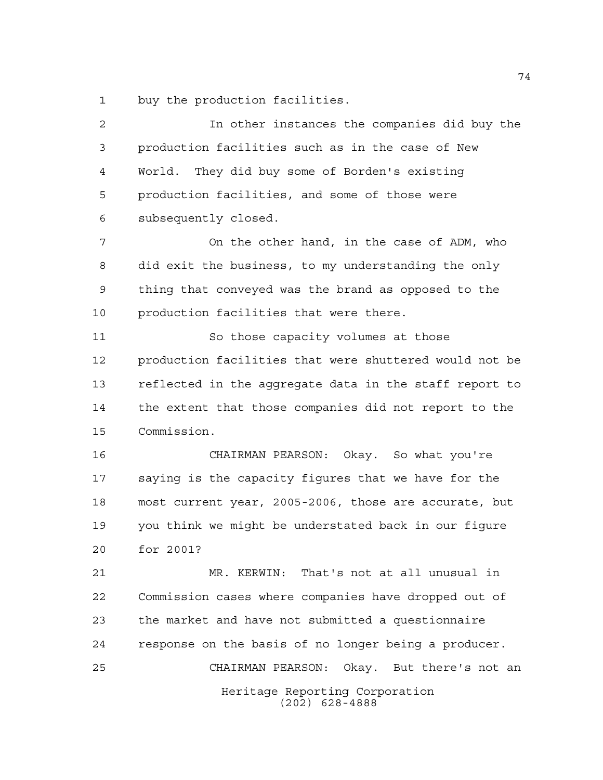buy the production facilities.

 In other instances the companies did buy the production facilities such as in the case of New World. They did buy some of Borden's existing production facilities, and some of those were subsequently closed.

 On the other hand, in the case of ADM, who did exit the business, to my understanding the only thing that conveyed was the brand as opposed to the production facilities that were there.

 So those capacity volumes at those production facilities that were shuttered would not be reflected in the aggregate data in the staff report to the extent that those companies did not report to the Commission.

 CHAIRMAN PEARSON: Okay. So what you're saying is the capacity figures that we have for the most current year, 2005-2006, those are accurate, but you think we might be understated back in our figure for 2001?

Heritage Reporting Corporation (202) 628-4888 MR. KERWIN: That's not at all unusual in Commission cases where companies have dropped out of the market and have not submitted a questionnaire response on the basis of no longer being a producer. CHAIRMAN PEARSON: Okay. But there's not an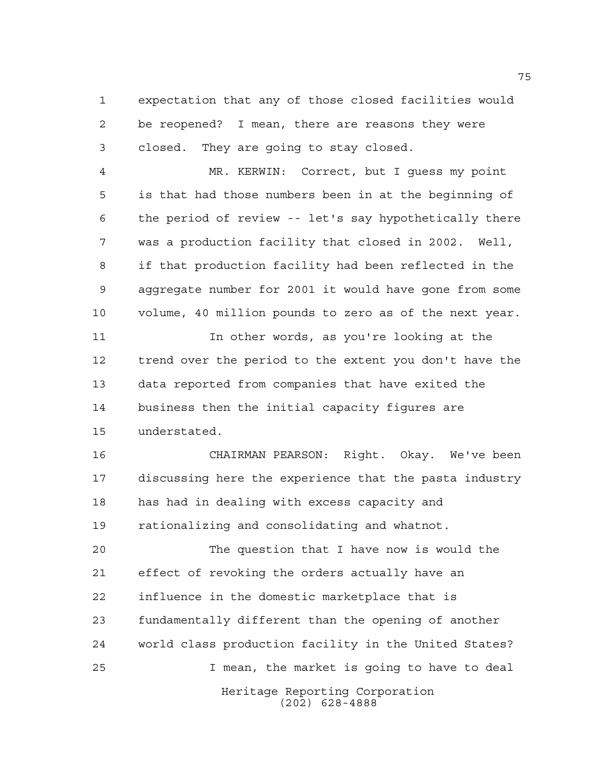expectation that any of those closed facilities would be reopened? I mean, there are reasons they were closed. They are going to stay closed.

 MR. KERWIN: Correct, but I guess my point is that had those numbers been in at the beginning of the period of review -- let's say hypothetically there was a production facility that closed in 2002. Well, if that production facility had been reflected in the aggregate number for 2001 it would have gone from some volume, 40 million pounds to zero as of the next year.

 In other words, as you're looking at the trend over the period to the extent you don't have the data reported from companies that have exited the business then the initial capacity figures are understated.

 CHAIRMAN PEARSON: Right. Okay. We've been discussing here the experience that the pasta industry has had in dealing with excess capacity and rationalizing and consolidating and whatnot.

Heritage Reporting Corporation (202) 628-4888 The question that I have now is would the effect of revoking the orders actually have an influence in the domestic marketplace that is fundamentally different than the opening of another world class production facility in the United States? I mean, the market is going to have to deal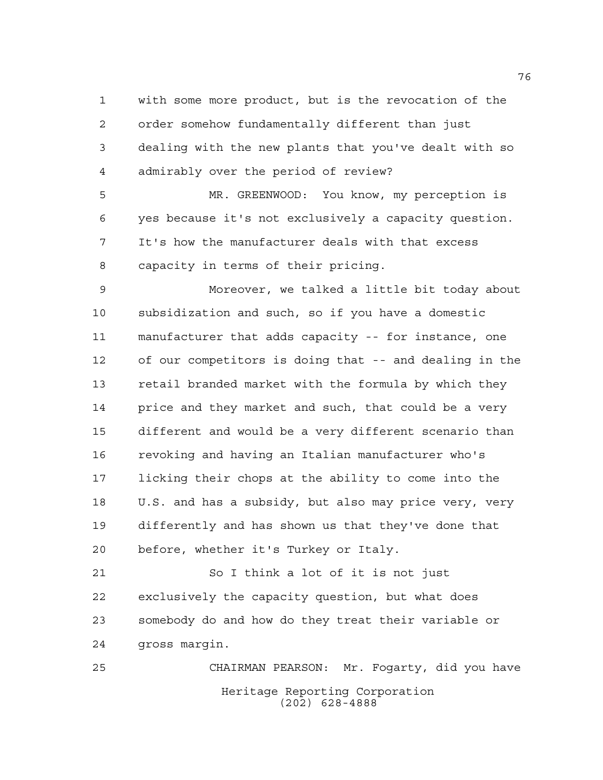with some more product, but is the revocation of the order somehow fundamentally different than just dealing with the new plants that you've dealt with so admirably over the period of review?

 MR. GREENWOOD: You know, my perception is yes because it's not exclusively a capacity question. It's how the manufacturer deals with that excess capacity in terms of their pricing.

 Moreover, we talked a little bit today about subsidization and such, so if you have a domestic manufacturer that adds capacity -- for instance, one of our competitors is doing that -- and dealing in the retail branded market with the formula by which they 14 price and they market and such, that could be a very different and would be a very different scenario than revoking and having an Italian manufacturer who's licking their chops at the ability to come into the U.S. and has a subsidy, but also may price very, very differently and has shown us that they've done that before, whether it's Turkey or Italy.

 So I think a lot of it is not just exclusively the capacity question, but what does somebody do and how do they treat their variable or gross margin.

Heritage Reporting Corporation (202) 628-4888 CHAIRMAN PEARSON: Mr. Fogarty, did you have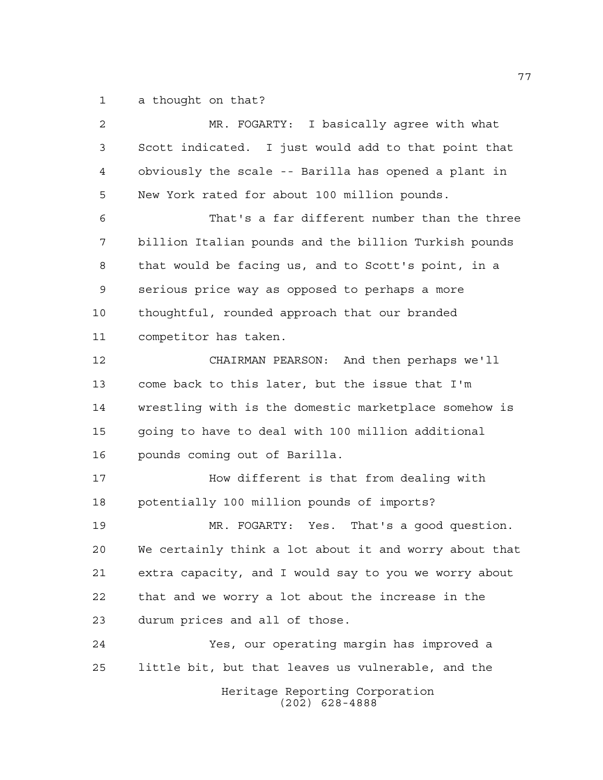a thought on that?

| $\overline{a}$ | MR. FOGARTY: I basically agree with what               |
|----------------|--------------------------------------------------------|
| 3              | Scott indicated. I just would add to that point that   |
| 4              | obviously the scale -- Barilla has opened a plant in   |
| 5              | New York rated for about 100 million pounds.           |
| 6              | That's a far different number than the three           |
| 7              | billion Italian pounds and the billion Turkish pounds  |
| 8              | that would be facing us, and to Scott's point, in a    |
| 9              | serious price way as opposed to perhaps a more         |
| 10             | thoughtful, rounded approach that our branded          |
| 11             | competitor has taken.                                  |
| 12             | CHAIRMAN PEARSON: And then perhaps we'll               |
| 13             | come back to this later, but the issue that I'm        |
| 14             | wrestling with is the domestic marketplace somehow is  |
| 15             | going to have to deal with 100 million additional      |
| 16             | pounds coming out of Barilla.                          |
| 17             | How different is that from dealing with                |
| 18             | potentially 100 million pounds of imports?             |
| 19             | MR. FOGARTY: Yes. That's a good question.              |
| 20             | We certainly think a lot about it and worry about that |
| 21             | extra capacity, and I would say to you we worry about  |
| 22             | that and we worry a lot about the increase in the      |
| 23             | durum prices and all of those.                         |
| 24             | Yes, our operating margin has improved a               |
| 25             | little bit, but that leaves us vulnerable, and the     |
|                | Heritage Reporting Corporation<br>$(202)$ 628-4888     |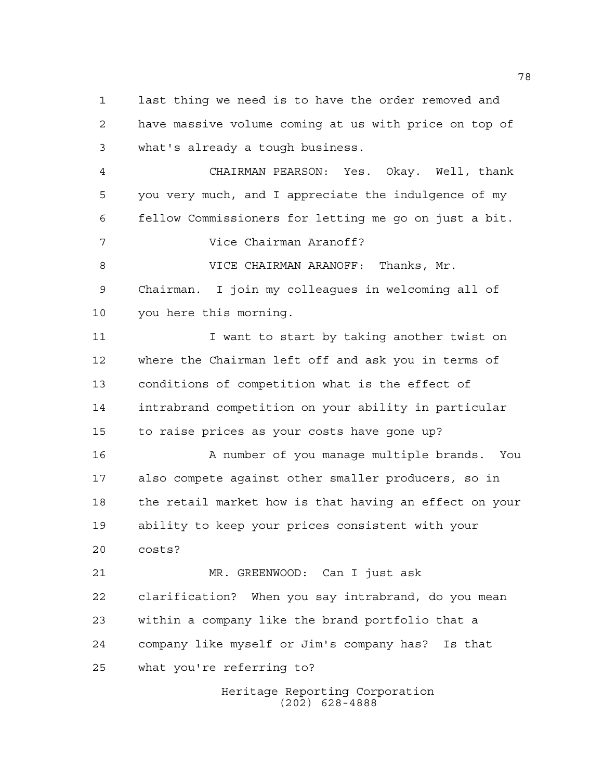last thing we need is to have the order removed and have massive volume coming at us with price on top of what's already a tough business.

 CHAIRMAN PEARSON: Yes. Okay. Well, thank you very much, and I appreciate the indulgence of my fellow Commissioners for letting me go on just a bit.

Vice Chairman Aranoff?

8 VICE CHAIRMAN ARANOFF: Thanks, Mr. Chairman. I join my colleagues in welcoming all of you here this morning.

11 I want to start by taking another twist on where the Chairman left off and ask you in terms of conditions of competition what is the effect of intrabrand competition on your ability in particular to raise prices as your costs have gone up?

16 A number of you manage multiple brands. You also compete against other smaller producers, so in the retail market how is that having an effect on your ability to keep your prices consistent with your costs?

 MR. GREENWOOD: Can I just ask clarification? When you say intrabrand, do you mean within a company like the brand portfolio that a company like myself or Jim's company has? Is that what you're referring to?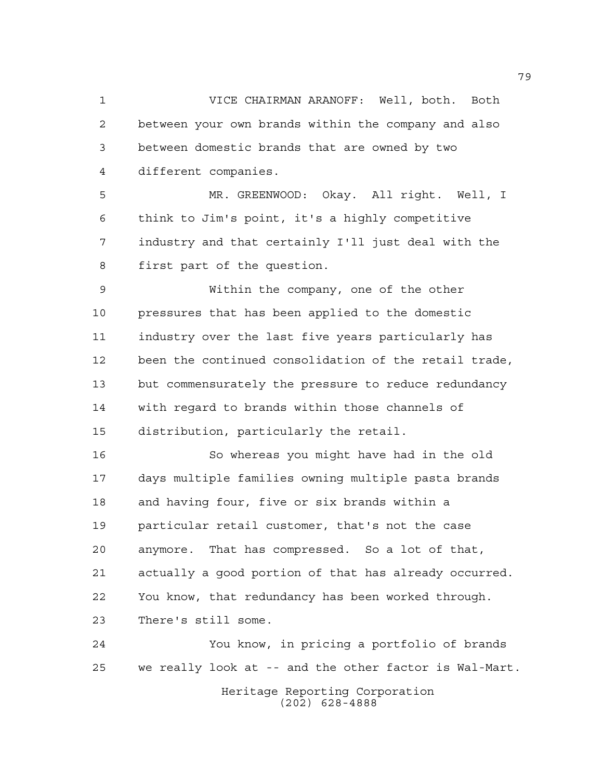VICE CHAIRMAN ARANOFF: Well, both. Both between your own brands within the company and also between domestic brands that are owned by two different companies.

 MR. GREENWOOD: Okay. All right. Well, I think to Jim's point, it's a highly competitive industry and that certainly I'll just deal with the first part of the question.

 Within the company, one of the other pressures that has been applied to the domestic industry over the last five years particularly has been the continued consolidation of the retail trade, 13 but commensurately the pressure to reduce redundancy with regard to brands within those channels of distribution, particularly the retail.

 So whereas you might have had in the old days multiple families owning multiple pasta brands and having four, five or six brands within a particular retail customer, that's not the case anymore. That has compressed. So a lot of that, actually a good portion of that has already occurred. You know, that redundancy has been worked through. There's still some.

Heritage Reporting Corporation (202) 628-4888 You know, in pricing a portfolio of brands we really look at -- and the other factor is Wal-Mart.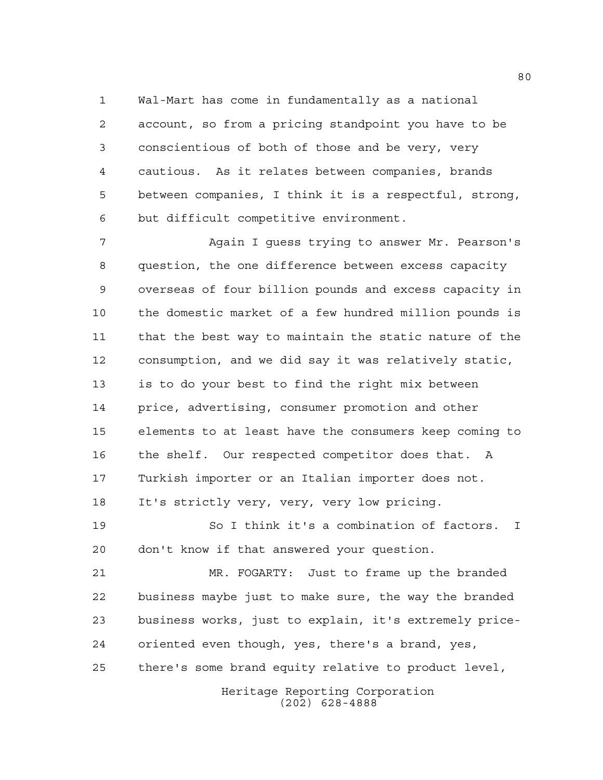Wal-Mart has come in fundamentally as a national account, so from a pricing standpoint you have to be conscientious of both of those and be very, very cautious. As it relates between companies, brands between companies, I think it is a respectful, strong, but difficult competitive environment.

 Again I guess trying to answer Mr. Pearson's question, the one difference between excess capacity overseas of four billion pounds and excess capacity in the domestic market of a few hundred million pounds is that the best way to maintain the static nature of the consumption, and we did say it was relatively static, is to do your best to find the right mix between price, advertising, consumer promotion and other elements to at least have the consumers keep coming to the shelf. Our respected competitor does that. A Turkish importer or an Italian importer does not. It's strictly very, very, very low pricing.

 So I think it's a combination of factors. I don't know if that answered your question.

 MR. FOGARTY: Just to frame up the branded business maybe just to make sure, the way the branded business works, just to explain, it's extremely price- oriented even though, yes, there's a brand, yes, there's some brand equity relative to product level,

Heritage Reporting Corporation (202) 628-4888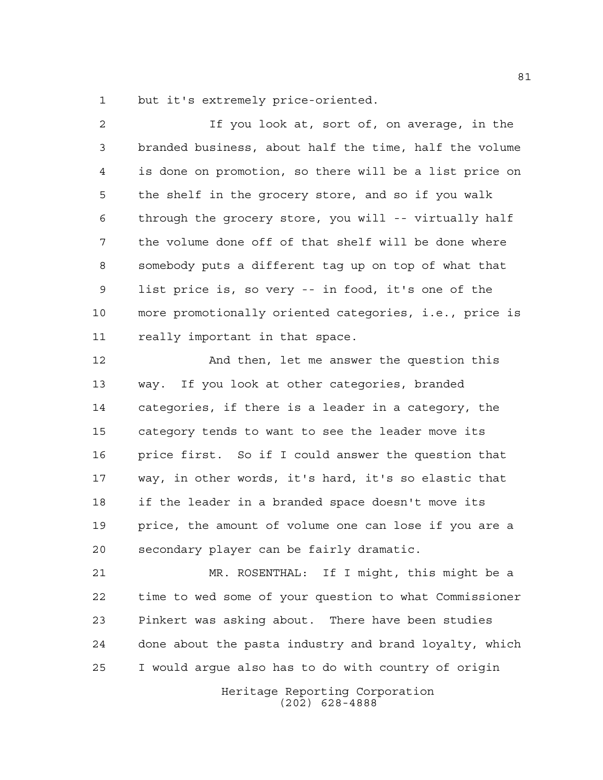but it's extremely price-oriented.

 If you look at, sort of, on average, in the branded business, about half the time, half the volume is done on promotion, so there will be a list price on the shelf in the grocery store, and so if you walk through the grocery store, you will -- virtually half the volume done off of that shelf will be done where somebody puts a different tag up on top of what that list price is, so very -- in food, it's one of the more promotionally oriented categories, i.e., price is really important in that space. And then, let me answer the question this way. If you look at other categories, branded

 categories, if there is a leader in a category, the category tends to want to see the leader move its price first. So if I could answer the question that way, in other words, it's hard, it's so elastic that if the leader in a branded space doesn't move its price, the amount of volume one can lose if you are a secondary player can be fairly dramatic.

 MR. ROSENTHAL: If I might, this might be a time to wed some of your question to what Commissioner Pinkert was asking about. There have been studies done about the pasta industry and brand loyalty, which I would argue also has to do with country of origin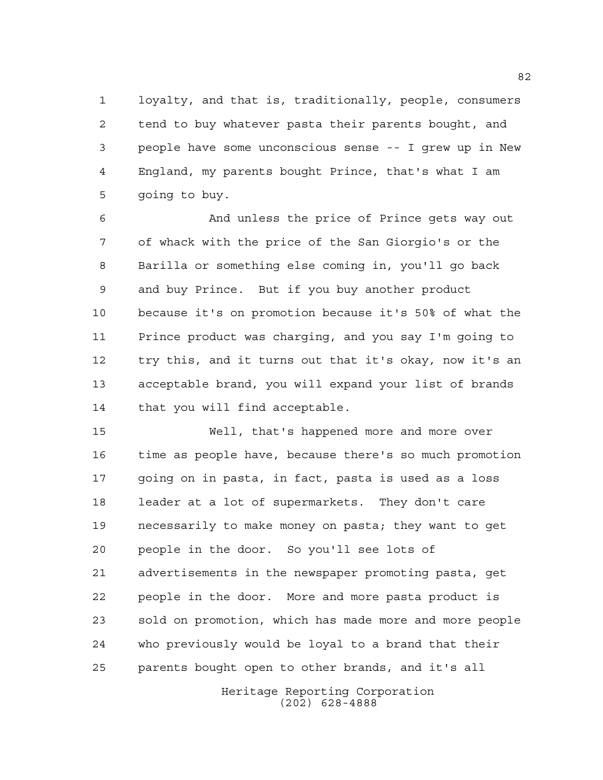loyalty, and that is, traditionally, people, consumers tend to buy whatever pasta their parents bought, and people have some unconscious sense -- I grew up in New England, my parents bought Prince, that's what I am going to buy.

 And unless the price of Prince gets way out of whack with the price of the San Giorgio's or the Barilla or something else coming in, you'll go back and buy Prince. But if you buy another product because it's on promotion because it's 50% of what the Prince product was charging, and you say I'm going to try this, and it turns out that it's okay, now it's an acceptable brand, you will expand your list of brands that you will find acceptable.

 Well, that's happened more and more over time as people have, because there's so much promotion going on in pasta, in fact, pasta is used as a loss leader at a lot of supermarkets. They don't care necessarily to make money on pasta; they want to get people in the door. So you'll see lots of advertisements in the newspaper promoting pasta, get people in the door. More and more pasta product is sold on promotion, which has made more and more people who previously would be loyal to a brand that their parents bought open to other brands, and it's all

> Heritage Reporting Corporation (202) 628-4888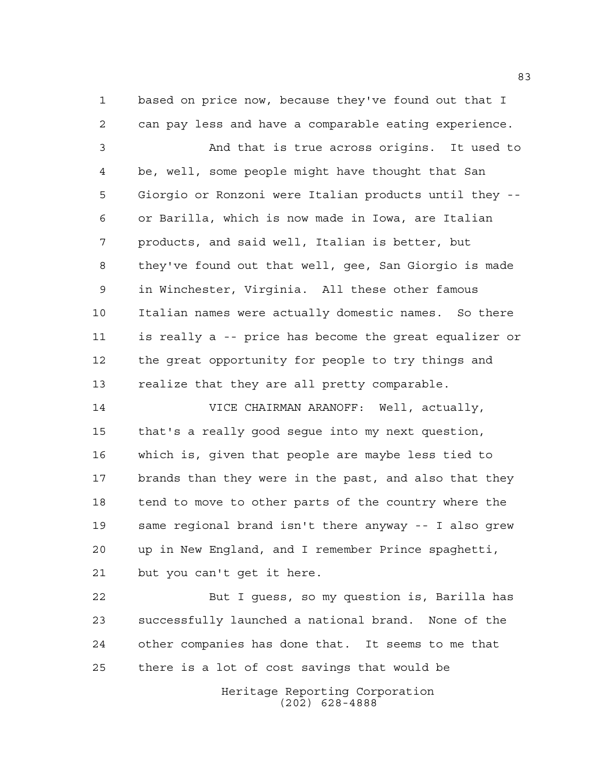based on price now, because they've found out that I can pay less and have a comparable eating experience.

 And that is true across origins. It used to be, well, some people might have thought that San Giorgio or Ronzoni were Italian products until they -- or Barilla, which is now made in Iowa, are Italian products, and said well, Italian is better, but they've found out that well, gee, San Giorgio is made in Winchester, Virginia. All these other famous Italian names were actually domestic names. So there is really a -- price has become the great equalizer or the great opportunity for people to try things and realize that they are all pretty comparable.

 VICE CHAIRMAN ARANOFF: Well, actually, that's a really good segue into my next question, which is, given that people are maybe less tied to brands than they were in the past, and also that they tend to move to other parts of the country where the same regional brand isn't there anyway -- I also grew up in New England, and I remember Prince spaghetti, but you can't get it here.

 But I guess, so my question is, Barilla has successfully launched a national brand. None of the other companies has done that. It seems to me that there is a lot of cost savings that would be

> Heritage Reporting Corporation (202) 628-4888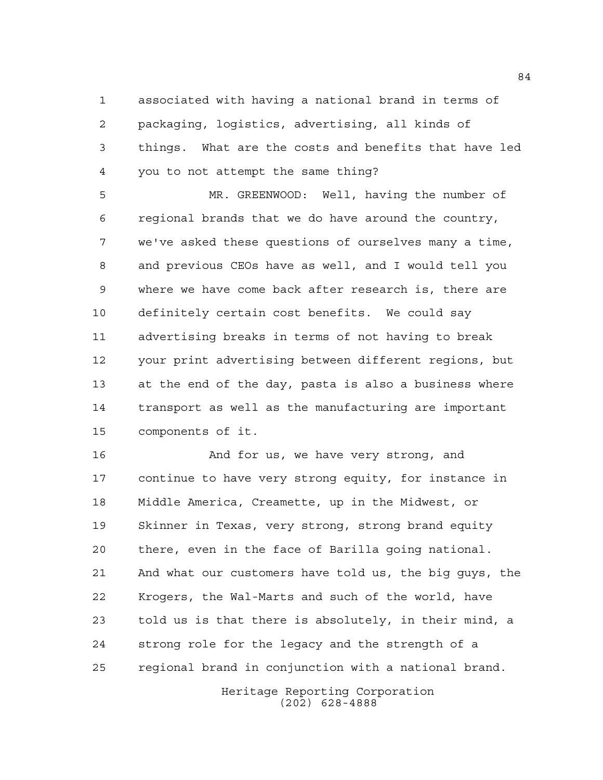associated with having a national brand in terms of packaging, logistics, advertising, all kinds of things. What are the costs and benefits that have led you to not attempt the same thing?

 MR. GREENWOOD: Well, having the number of regional brands that we do have around the country, we've asked these questions of ourselves many a time, and previous CEOs have as well, and I would tell you where we have come back after research is, there are definitely certain cost benefits. We could say advertising breaks in terms of not having to break your print advertising between different regions, but at the end of the day, pasta is also a business where transport as well as the manufacturing are important components of it.

16 And for us, we have very strong, and continue to have very strong equity, for instance in Middle America, Creamette, up in the Midwest, or Skinner in Texas, very strong, strong brand equity there, even in the face of Barilla going national. And what our customers have told us, the big guys, the Krogers, the Wal-Marts and such of the world, have told us is that there is absolutely, in their mind, a strong role for the legacy and the strength of a regional brand in conjunction with a national brand.

> Heritage Reporting Corporation (202) 628-4888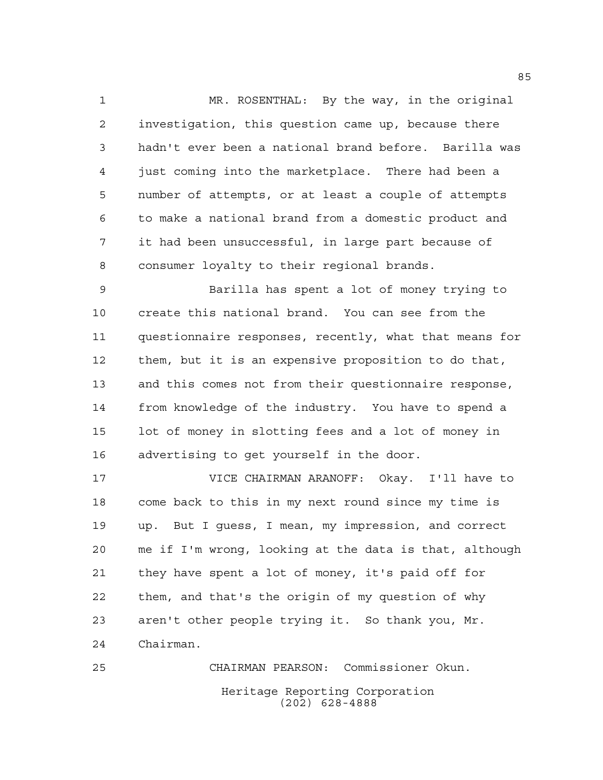MR. ROSENTHAL: By the way, in the original investigation, this question came up, because there hadn't ever been a national brand before. Barilla was just coming into the marketplace. There had been a number of attempts, or at least a couple of attempts to make a national brand from a domestic product and it had been unsuccessful, in large part because of consumer loyalty to their regional brands.

 Barilla has spent a lot of money trying to create this national brand. You can see from the questionnaire responses, recently, what that means for them, but it is an expensive proposition to do that, and this comes not from their questionnaire response, from knowledge of the industry. You have to spend a lot of money in slotting fees and a lot of money in advertising to get yourself in the door.

 VICE CHAIRMAN ARANOFF: Okay. I'll have to come back to this in my next round since my time is up. But I guess, I mean, my impression, and correct me if I'm wrong, looking at the data is that, although they have spent a lot of money, it's paid off for them, and that's the origin of my question of why aren't other people trying it. So thank you, Mr. Chairman.

Heritage Reporting Corporation (202) 628-4888 CHAIRMAN PEARSON: Commissioner Okun.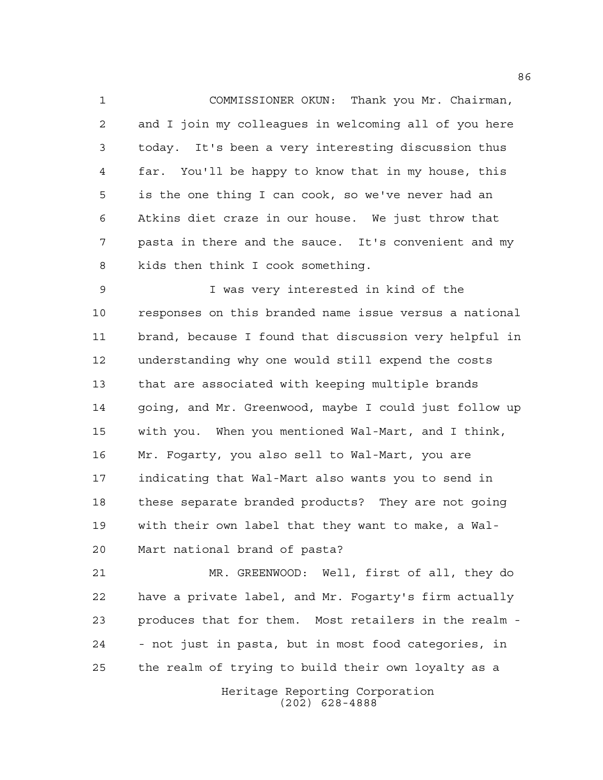COMMISSIONER OKUN: Thank you Mr. Chairman, and I join my colleagues in welcoming all of you here today. It's been a very interesting discussion thus far. You'll be happy to know that in my house, this is the one thing I can cook, so we've never had an Atkins diet craze in our house. We just throw that pasta in there and the sauce. It's convenient and my kids then think I cook something.

 I was very interested in kind of the responses on this branded name issue versus a national brand, because I found that discussion very helpful in understanding why one would still expend the costs that are associated with keeping multiple brands going, and Mr. Greenwood, maybe I could just follow up with you. When you mentioned Wal-Mart, and I think, Mr. Fogarty, you also sell to Wal-Mart, you are indicating that Wal-Mart also wants you to send in these separate branded products? They are not going with their own label that they want to make, a Wal-Mart national brand of pasta?

 MR. GREENWOOD: Well, first of all, they do have a private label, and Mr. Fogarty's firm actually produces that for them. Most retailers in the realm - - not just in pasta, but in most food categories, in the realm of trying to build their own loyalty as a

> Heritage Reporting Corporation (202) 628-4888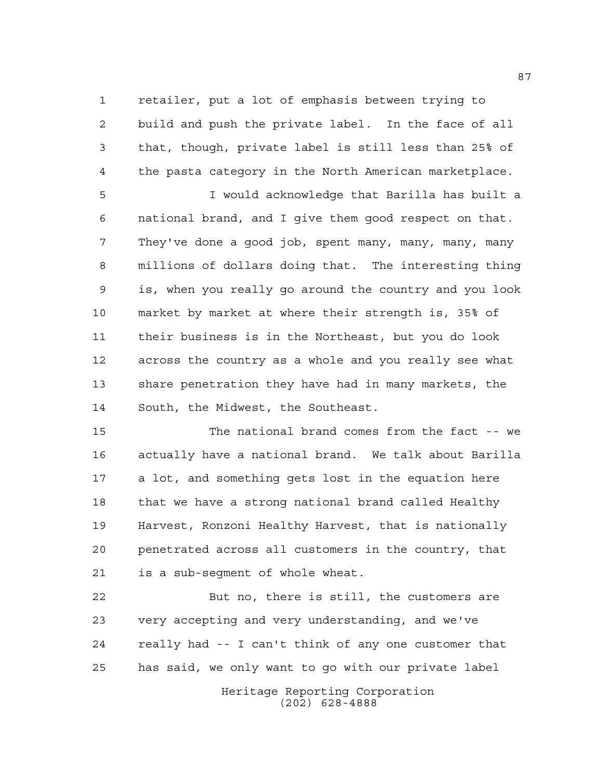retailer, put a lot of emphasis between trying to build and push the private label. In the face of all that, though, private label is still less than 25% of the pasta category in the North American marketplace.

 I would acknowledge that Barilla has built a national brand, and I give them good respect on that. They've done a good job, spent many, many, many, many millions of dollars doing that. The interesting thing is, when you really go around the country and you look market by market at where their strength is, 35% of their business is in the Northeast, but you do look across the country as a whole and you really see what share penetration they have had in many markets, the South, the Midwest, the Southeast.

 The national brand comes from the fact -- we actually have a national brand. We talk about Barilla a lot, and something gets lost in the equation here that we have a strong national brand called Healthy Harvest, Ronzoni Healthy Harvest, that is nationally penetrated across all customers in the country, that is a sub-segment of whole wheat.

 But no, there is still, the customers are very accepting and very understanding, and we've really had -- I can't think of any one customer that has said, we only want to go with our private label

> Heritage Reporting Corporation (202) 628-4888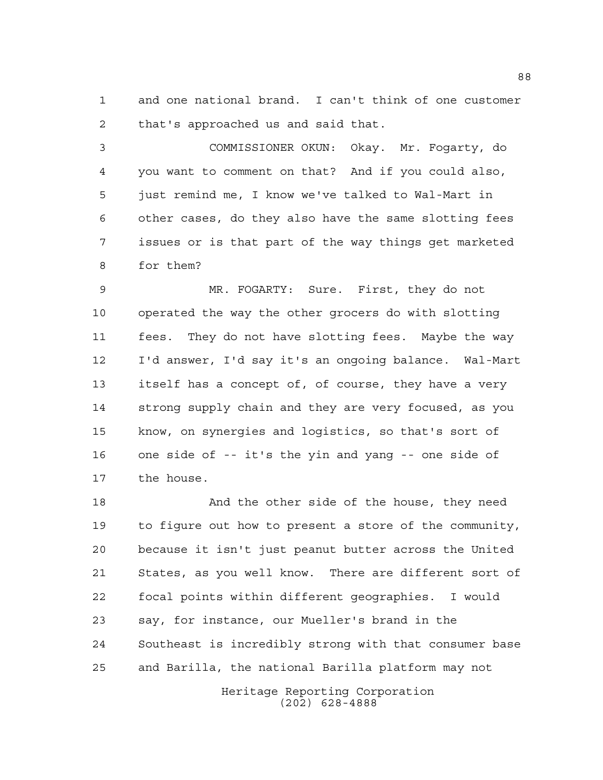and one national brand. I can't think of one customer that's approached us and said that.

 COMMISSIONER OKUN: Okay. Mr. Fogarty, do you want to comment on that? And if you could also, just remind me, I know we've talked to Wal-Mart in other cases, do they also have the same slotting fees issues or is that part of the way things get marketed for them?

 MR. FOGARTY: Sure. First, they do not operated the way the other grocers do with slotting fees. They do not have slotting fees. Maybe the way I'd answer, I'd say it's an ongoing balance. Wal-Mart itself has a concept of, of course, they have a very strong supply chain and they are very focused, as you know, on synergies and logistics, so that's sort of one side of -- it's the yin and yang -- one side of the house.

18 And the other side of the house, they need to figure out how to present a store of the community, because it isn't just peanut butter across the United States, as you well know. There are different sort of focal points within different geographies. I would say, for instance, our Mueller's brand in the Southeast is incredibly strong with that consumer base and Barilla, the national Barilla platform may not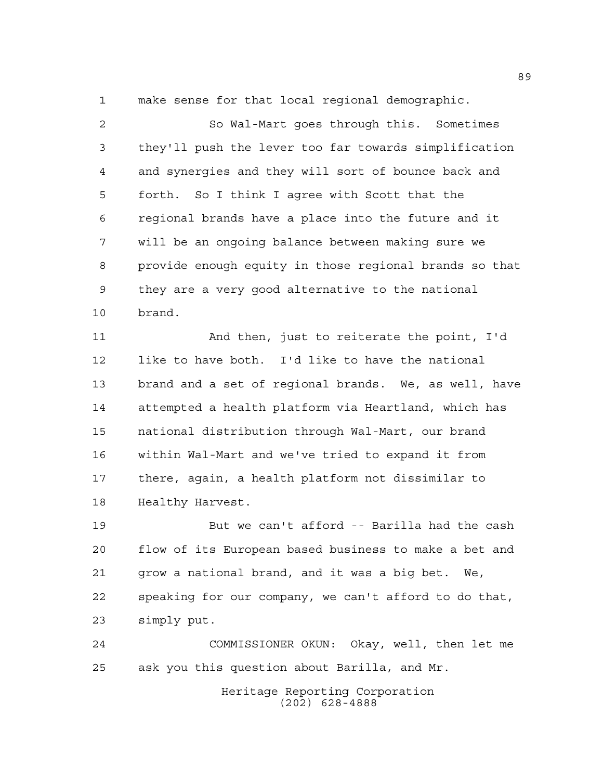make sense for that local regional demographic.

 So Wal-Mart goes through this. Sometimes they'll push the lever too far towards simplification and synergies and they will sort of bounce back and forth. So I think I agree with Scott that the regional brands have a place into the future and it will be an ongoing balance between making sure we provide enough equity in those regional brands so that they are a very good alternative to the national brand.

 And then, just to reiterate the point, I'd like to have both. I'd like to have the national brand and a set of regional brands. We, as well, have attempted a health platform via Heartland, which has national distribution through Wal-Mart, our brand within Wal-Mart and we've tried to expand it from there, again, a health platform not dissimilar to Healthy Harvest.

 But we can't afford -- Barilla had the cash flow of its European based business to make a bet and grow a national brand, and it was a big bet. We, speaking for our company, we can't afford to do that, simply put.

 COMMISSIONER OKUN: Okay, well, then let me ask you this question about Barilla, and Mr.

> Heritage Reporting Corporation (202) 628-4888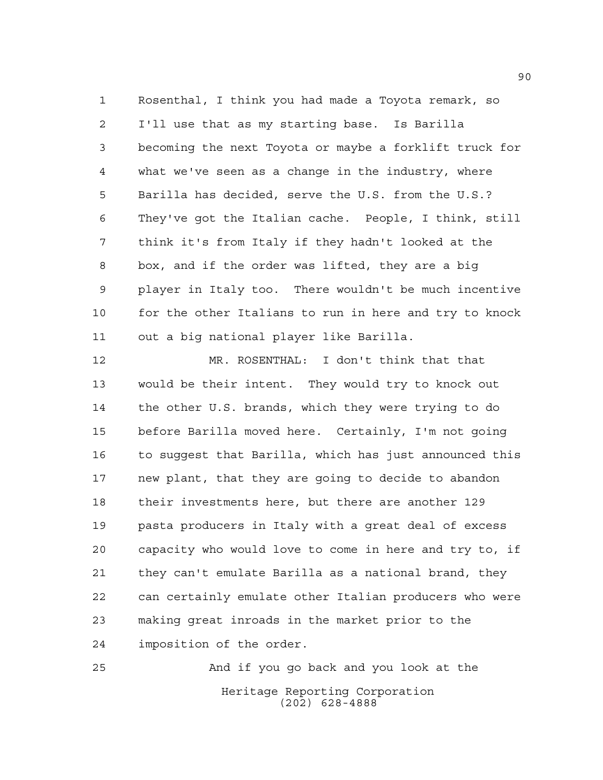Rosenthal, I think you had made a Toyota remark, so I'll use that as my starting base. Is Barilla becoming the next Toyota or maybe a forklift truck for what we've seen as a change in the industry, where Barilla has decided, serve the U.S. from the U.S.? They've got the Italian cache. People, I think, still think it's from Italy if they hadn't looked at the box, and if the order was lifted, they are a big player in Italy too. There wouldn't be much incentive for the other Italians to run in here and try to knock out a big national player like Barilla.

 MR. ROSENTHAL: I don't think that that would be their intent. They would try to knock out the other U.S. brands, which they were trying to do before Barilla moved here. Certainly, I'm not going to suggest that Barilla, which has just announced this new plant, that they are going to decide to abandon their investments here, but there are another 129 pasta producers in Italy with a great deal of excess capacity who would love to come in here and try to, if they can't emulate Barilla as a national brand, they can certainly emulate other Italian producers who were making great inroads in the market prior to the imposition of the order.

Heritage Reporting Corporation (202) 628-4888 And if you go back and you look at the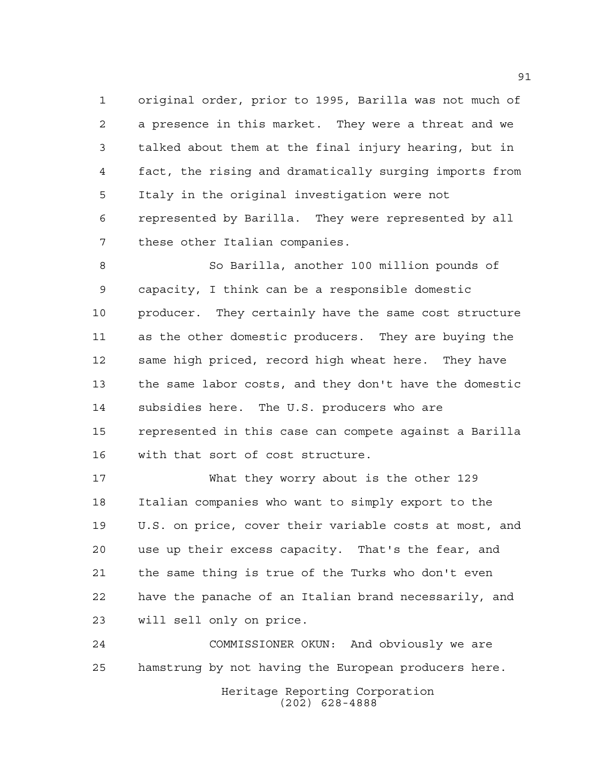original order, prior to 1995, Barilla was not much of a presence in this market. They were a threat and we talked about them at the final injury hearing, but in fact, the rising and dramatically surging imports from Italy in the original investigation were not represented by Barilla. They were represented by all these other Italian companies.

 So Barilla, another 100 million pounds of capacity, I think can be a responsible domestic producer. They certainly have the same cost structure as the other domestic producers. They are buying the same high priced, record high wheat here. They have the same labor costs, and they don't have the domestic subsidies here. The U.S. producers who are represented in this case can compete against a Barilla with that sort of cost structure.

 What they worry about is the other 129 Italian companies who want to simply export to the U.S. on price, cover their variable costs at most, and use up their excess capacity. That's the fear, and the same thing is true of the Turks who don't even have the panache of an Italian brand necessarily, and will sell only on price.

 COMMISSIONER OKUN: And obviously we are hamstrung by not having the European producers here.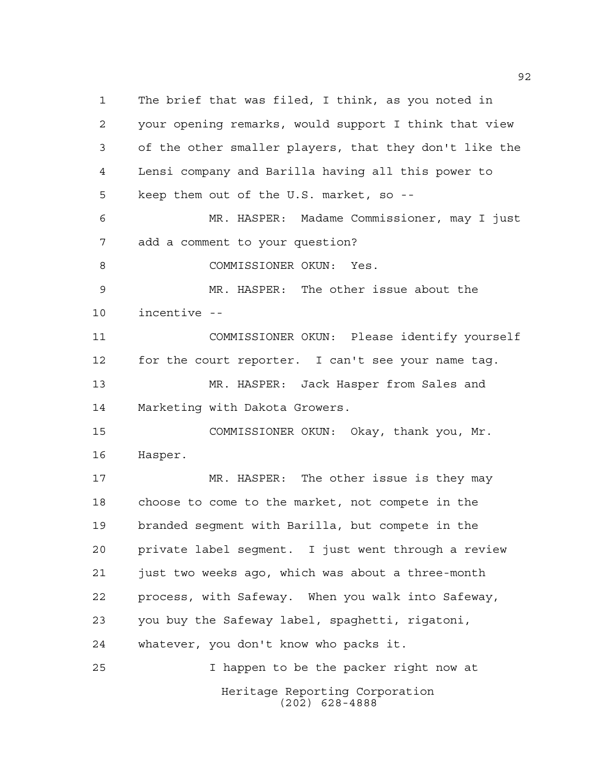Heritage Reporting Corporation (202) 628-4888 The brief that was filed, I think, as you noted in your opening remarks, would support I think that view of the other smaller players, that they don't like the Lensi company and Barilla having all this power to keep them out of the U.S. market, so -- MR. HASPER: Madame Commissioner, may I just add a comment to your question? 8 COMMISSIONER OKUN: Yes. MR. HASPER: The other issue about the incentive -- COMMISSIONER OKUN: Please identify yourself for the court reporter. I can't see your name tag. MR. HASPER: Jack Hasper from Sales and Marketing with Dakota Growers. COMMISSIONER OKUN: Okay, thank you, Mr. Hasper. MR. HASPER: The other issue is they may choose to come to the market, not compete in the branded segment with Barilla, but compete in the private label segment. I just went through a review just two weeks ago, which was about a three-month process, with Safeway. When you walk into Safeway, you buy the Safeway label, spaghetti, rigatoni, whatever, you don't know who packs it. I happen to be the packer right now at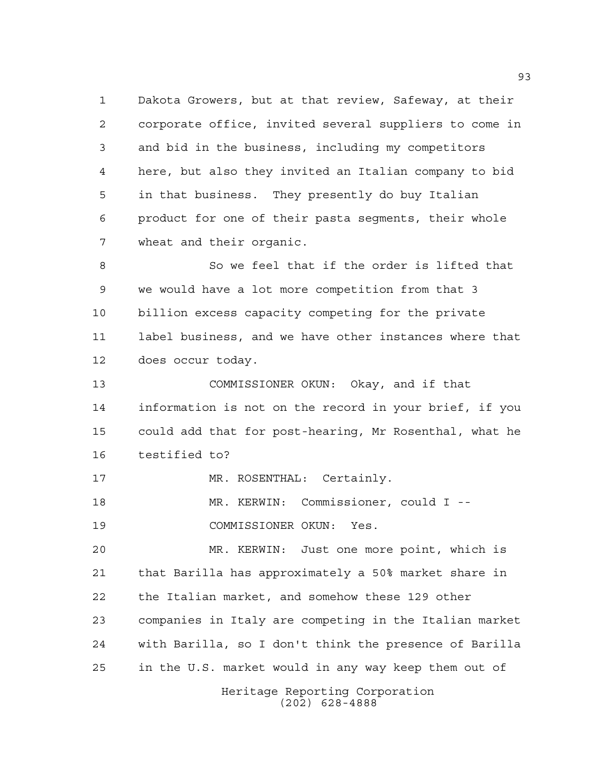Dakota Growers, but at that review, Safeway, at their corporate office, invited several suppliers to come in and bid in the business, including my competitors here, but also they invited an Italian company to bid in that business. They presently do buy Italian product for one of their pasta segments, their whole wheat and their organic.

 So we feel that if the order is lifted that we would have a lot more competition from that 3 billion excess capacity competing for the private label business, and we have other instances where that does occur today.

 COMMISSIONER OKUN: Okay, and if that information is not on the record in your brief, if you could add that for post-hearing, Mr Rosenthal, what he testified to?

17 MR. ROSENTHAL: Certainly.

 MR. KERWIN: Commissioner, could I -- COMMISSIONER OKUN: Yes.

 MR. KERWIN: Just one more point, which is that Barilla has approximately a 50% market share in the Italian market, and somehow these 129 other companies in Italy are competing in the Italian market with Barilla, so I don't think the presence of Barilla in the U.S. market would in any way keep them out of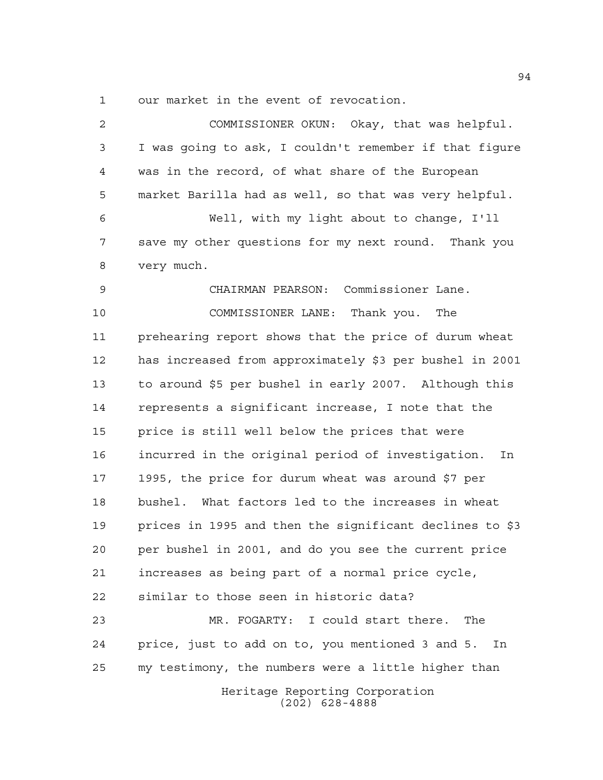our market in the event of revocation.

Heritage Reporting Corporation (202) 628-4888 COMMISSIONER OKUN: Okay, that was helpful. I was going to ask, I couldn't remember if that figure was in the record, of what share of the European market Barilla had as well, so that was very helpful. Well, with my light about to change, I'll save my other questions for my next round. Thank you very much. CHAIRMAN PEARSON: Commissioner Lane. COMMISSIONER LANE: Thank you. The prehearing report shows that the price of durum wheat has increased from approximately \$3 per bushel in 2001 to around \$5 per bushel in early 2007. Although this represents a significant increase, I note that the price is still well below the prices that were incurred in the original period of investigation. In 1995, the price for durum wheat was around \$7 per bushel. What factors led to the increases in wheat prices in 1995 and then the significant declines to \$3 per bushel in 2001, and do you see the current price increases as being part of a normal price cycle, similar to those seen in historic data? MR. FOGARTY: I could start there. The price, just to add on to, you mentioned 3 and 5. In my testimony, the numbers were a little higher than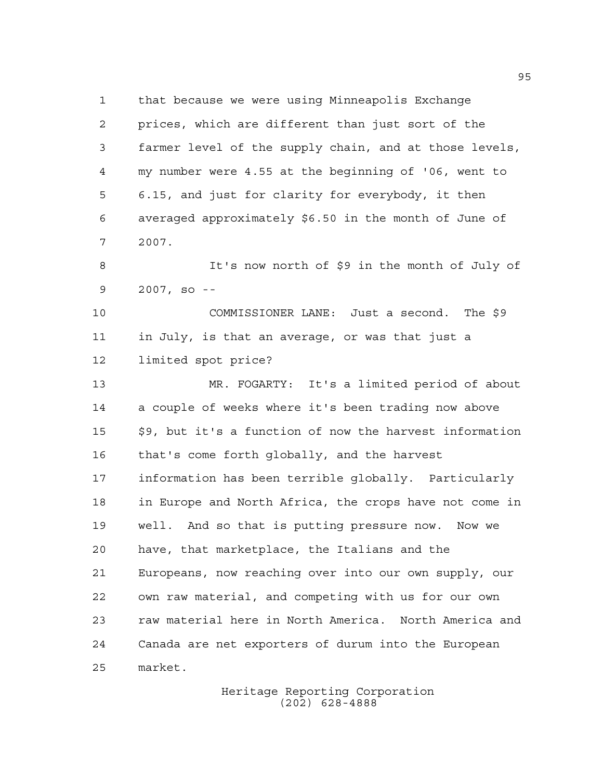that because we were using Minneapolis Exchange prices, which are different than just sort of the farmer level of the supply chain, and at those levels, my number were 4.55 at the beginning of '06, went to 6.15, and just for clarity for everybody, it then averaged approximately \$6.50 in the month of June of 2007.

 It's now north of \$9 in the month of July of 2007, so --

 COMMISSIONER LANE: Just a second. The \$9 in July, is that an average, or was that just a limited spot price?

 MR. FOGARTY: It's a limited period of about a couple of weeks where it's been trading now above \$9, but it's a function of now the harvest information that's come forth globally, and the harvest information has been terrible globally. Particularly in Europe and North Africa, the crops have not come in well. And so that is putting pressure now. Now we have, that marketplace, the Italians and the Europeans, now reaching over into our own supply, our own raw material, and competing with us for our own raw material here in North America. North America and Canada are net exporters of durum into the European market.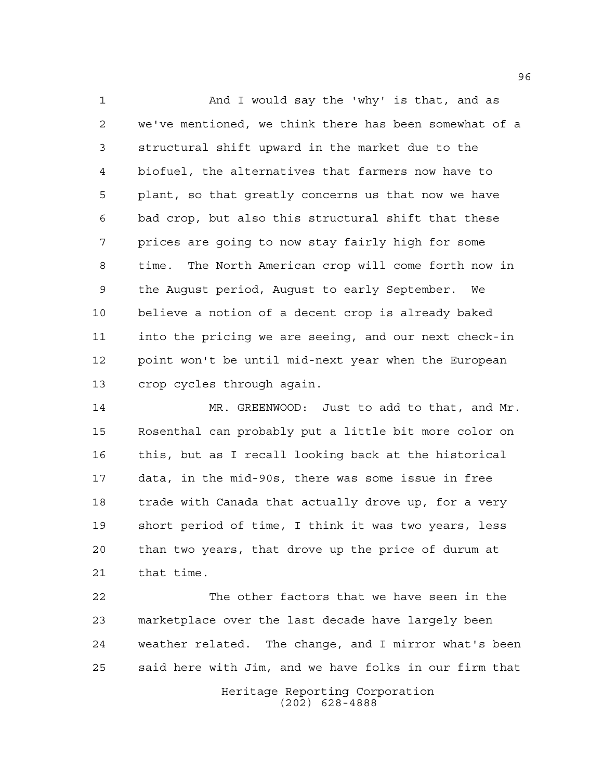And I would say the 'why' is that, and as we've mentioned, we think there has been somewhat of a structural shift upward in the market due to the biofuel, the alternatives that farmers now have to plant, so that greatly concerns us that now we have bad crop, but also this structural shift that these prices are going to now stay fairly high for some time. The North American crop will come forth now in the August period, August to early September. We believe a notion of a decent crop is already baked into the pricing we are seeing, and our next check-in point won't be until mid-next year when the European crop cycles through again.

 MR. GREENWOOD: Just to add to that, and Mr. Rosenthal can probably put a little bit more color on this, but as I recall looking back at the historical data, in the mid-90s, there was some issue in free 18 trade with Canada that actually drove up, for a very short period of time, I think it was two years, less than two years, that drove up the price of durum at that time.

 The other factors that we have seen in the marketplace over the last decade have largely been weather related. The change, and I mirror what's been said here with Jim, and we have folks in our firm that

> Heritage Reporting Corporation (202) 628-4888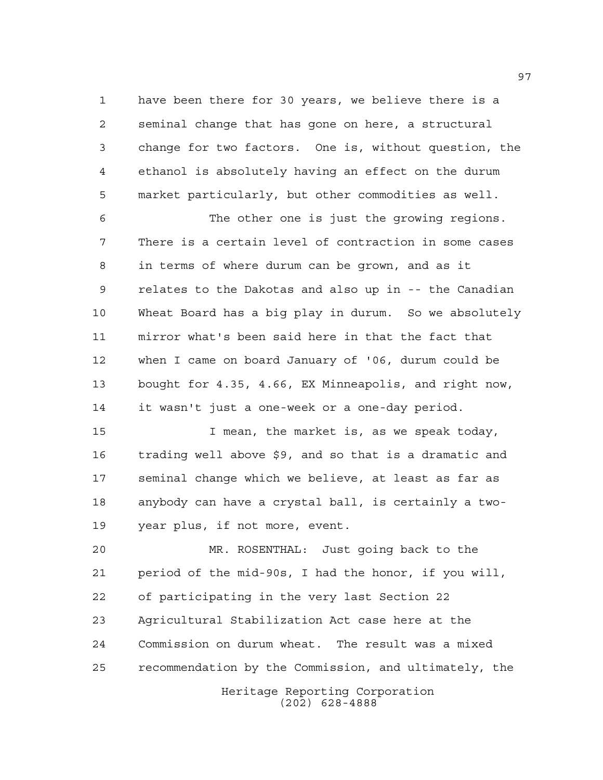have been there for 30 years, we believe there is a seminal change that has gone on here, a structural change for two factors. One is, without question, the ethanol is absolutely having an effect on the durum market particularly, but other commodities as well.

 The other one is just the growing regions. There is a certain level of contraction in some cases in terms of where durum can be grown, and as it relates to the Dakotas and also up in -- the Canadian Wheat Board has a big play in durum. So we absolutely mirror what's been said here in that the fact that when I came on board January of '06, durum could be bought for 4.35, 4.66, EX Minneapolis, and right now, it wasn't just a one-week or a one-day period.

 I mean, the market is, as we speak today, trading well above \$9, and so that is a dramatic and seminal change which we believe, at least as far as anybody can have a crystal ball, is certainly a two-year plus, if not more, event.

Heritage Reporting Corporation MR. ROSENTHAL: Just going back to the period of the mid-90s, I had the honor, if you will, of participating in the very last Section 22 Agricultural Stabilization Act case here at the Commission on durum wheat. The result was a mixed recommendation by the Commission, and ultimately, the

(202) 628-4888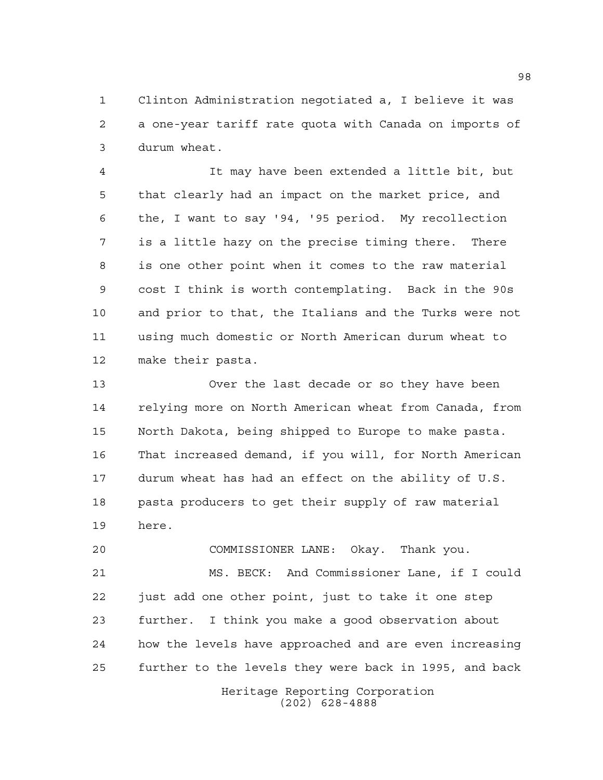Clinton Administration negotiated a, I believe it was a one-year tariff rate quota with Canada on imports of durum wheat.

 It may have been extended a little bit, but that clearly had an impact on the market price, and the, I want to say '94, '95 period. My recollection is a little hazy on the precise timing there. There is one other point when it comes to the raw material cost I think is worth contemplating. Back in the 90s and prior to that, the Italians and the Turks were not using much domestic or North American durum wheat to make their pasta.

 Over the last decade or so they have been relying more on North American wheat from Canada, from North Dakota, being shipped to Europe to make pasta. That increased demand, if you will, for North American durum wheat has had an effect on the ability of U.S. pasta producers to get their supply of raw material here.

 COMMISSIONER LANE: Okay. Thank you. MS. BECK: And Commissioner Lane, if I could just add one other point, just to take it one step further. I think you make a good observation about how the levels have approached and are even increasing further to the levels they were back in 1995, and back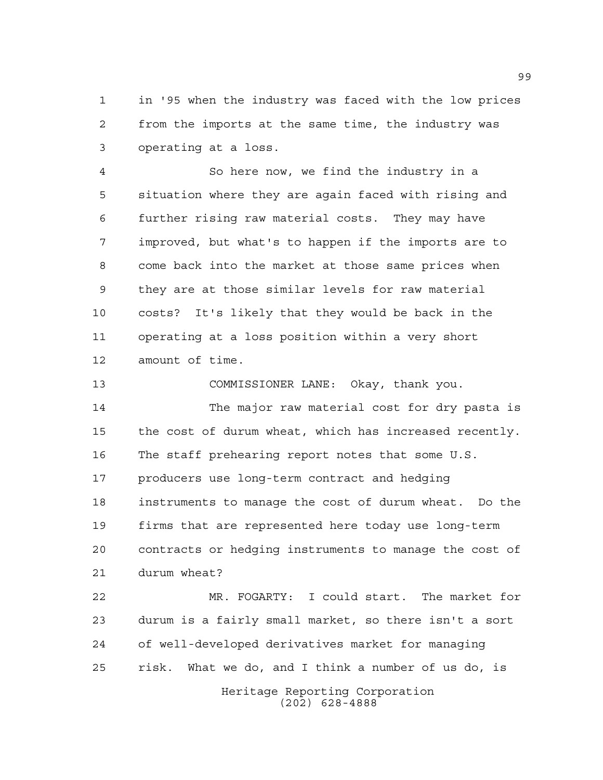in '95 when the industry was faced with the low prices from the imports at the same time, the industry was operating at a loss.

 So here now, we find the industry in a situation where they are again faced with rising and further rising raw material costs. They may have improved, but what's to happen if the imports are to come back into the market at those same prices when they are at those similar levels for raw material costs? It's likely that they would be back in the operating at a loss position within a very short amount of time.

 COMMISSIONER LANE: Okay, thank you. The major raw material cost for dry pasta is the cost of durum wheat, which has increased recently. The staff prehearing report notes that some U.S. producers use long-term contract and hedging instruments to manage the cost of durum wheat. Do the firms that are represented here today use long-term contracts or hedging instruments to manage the cost of durum wheat?

Heritage Reporting Corporation MR. FOGARTY: I could start. The market for durum is a fairly small market, so there isn't a sort of well-developed derivatives market for managing risk. What we do, and I think a number of us do, is

(202) 628-4888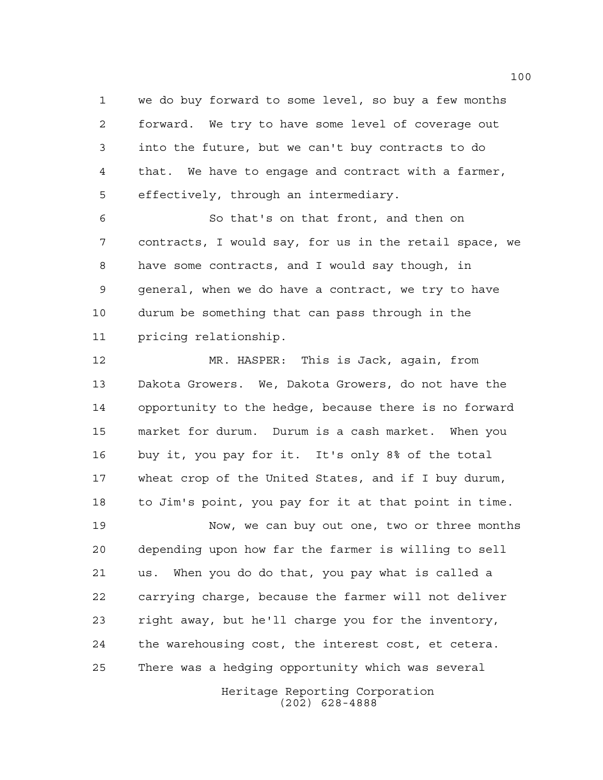we do buy forward to some level, so buy a few months forward. We try to have some level of coverage out into the future, but we can't buy contracts to do that. We have to engage and contract with a farmer, effectively, through an intermediary.

 So that's on that front, and then on contracts, I would say, for us in the retail space, we have some contracts, and I would say though, in general, when we do have a contract, we try to have durum be something that can pass through in the pricing relationship.

 MR. HASPER: This is Jack, again, from Dakota Growers. We, Dakota Growers, do not have the opportunity to the hedge, because there is no forward market for durum. Durum is a cash market. When you buy it, you pay for it. It's only 8% of the total wheat crop of the United States, and if I buy durum, to Jim's point, you pay for it at that point in time.

 Now, we can buy out one, two or three months depending upon how far the farmer is willing to sell us. When you do do that, you pay what is called a carrying charge, because the farmer will not deliver right away, but he'll charge you for the inventory, the warehousing cost, the interest cost, et cetera. There was a hedging opportunity which was several

> Heritage Reporting Corporation (202) 628-4888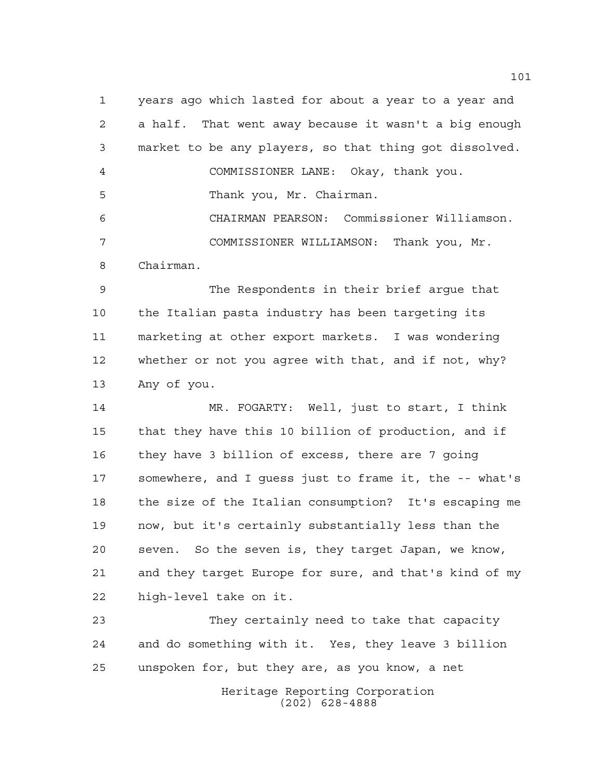years ago which lasted for about a year to a year and a half. That went away because it wasn't a big enough market to be any players, so that thing got dissolved. COMMISSIONER LANE: Okay, thank you. Thank you, Mr. Chairman. CHAIRMAN PEARSON: Commissioner Williamson. COMMISSIONER WILLIAMSON: Thank you, Mr. Chairman.

 The Respondents in their brief argue that the Italian pasta industry has been targeting its marketing at other export markets. I was wondering whether or not you agree with that, and if not, why? Any of you.

 MR. FOGARTY: Well, just to start, I think that they have this 10 billion of production, and if they have 3 billion of excess, there are 7 going somewhere, and I guess just to frame it, the -- what's the size of the Italian consumption? It's escaping me now, but it's certainly substantially less than the seven. So the seven is, they target Japan, we know, and they target Europe for sure, and that's kind of my high-level take on it.

 They certainly need to take that capacity and do something with it. Yes, they leave 3 billion unspoken for, but they are, as you know, a net

> Heritage Reporting Corporation (202) 628-4888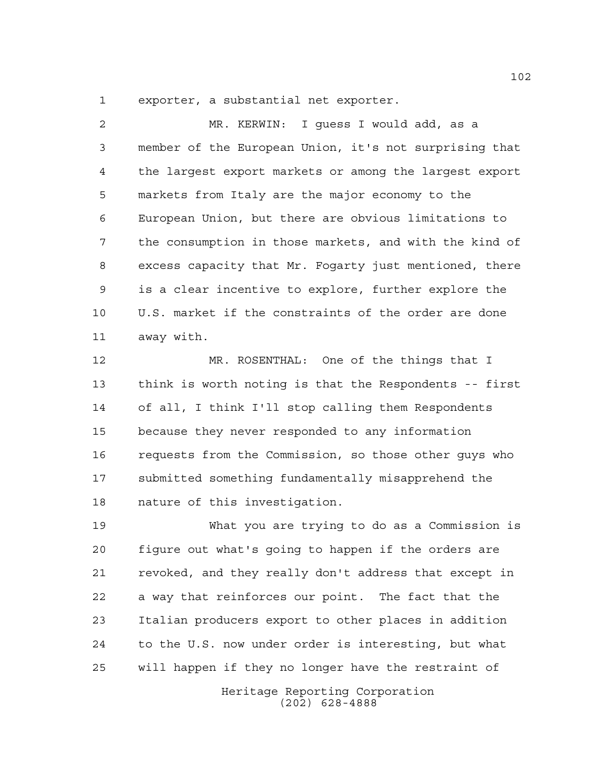exporter, a substantial net exporter.

 MR. KERWIN: I guess I would add, as a member of the European Union, it's not surprising that the largest export markets or among the largest export markets from Italy are the major economy to the European Union, but there are obvious limitations to the consumption in those markets, and with the kind of excess capacity that Mr. Fogarty just mentioned, there is a clear incentive to explore, further explore the U.S. market if the constraints of the order are done away with.

 MR. ROSENTHAL: One of the things that I think is worth noting is that the Respondents -- first of all, I think I'll stop calling them Respondents because they never responded to any information requests from the Commission, so those other guys who submitted something fundamentally misapprehend the nature of this investigation.

 What you are trying to do as a Commission is figure out what's going to happen if the orders are revoked, and they really don't address that except in a way that reinforces our point. The fact that the Italian producers export to other places in addition to the U.S. now under order is interesting, but what will happen if they no longer have the restraint of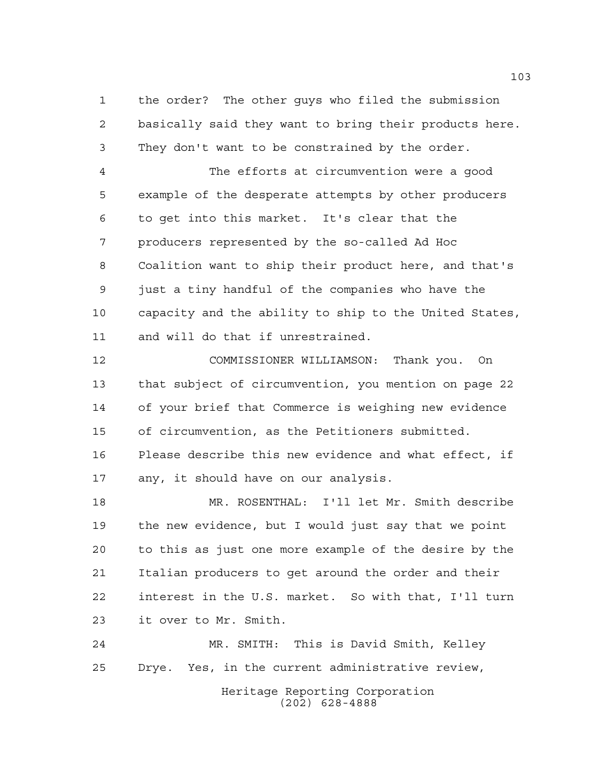the order? The other guys who filed the submission basically said they want to bring their products here. They don't want to be constrained by the order.

 The efforts at circumvention were a good example of the desperate attempts by other producers to get into this market. It's clear that the producers represented by the so-called Ad Hoc Coalition want to ship their product here, and that's just a tiny handful of the companies who have the capacity and the ability to ship to the United States, and will do that if unrestrained.

 COMMISSIONER WILLIAMSON: Thank you. On that subject of circumvention, you mention on page 22 of your brief that Commerce is weighing new evidence of circumvention, as the Petitioners submitted. Please describe this new evidence and what effect, if any, it should have on our analysis.

 MR. ROSENTHAL: I'll let Mr. Smith describe the new evidence, but I would just say that we point to this as just one more example of the desire by the Italian producers to get around the order and their interest in the U.S. market. So with that, I'll turn it over to Mr. Smith.

Heritage Reporting Corporation (202) 628-4888 MR. SMITH: This is David Smith, Kelley Drye. Yes, in the current administrative review,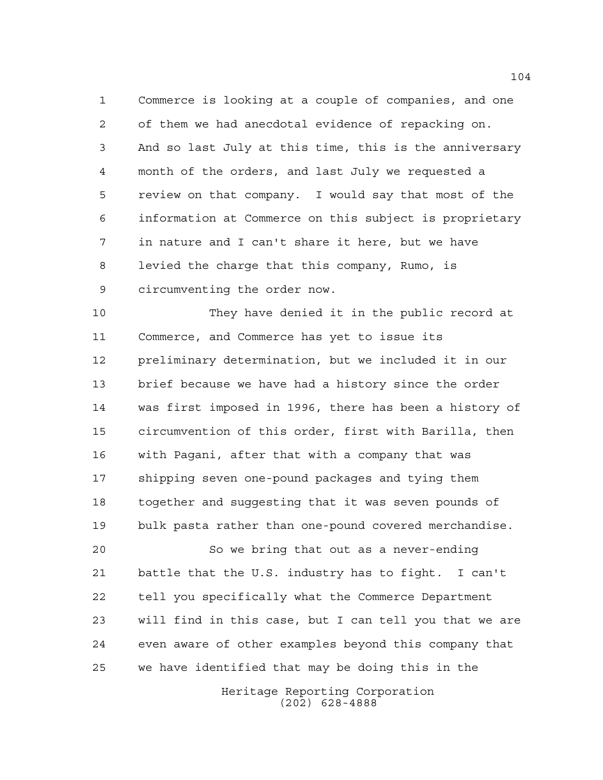Commerce is looking at a couple of companies, and one of them we had anecdotal evidence of repacking on. And so last July at this time, this is the anniversary month of the orders, and last July we requested a review on that company. I would say that most of the information at Commerce on this subject is proprietary in nature and I can't share it here, but we have levied the charge that this company, Rumo, is circumventing the order now.

 They have denied it in the public record at Commerce, and Commerce has yet to issue its preliminary determination, but we included it in our brief because we have had a history since the order was first imposed in 1996, there has been a history of circumvention of this order, first with Barilla, then with Pagani, after that with a company that was shipping seven one-pound packages and tying them together and suggesting that it was seven pounds of bulk pasta rather than one-pound covered merchandise.

 So we bring that out as a never-ending battle that the U.S. industry has to fight. I can't tell you specifically what the Commerce Department will find in this case, but I can tell you that we are even aware of other examples beyond this company that we have identified that may be doing this in the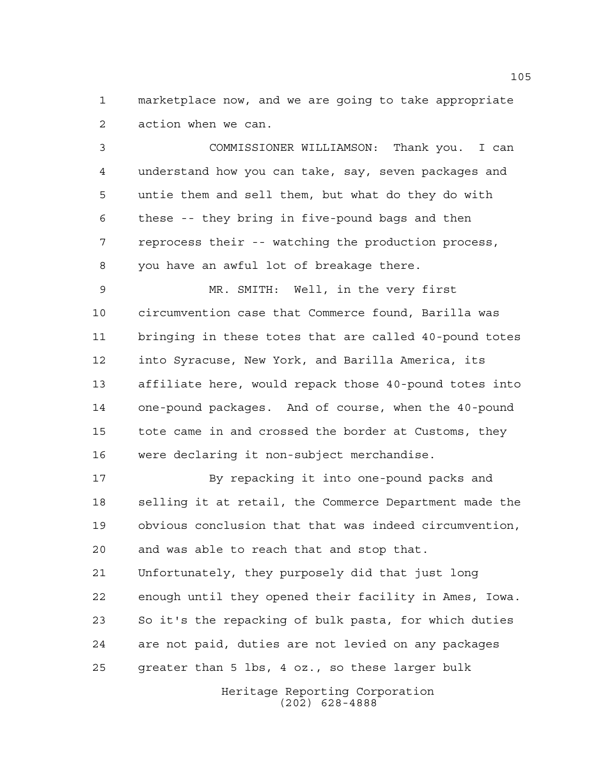marketplace now, and we are going to take appropriate action when we can.

 COMMISSIONER WILLIAMSON: Thank you. I can understand how you can take, say, seven packages and untie them and sell them, but what do they do with these -- they bring in five-pound bags and then reprocess their -- watching the production process, you have an awful lot of breakage there.

 MR. SMITH: Well, in the very first circumvention case that Commerce found, Barilla was bringing in these totes that are called 40-pound totes into Syracuse, New York, and Barilla America, its affiliate here, would repack those 40-pound totes into one-pound packages. And of course, when the 40-pound tote came in and crossed the border at Customs, they were declaring it non-subject merchandise.

 By repacking it into one-pound packs and selling it at retail, the Commerce Department made the obvious conclusion that that was indeed circumvention, and was able to reach that and stop that. Unfortunately, they purposely did that just long enough until they opened their facility in Ames, Iowa. So it's the repacking of bulk pasta, for which duties are not paid, duties are not levied on any packages greater than 5 lbs, 4 oz., so these larger bulk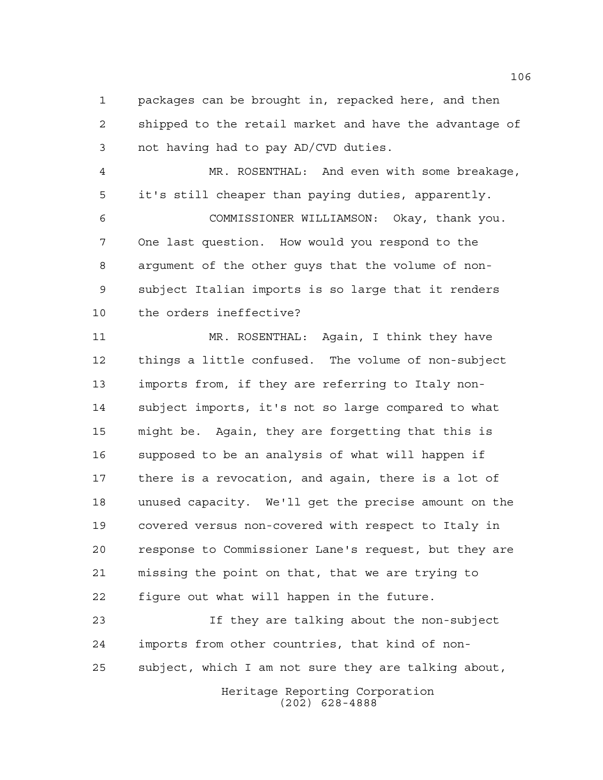packages can be brought in, repacked here, and then shipped to the retail market and have the advantage of not having had to pay AD/CVD duties.

 MR. ROSENTHAL: And even with some breakage, it's still cheaper than paying duties, apparently. COMMISSIONER WILLIAMSON: Okay, thank you. One last question. How would you respond to the argument of the other guys that the volume of non- subject Italian imports is so large that it renders the orders ineffective?

 MR. ROSENTHAL: Again, I think they have things a little confused. The volume of non-subject imports from, if they are referring to Italy non- subject imports, it's not so large compared to what might be. Again, they are forgetting that this is supposed to be an analysis of what will happen if there is a revocation, and again, there is a lot of unused capacity. We'll get the precise amount on the covered versus non-covered with respect to Italy in response to Commissioner Lane's request, but they are missing the point on that, that we are trying to figure out what will happen in the future.

 If they are talking about the non-subject imports from other countries, that kind of non-subject, which I am not sure they are talking about,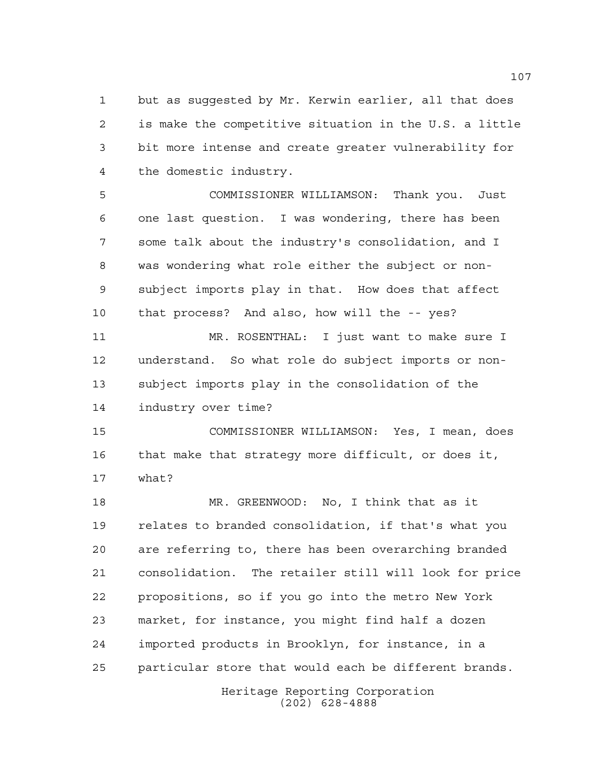but as suggested by Mr. Kerwin earlier, all that does is make the competitive situation in the U.S. a little bit more intense and create greater vulnerability for the domestic industry.

 COMMISSIONER WILLIAMSON: Thank you. Just one last question. I was wondering, there has been some talk about the industry's consolidation, and I was wondering what role either the subject or non- subject imports play in that. How does that affect that process? And also, how will the -- yes? MR. ROSENTHAL: I just want to make sure I understand. So what role do subject imports or non- subject imports play in the consolidation of the industry over time?

 COMMISSIONER WILLIAMSON: Yes, I mean, does that make that strategy more difficult, or does it, what?

 MR. GREENWOOD: No, I think that as it relates to branded consolidation, if that's what you are referring to, there has been overarching branded consolidation. The retailer still will look for price propositions, so if you go into the metro New York market, for instance, you might find half a dozen imported products in Brooklyn, for instance, in a particular store that would each be different brands.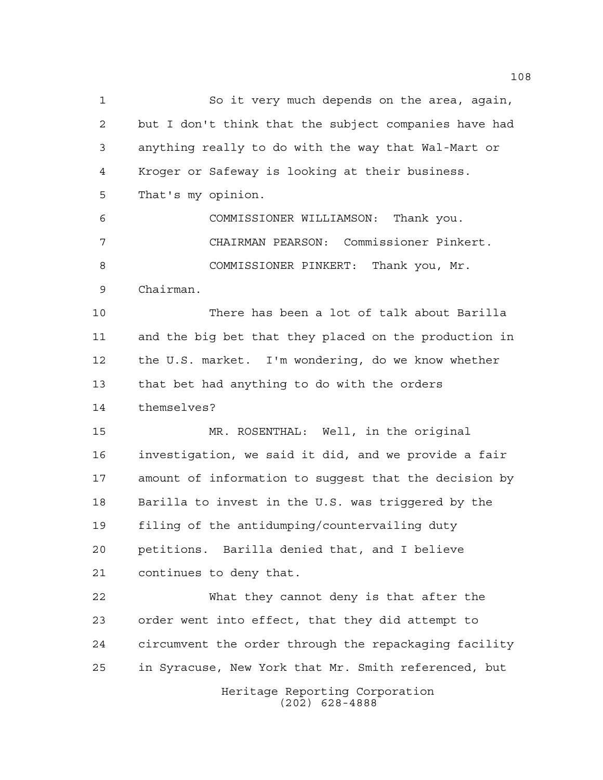Heritage Reporting Corporation (202) 628-4888 So it very much depends on the area, again, but I don't think that the subject companies have had anything really to do with the way that Wal-Mart or Kroger or Safeway is looking at their business. That's my opinion. COMMISSIONER WILLIAMSON: Thank you. CHAIRMAN PEARSON: Commissioner Pinkert. COMMISSIONER PINKERT: Thank you, Mr. Chairman. There has been a lot of talk about Barilla and the big bet that they placed on the production in the U.S. market. I'm wondering, do we know whether that bet had anything to do with the orders themselves? MR. ROSENTHAL: Well, in the original investigation, we said it did, and we provide a fair amount of information to suggest that the decision by Barilla to invest in the U.S. was triggered by the filing of the antidumping/countervailing duty petitions. Barilla denied that, and I believe continues to deny that. What they cannot deny is that after the order went into effect, that they did attempt to circumvent the order through the repackaging facility in Syracuse, New York that Mr. Smith referenced, but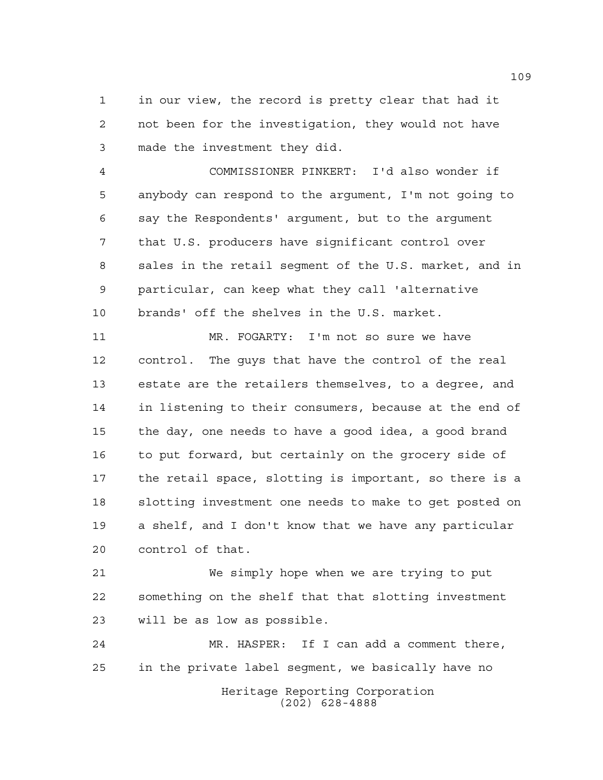in our view, the record is pretty clear that had it not been for the investigation, they would not have made the investment they did.

 COMMISSIONER PINKERT: I'd also wonder if anybody can respond to the argument, I'm not going to say the Respondents' argument, but to the argument that U.S. producers have significant control over sales in the retail segment of the U.S. market, and in particular, can keep what they call 'alternative brands' off the shelves in the U.S. market.

 MR. FOGARTY: I'm not so sure we have control. The guys that have the control of the real estate are the retailers themselves, to a degree, and in listening to their consumers, because at the end of the day, one needs to have a good idea, a good brand to put forward, but certainly on the grocery side of the retail space, slotting is important, so there is a slotting investment one needs to make to get posted on a shelf, and I don't know that we have any particular control of that.

 We simply hope when we are trying to put something on the shelf that that slotting investment will be as low as possible.

Heritage Reporting Corporation (202) 628-4888 MR. HASPER: If I can add a comment there, in the private label segment, we basically have no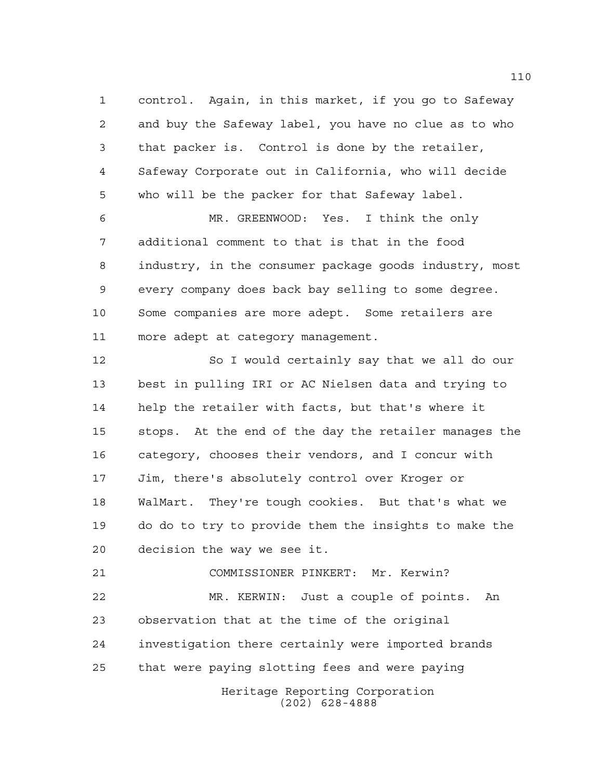control. Again, in this market, if you go to Safeway and buy the Safeway label, you have no clue as to who that packer is. Control is done by the retailer, Safeway Corporate out in California, who will decide who will be the packer for that Safeway label.

 MR. GREENWOOD: Yes. I think the only additional comment to that is that in the food industry, in the consumer package goods industry, most every company does back bay selling to some degree. Some companies are more adept. Some retailers are more adept at category management.

 So I would certainly say that we all do our best in pulling IRI or AC Nielsen data and trying to help the retailer with facts, but that's where it stops. At the end of the day the retailer manages the category, chooses their vendors, and I concur with Jim, there's absolutely control over Kroger or WalMart. They're tough cookies. But that's what we do do to try to provide them the insights to make the decision the way we see it.

Heritage Reporting Corporation COMMISSIONER PINKERT: Mr. Kerwin? MR. KERWIN: Just a couple of points. An observation that at the time of the original investigation there certainly were imported brands that were paying slotting fees and were paying

(202) 628-4888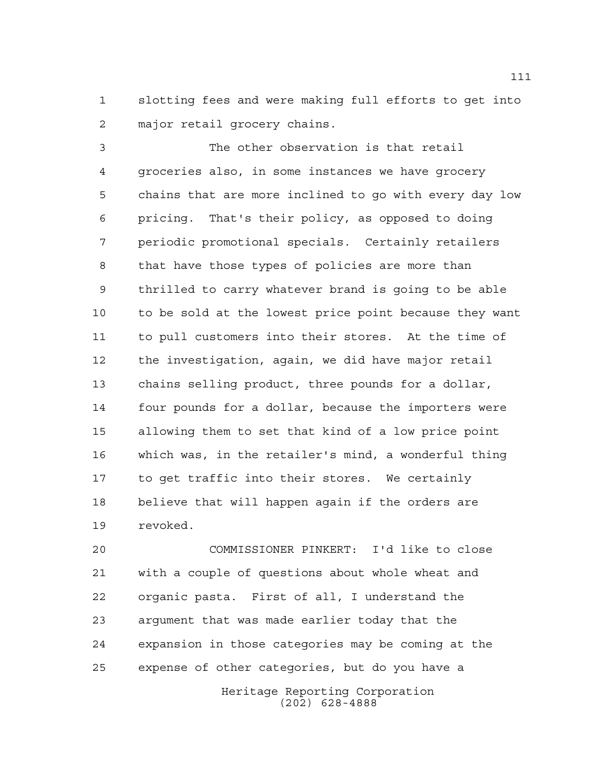slotting fees and were making full efforts to get into major retail grocery chains.

 The other observation is that retail groceries also, in some instances we have grocery chains that are more inclined to go with every day low pricing. That's their policy, as opposed to doing periodic promotional specials. Certainly retailers that have those types of policies are more than thrilled to carry whatever brand is going to be able to be sold at the lowest price point because they want to pull customers into their stores. At the time of the investigation, again, we did have major retail chains selling product, three pounds for a dollar, four pounds for a dollar, because the importers were allowing them to set that kind of a low price point which was, in the retailer's mind, a wonderful thing to get traffic into their stores. We certainly believe that will happen again if the orders are revoked.

 COMMISSIONER PINKERT: I'd like to close with a couple of questions about whole wheat and organic pasta. First of all, I understand the argument that was made earlier today that the expansion in those categories may be coming at the expense of other categories, but do you have a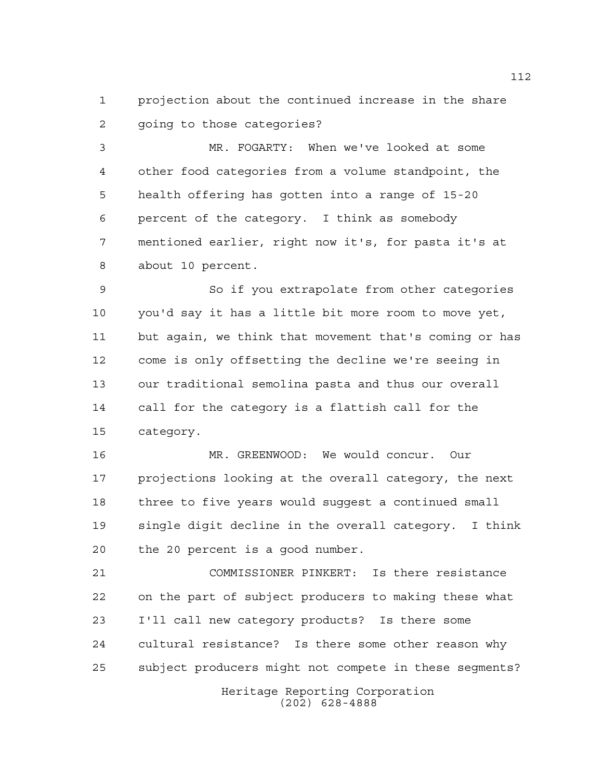projection about the continued increase in the share going to those categories?

 MR. FOGARTY: When we've looked at some other food categories from a volume standpoint, the health offering has gotten into a range of 15-20 percent of the category. I think as somebody mentioned earlier, right now it's, for pasta it's at about 10 percent.

 So if you extrapolate from other categories you'd say it has a little bit more room to move yet, but again, we think that movement that's coming or has come is only offsetting the decline we're seeing in our traditional semolina pasta and thus our overall call for the category is a flattish call for the category.

 MR. GREENWOOD: We would concur. Our projections looking at the overall category, the next three to five years would suggest a continued small single digit decline in the overall category. I think the 20 percent is a good number.

 COMMISSIONER PINKERT: Is there resistance on the part of subject producers to making these what I'll call new category products? Is there some cultural resistance? Is there some other reason why subject producers might not compete in these segments?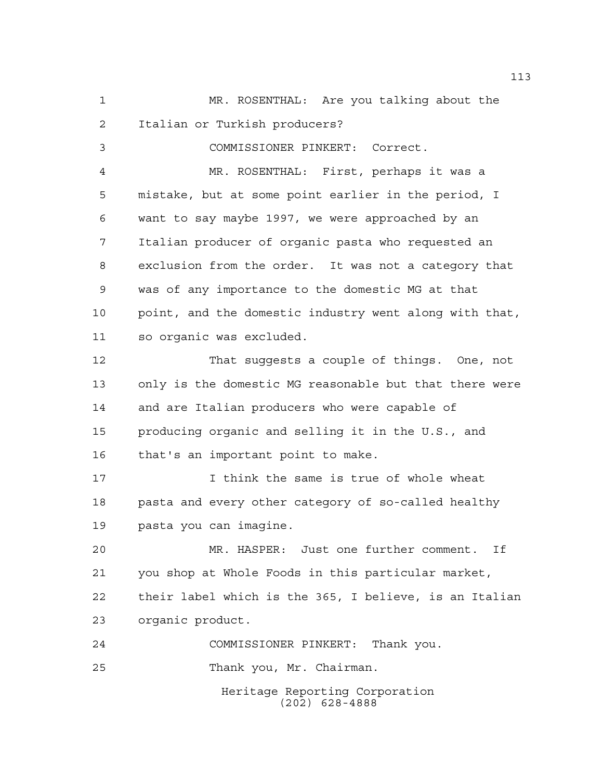Heritage Reporting Corporation (202) 628-4888 MR. ROSENTHAL: Are you talking about the Italian or Turkish producers? COMMISSIONER PINKERT: Correct. MR. ROSENTHAL: First, perhaps it was a mistake, but at some point earlier in the period, I want to say maybe 1997, we were approached by an Italian producer of organic pasta who requested an exclusion from the order. It was not a category that was of any importance to the domestic MG at that point, and the domestic industry went along with that, so organic was excluded. That suggests a couple of things. One, not only is the domestic MG reasonable but that there were and are Italian producers who were capable of producing organic and selling it in the U.S., and that's an important point to make. I think the same is true of whole wheat pasta and every other category of so-called healthy pasta you can imagine. MR. HASPER: Just one further comment. If you shop at Whole Foods in this particular market, their label which is the 365, I believe, is an Italian organic product. COMMISSIONER PINKERT: Thank you. Thank you, Mr. Chairman.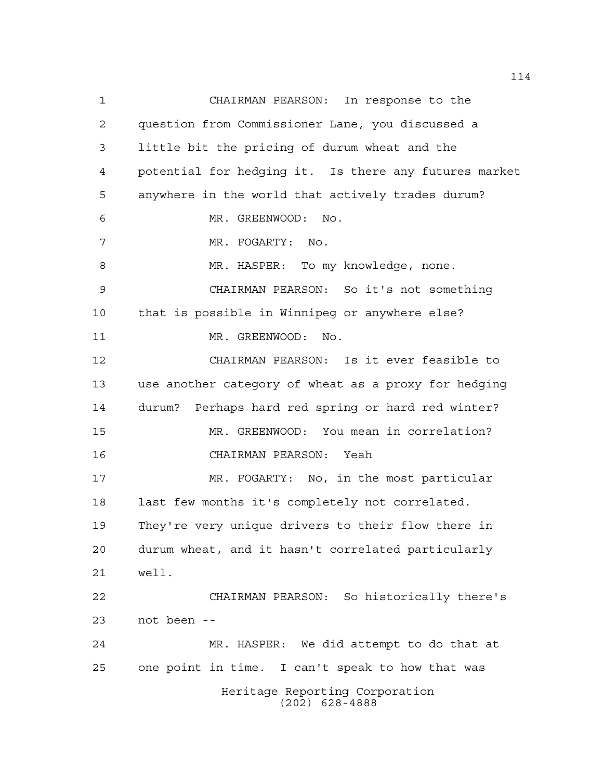Heritage Reporting Corporation (202) 628-4888 CHAIRMAN PEARSON: In response to the question from Commissioner Lane, you discussed a little bit the pricing of durum wheat and the potential for hedging it. Is there any futures market anywhere in the world that actively trades durum? MR. GREENWOOD: No. 7 MR. FOGARTY: No. 8 MR. HASPER: To my knowledge, none. CHAIRMAN PEARSON: So it's not something that is possible in Winnipeg or anywhere else? 11 MR. GREENWOOD: No. CHAIRMAN PEARSON: Is it ever feasible to use another category of wheat as a proxy for hedging durum? Perhaps hard red spring or hard red winter? MR. GREENWOOD: You mean in correlation? CHAIRMAN PEARSON: Yeah MR. FOGARTY: No, in the most particular 18 last few months it's completely not correlated. They're very unique drivers to their flow there in durum wheat, and it hasn't correlated particularly well. CHAIRMAN PEARSON: So historically there's not been -- MR. HASPER: We did attempt to do that at one point in time. I can't speak to how that was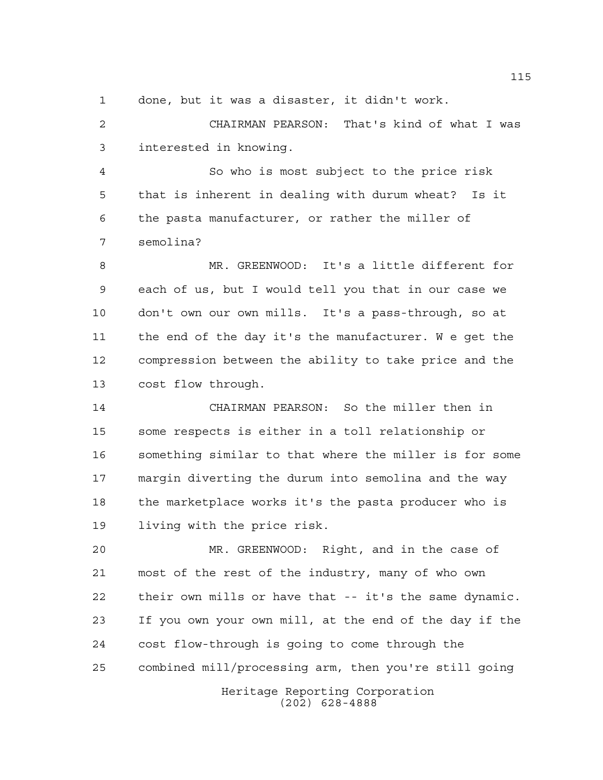done, but it was a disaster, it didn't work.

 CHAIRMAN PEARSON: That's kind of what I was interested in knowing.

 So who is most subject to the price risk that is inherent in dealing with durum wheat? Is it the pasta manufacturer, or rather the miller of semolina?

 MR. GREENWOOD: It's a little different for each of us, but I would tell you that in our case we don't own our own mills. It's a pass-through, so at the end of the day it's the manufacturer. W e get the compression between the ability to take price and the cost flow through.

 CHAIRMAN PEARSON: So the miller then in some respects is either in a toll relationship or something similar to that where the miller is for some margin diverting the durum into semolina and the way the marketplace works it's the pasta producer who is living with the price risk.

 MR. GREENWOOD: Right, and in the case of most of the rest of the industry, many of who own their own mills or have that -- it's the same dynamic. If you own your own mill, at the end of the day if the cost flow-through is going to come through the combined mill/processing arm, then you're still going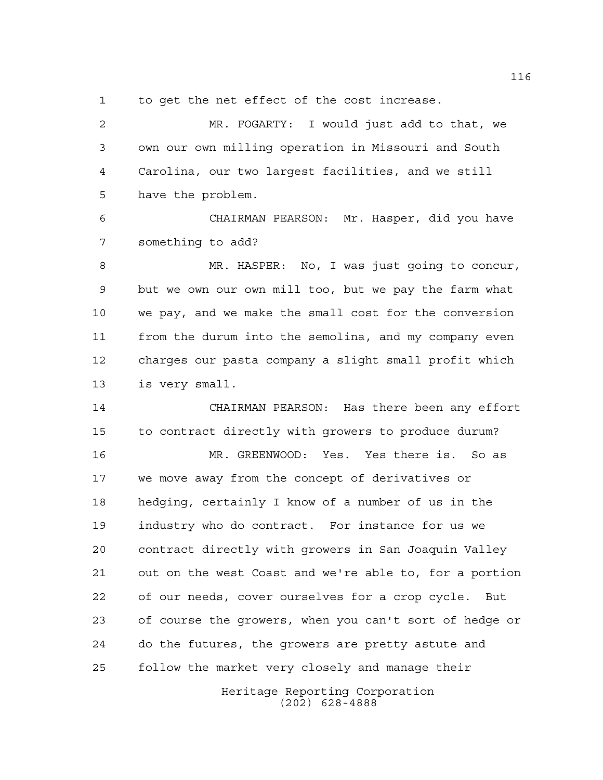to get the net effect of the cost increase.

 MR. FOGARTY: I would just add to that, we own our own milling operation in Missouri and South Carolina, our two largest facilities, and we still have the problem.

 CHAIRMAN PEARSON: Mr. Hasper, did you have something to add?

 MR. HASPER: No, I was just going to concur, but we own our own mill too, but we pay the farm what we pay, and we make the small cost for the conversion from the durum into the semolina, and my company even charges our pasta company a slight small profit which is very small.

 CHAIRMAN PEARSON: Has there been any effort to contract directly with growers to produce durum?

 MR. GREENWOOD: Yes. Yes there is. So as we move away from the concept of derivatives or hedging, certainly I know of a number of us in the industry who do contract. For instance for us we contract directly with growers in San Joaquin Valley out on the west Coast and we're able to, for a portion of our needs, cover ourselves for a crop cycle. But of course the growers, when you can't sort of hedge or do the futures, the growers are pretty astute and follow the market very closely and manage their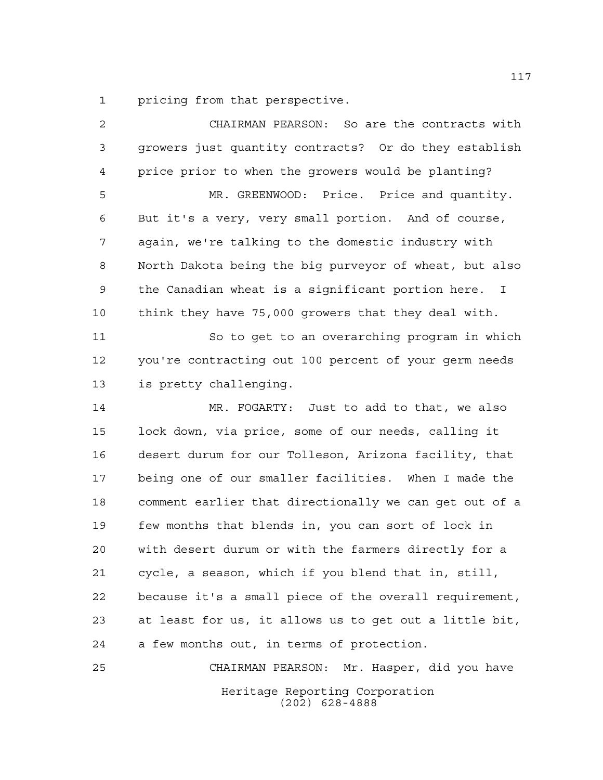pricing from that perspective.

Heritage Reporting Corporation (202) 628-4888 CHAIRMAN PEARSON: So are the contracts with growers just quantity contracts? Or do they establish price prior to when the growers would be planting? MR. GREENWOOD: Price. Price and quantity. But it's a very, very small portion. And of course, again, we're talking to the domestic industry with North Dakota being the big purveyor of wheat, but also the Canadian wheat is a significant portion here. I think they have 75,000 growers that they deal with. So to get to an overarching program in which you're contracting out 100 percent of your germ needs is pretty challenging. MR. FOGARTY: Just to add to that, we also lock down, via price, some of our needs, calling it desert durum for our Tolleson, Arizona facility, that being one of our smaller facilities. When I made the comment earlier that directionally we can get out of a few months that blends in, you can sort of lock in with desert durum or with the farmers directly for a cycle, a season, which if you blend that in, still, because it's a small piece of the overall requirement, at least for us, it allows us to get out a little bit, a few months out, in terms of protection. CHAIRMAN PEARSON: Mr. Hasper, did you have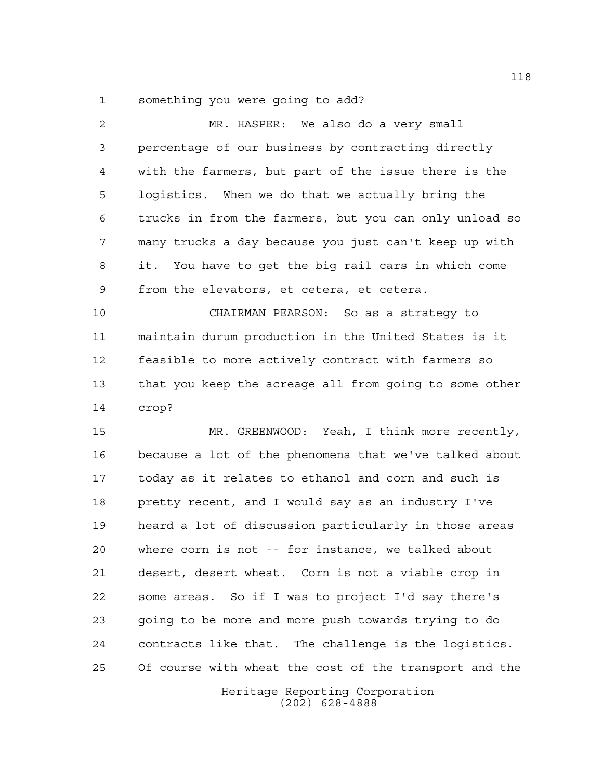something you were going to add?

| $\overline{a}$ | MR. HASPER: We also do a very small                    |
|----------------|--------------------------------------------------------|
| 3              | percentage of our business by contracting directly     |
| 4              | with the farmers, but part of the issue there is the   |
| 5              | logistics. When we do that we actually bring the       |
| 6              | trucks in from the farmers, but you can only unload so |
| 7              | many trucks a day because you just can't keep up with  |
| 8              | You have to get the big rail cars in which come<br>it. |
| 9              | from the elevators, et cetera, et cetera.              |
| 10             | CHAIRMAN PEARSON: So as a strategy to                  |
| 11             | maintain durum production in the United States is it   |
| 12             | feasible to more actively contract with farmers so     |
| 13             | that you keep the acreage all from going to some other |
| 14             | crop?                                                  |
| 15             | MR. GREENWOOD: Yeah, I think more recently,            |
| 16             | because a lot of the phenomena that we've talked about |
| 17             | today as it relates to ethanol and corn and such is    |
| 18             | pretty recent, and I would say as an industry I've     |
| 19             | heard a lot of discussion particularly in those areas  |
| 20             | where corn is not -- for instance, we talked about     |
| 21             | desert, desert wheat. Corn is not a viable crop in     |
| 22             | some areas. So if I was to project I'd say there's     |
| 23             | going to be more and more push towards trying to do    |
| 24             | contracts like that. The challenge is the logistics.   |
| 25             | Of course with wheat the cost of the transport and the |
|                | Heritage Reporting Corporation                         |

(202) 628-4888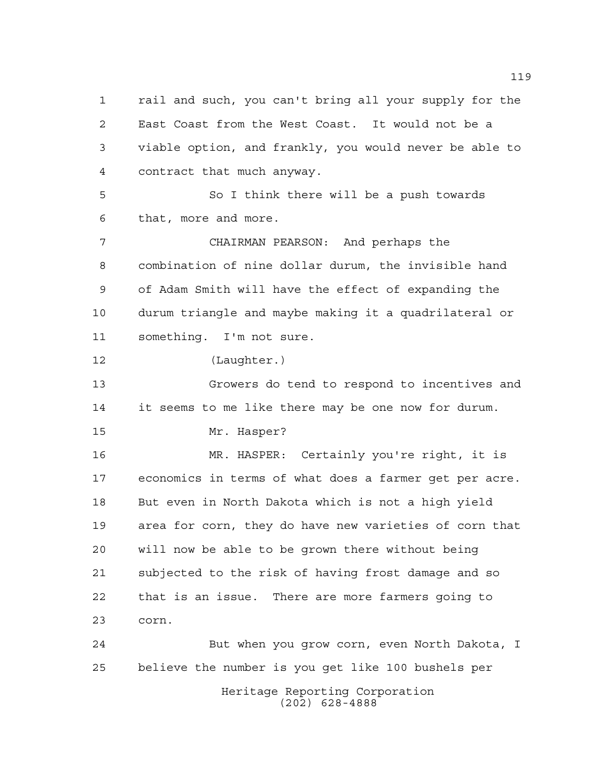Heritage Reporting Corporation rail and such, you can't bring all your supply for the East Coast from the West Coast. It would not be a viable option, and frankly, you would never be able to contract that much anyway. So I think there will be a push towards that, more and more. CHAIRMAN PEARSON: And perhaps the combination of nine dollar durum, the invisible hand of Adam Smith will have the effect of expanding the durum triangle and maybe making it a quadrilateral or something. I'm not sure. (Laughter.) Growers do tend to respond to incentives and it seems to me like there may be one now for durum. Mr. Hasper? MR. HASPER: Certainly you're right, it is economics in terms of what does a farmer get per acre. But even in North Dakota which is not a high yield area for corn, they do have new varieties of corn that will now be able to be grown there without being subjected to the risk of having frost damage and so that is an issue. There are more farmers going to corn. But when you grow corn, even North Dakota, I believe the number is you get like 100 bushels per

(202) 628-4888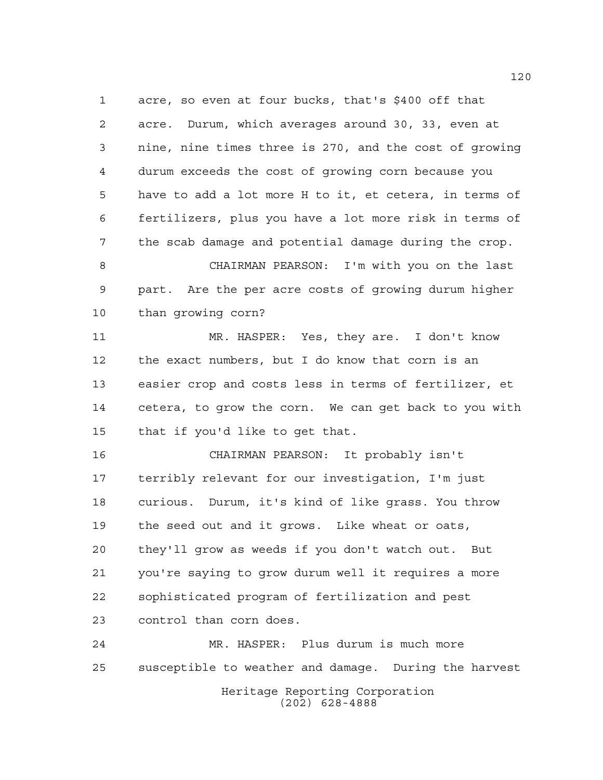acre, so even at four bucks, that's \$400 off that acre. Durum, which averages around 30, 33, even at nine, nine times three is 270, and the cost of growing durum exceeds the cost of growing corn because you have to add a lot more H to it, et cetera, in terms of fertilizers, plus you have a lot more risk in terms of the scab damage and potential damage during the crop.

 CHAIRMAN PEARSON: I'm with you on the last part. Are the per acre costs of growing durum higher than growing corn?

 MR. HASPER: Yes, they are. I don't know the exact numbers, but I do know that corn is an easier crop and costs less in terms of fertilizer, et cetera, to grow the corn. We can get back to you with that if you'd like to get that.

 CHAIRMAN PEARSON: It probably isn't terribly relevant for our investigation, I'm just curious. Durum, it's kind of like grass. You throw the seed out and it grows. Like wheat or oats, they'll grow as weeds if you don't watch out. But you're saying to grow durum well it requires a more sophisticated program of fertilization and pest control than corn does.

Heritage Reporting Corporation (202) 628-4888 MR. HASPER: Plus durum is much more susceptible to weather and damage. During the harvest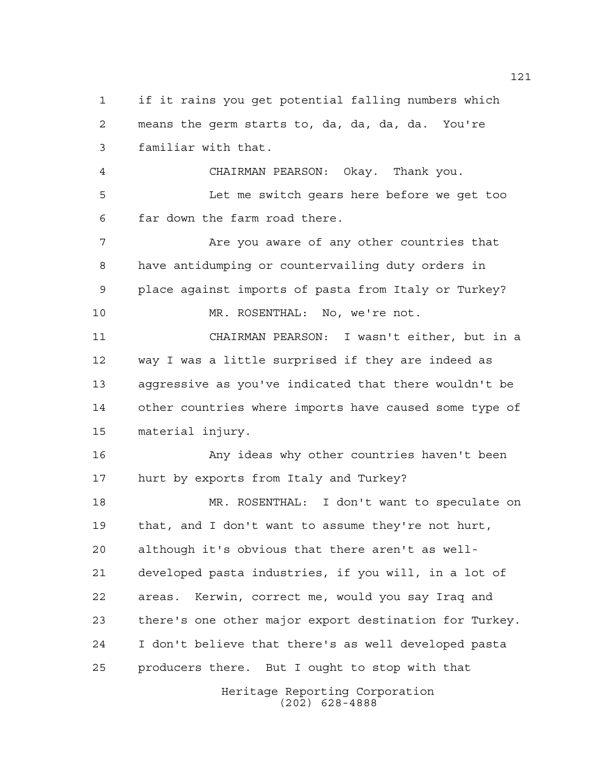Heritage Reporting Corporation (202) 628-4888 means the germ starts to, da, da, da, da. You're familiar with that. CHAIRMAN PEARSON: Okay. Thank you. Let me switch gears here before we get too far down the farm road there. 7 Are you aware of any other countries that have antidumping or countervailing duty orders in place against imports of pasta from Italy or Turkey? MR. ROSENTHAL: No, we're not. CHAIRMAN PEARSON: I wasn't either, but in a way I was a little surprised if they are indeed as aggressive as you've indicated that there wouldn't be other countries where imports have caused some type of material injury. Any ideas why other countries haven't been hurt by exports from Italy and Turkey? MR. ROSENTHAL: I don't want to speculate on that, and I don't want to assume they're not hurt, although it's obvious that there aren't as well- developed pasta industries, if you will, in a lot of areas. Kerwin, correct me, would you say Iraq and there's one other major export destination for Turkey. I don't believe that there's as well developed pasta producers there. But I ought to stop with that

if it rains you get potential falling numbers which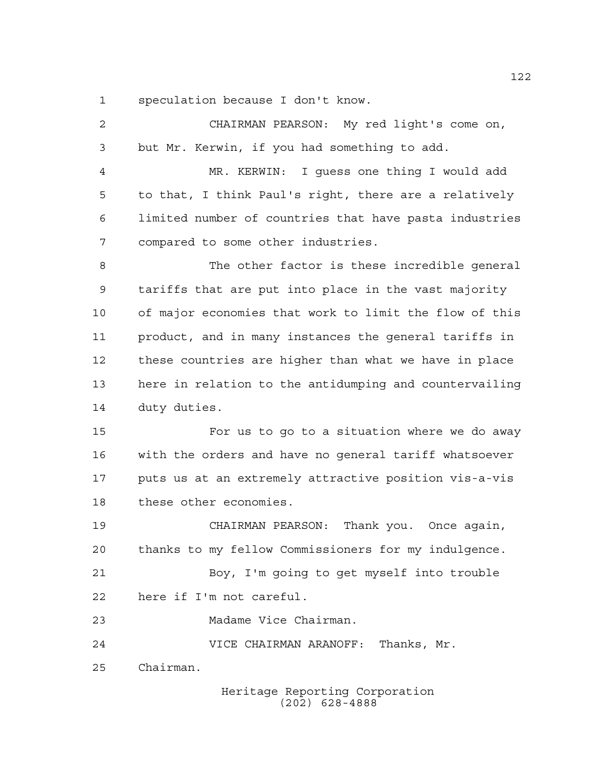speculation because I don't know.

| $\overline{2}$ | CHAIRMAN PEARSON: My red light's come on,              |
|----------------|--------------------------------------------------------|
| 3              | but Mr. Kerwin, if you had something to add.           |
| 4              | MR. KERWIN: I guess one thing I would add              |
| 5              | to that, I think Paul's right, there are a relatively  |
| 6              | limited number of countries that have pasta industries |
| 7              | compared to some other industries.                     |
| 8              | The other factor is these incredible general           |
| 9              | tariffs that are put into place in the vast majority   |
| 10             | of major economies that work to limit the flow of this |
| 11             | product, and in many instances the general tariffs in  |
| 12             | these countries are higher than what we have in place  |
| 13             | here in relation to the antidumping and countervailing |
| 14             | duty duties.                                           |
| 15             | For us to go to a situation where we do away           |
| 16             | with the orders and have no general tariff whatsoever  |
| 17             | puts us at an extremely attractive position vis-a-vis  |
| 18             | these other economies.                                 |
| 19             | CHAIRMAN PEARSON: Thank you. Once again,               |
| 20             | thanks to my fellow Commissioners for my indulgence.   |
| 21             | Boy, I'm going to get myself into trouble              |
| 22             | here if I'm not careful.                               |
| 23             | Madame Vice Chairman.                                  |
| 24             | VICE CHAIRMAN ARANOFF: Thanks, Mr.                     |
| 25             | Chairman.                                              |
|                | Heritage Reporting Corporation                         |

(202) 628-4888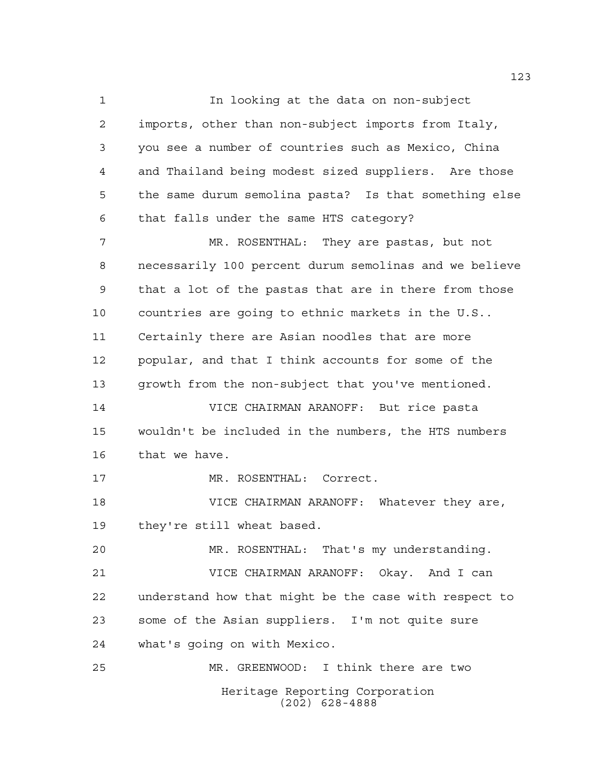Heritage Reporting Corporation (202) 628-4888 In looking at the data on non-subject imports, other than non-subject imports from Italy, you see a number of countries such as Mexico, China and Thailand being modest sized suppliers. Are those the same durum semolina pasta? Is that something else that falls under the same HTS category? MR. ROSENTHAL: They are pastas, but not necessarily 100 percent durum semolinas and we believe that a lot of the pastas that are in there from those countries are going to ethnic markets in the U.S.. Certainly there are Asian noodles that are more popular, and that I think accounts for some of the growth from the non-subject that you've mentioned. VICE CHAIRMAN ARANOFF: But rice pasta wouldn't be included in the numbers, the HTS numbers that we have. MR. ROSENTHAL: Correct. VICE CHAIRMAN ARANOFF: Whatever they are, they're still wheat based. MR. ROSENTHAL: That's my understanding. VICE CHAIRMAN ARANOFF: Okay. And I can understand how that might be the case with respect to some of the Asian suppliers. I'm not quite sure what's going on with Mexico. MR. GREENWOOD: I think there are two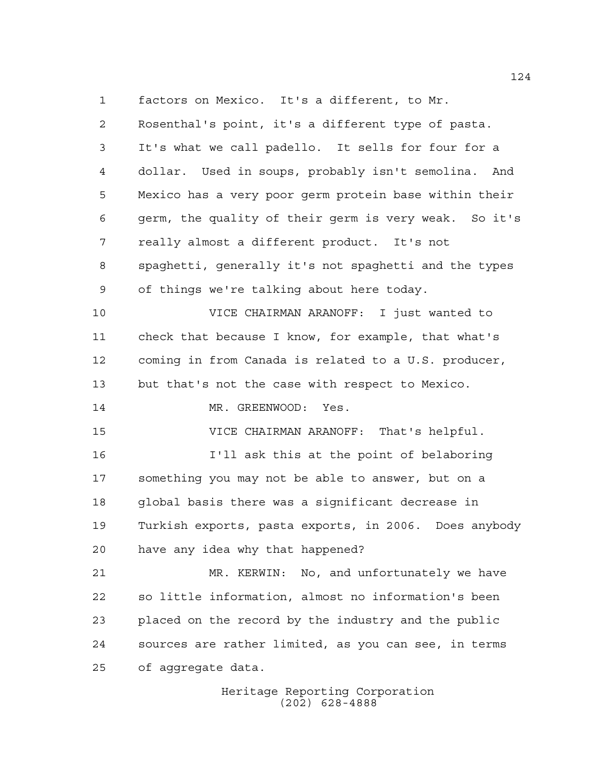factors on Mexico. It's a different, to Mr.

 Rosenthal's point, it's a different type of pasta. It's what we call padello. It sells for four for a dollar. Used in soups, probably isn't semolina. And Mexico has a very poor germ protein base within their germ, the quality of their germ is very weak. So it's really almost a different product. It's not spaghetti, generally it's not spaghetti and the types of things we're talking about here today.

 VICE CHAIRMAN ARANOFF: I just wanted to check that because I know, for example, that what's coming in from Canada is related to a U.S. producer, but that's not the case with respect to Mexico.

14 MR. GREENWOOD: Yes.

VICE CHAIRMAN ARANOFF: That's helpful.

 I'll ask this at the point of belaboring something you may not be able to answer, but on a global basis there was a significant decrease in Turkish exports, pasta exports, in 2006. Does anybody have any idea why that happened?

 MR. KERWIN: No, and unfortunately we have so little information, almost no information's been placed on the record by the industry and the public sources are rather limited, as you can see, in terms of aggregate data.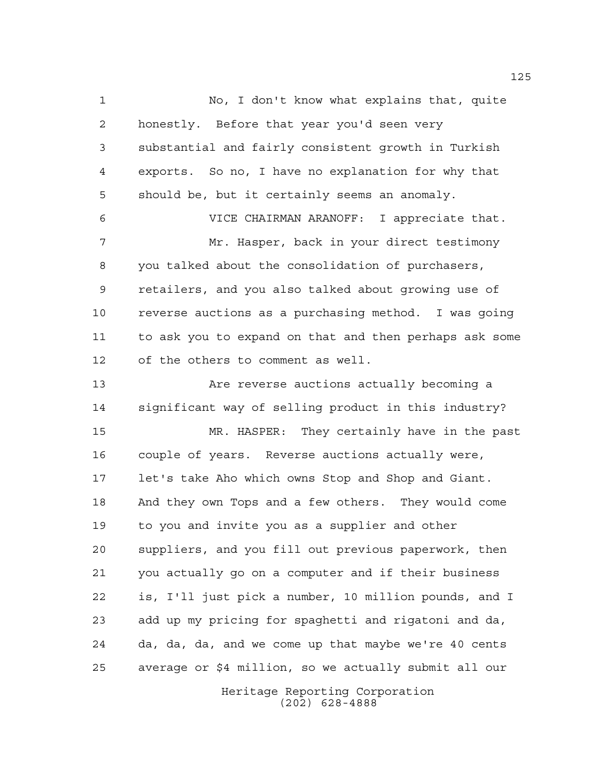No, I don't know what explains that, quite honestly. Before that year you'd seen very substantial and fairly consistent growth in Turkish exports. So no, I have no explanation for why that should be, but it certainly seems an anomaly. VICE CHAIRMAN ARANOFF: I appreciate that. Mr. Hasper, back in your direct testimony you talked about the consolidation of purchasers, retailers, and you also talked about growing use of reverse auctions as a purchasing method. I was going to ask you to expand on that and then perhaps ask some of the others to comment as well. Are reverse auctions actually becoming a significant way of selling product in this industry? MR. HASPER: They certainly have in the past couple of years. Reverse auctions actually were, let's take Aho which owns Stop and Shop and Giant. And they own Tops and a few others. They would come to you and invite you as a supplier and other suppliers, and you fill out previous paperwork, then you actually go on a computer and if their business is, I'll just pick a number, 10 million pounds, and I add up my pricing for spaghetti and rigatoni and da, da, da, da, and we come up that maybe we're 40 cents average or \$4 million, so we actually submit all our

Heritage Reporting Corporation (202) 628-4888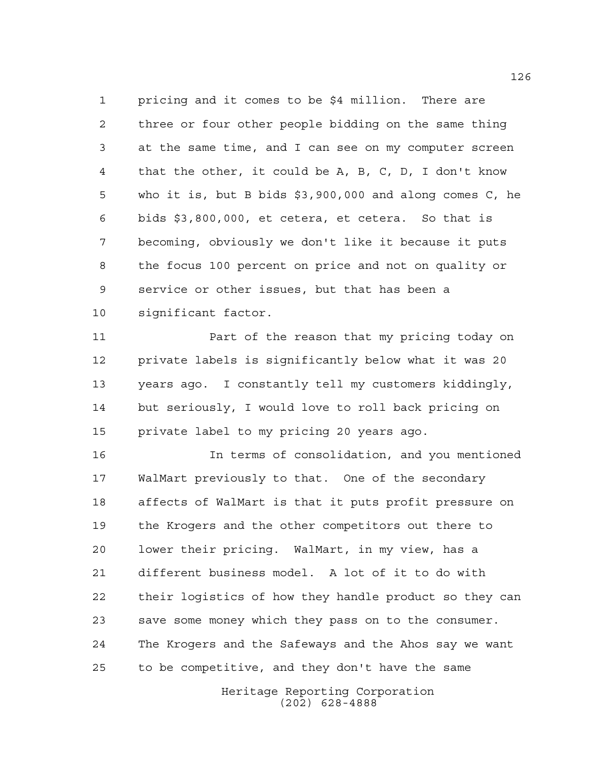pricing and it comes to be \$4 million. There are three or four other people bidding on the same thing at the same time, and I can see on my computer screen that the other, it could be A, B, C, D, I don't know who it is, but B bids \$3,900,000 and along comes C, he bids \$3,800,000, et cetera, et cetera. So that is becoming, obviously we don't like it because it puts the focus 100 percent on price and not on quality or service or other issues, but that has been a significant factor.

**Part of the reason that my pricing today on**  private labels is significantly below what it was 20 years ago. I constantly tell my customers kiddingly, but seriously, I would love to roll back pricing on private label to my pricing 20 years ago.

 In terms of consolidation, and you mentioned WalMart previously to that. One of the secondary affects of WalMart is that it puts profit pressure on the Krogers and the other competitors out there to lower their pricing. WalMart, in my view, has a different business model. A lot of it to do with their logistics of how they handle product so they can save some money which they pass on to the consumer. The Krogers and the Safeways and the Ahos say we want to be competitive, and they don't have the same

> Heritage Reporting Corporation (202) 628-4888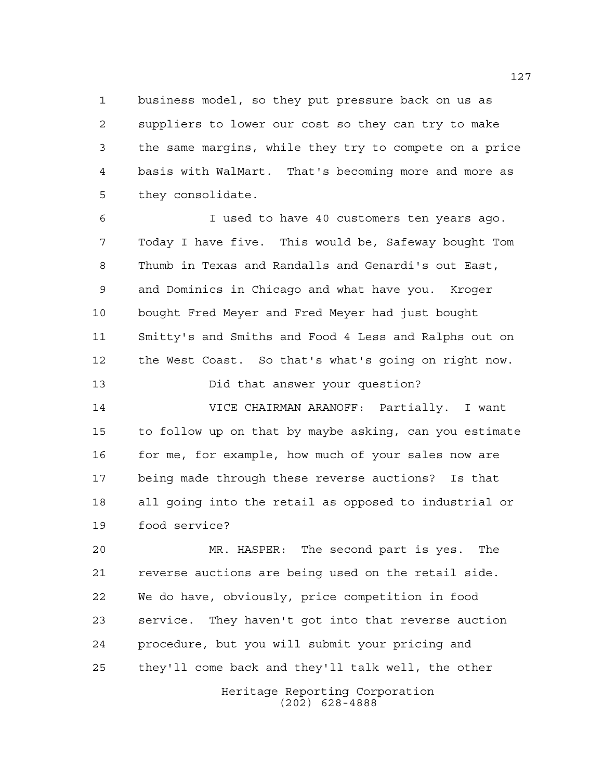business model, so they put pressure back on us as suppliers to lower our cost so they can try to make the same margins, while they try to compete on a price basis with WalMart. That's becoming more and more as they consolidate.

 I used to have 40 customers ten years ago. Today I have five. This would be, Safeway bought Tom Thumb in Texas and Randalls and Genardi's out East, and Dominics in Chicago and what have you. Kroger bought Fred Meyer and Fred Meyer had just bought Smitty's and Smiths and Food 4 Less and Ralphs out on the West Coast. So that's what's going on right now.

Did that answer your question?

 VICE CHAIRMAN ARANOFF: Partially. I want to follow up on that by maybe asking, can you estimate 16 for me, for example, how much of your sales now are being made through these reverse auctions? Is that all going into the retail as opposed to industrial or food service?

 MR. HASPER: The second part is yes. The reverse auctions are being used on the retail side. We do have, obviously, price competition in food service. They haven't got into that reverse auction procedure, but you will submit your pricing and they'll come back and they'll talk well, the other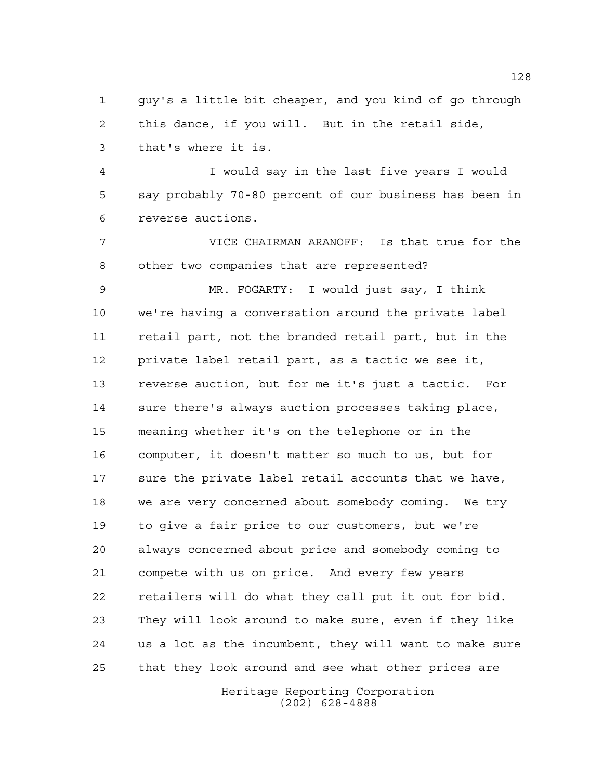guy's a little bit cheaper, and you kind of go through this dance, if you will. But in the retail side, that's where it is.

 I would say in the last five years I would say probably 70-80 percent of our business has been in reverse auctions.

 VICE CHAIRMAN ARANOFF: Is that true for the other two companies that are represented?

 MR. FOGARTY: I would just say, I think we're having a conversation around the private label retail part, not the branded retail part, but in the private label retail part, as a tactic we see it, reverse auction, but for me it's just a tactic. For sure there's always auction processes taking place, meaning whether it's on the telephone or in the computer, it doesn't matter so much to us, but for sure the private label retail accounts that we have, we are very concerned about somebody coming. We try to give a fair price to our customers, but we're always concerned about price and somebody coming to compete with us on price. And every few years retailers will do what they call put it out for bid. They will look around to make sure, even if they like us a lot as the incumbent, they will want to make sure that they look around and see what other prices are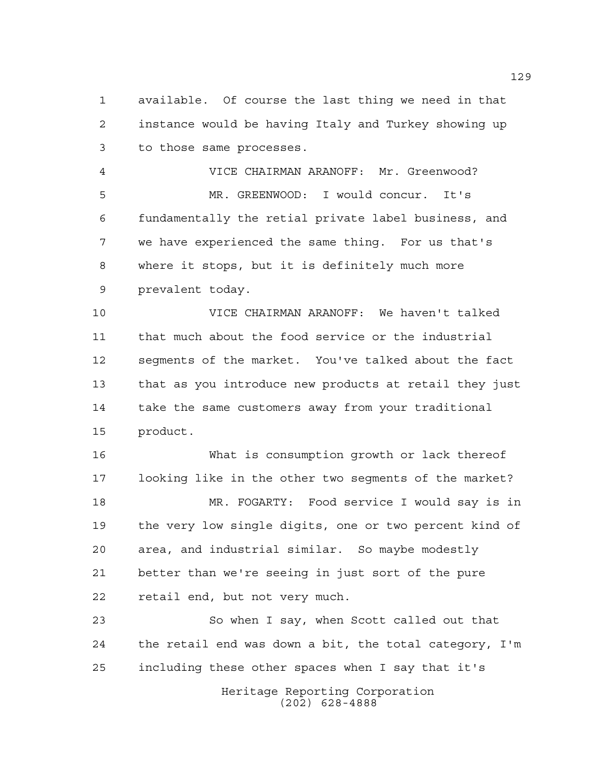available. Of course the last thing we need in that instance would be having Italy and Turkey showing up to those same processes.

 VICE CHAIRMAN ARANOFF: Mr. Greenwood? MR. GREENWOOD: I would concur. It's fundamentally the retial private label business, and we have experienced the same thing. For us that's where it stops, but it is definitely much more prevalent today.

 VICE CHAIRMAN ARANOFF: We haven't talked that much about the food service or the industrial segments of the market. You've talked about the fact that as you introduce new products at retail they just take the same customers away from your traditional product.

 What is consumption growth or lack thereof looking like in the other two segments of the market? MR. FOGARTY: Food service I would say is in the very low single digits, one or two percent kind of area, and industrial similar. So maybe modestly better than we're seeing in just sort of the pure retail end, but not very much.

 So when I say, when Scott called out that the retail end was down a bit, the total category, I'm including these other spaces when I say that it's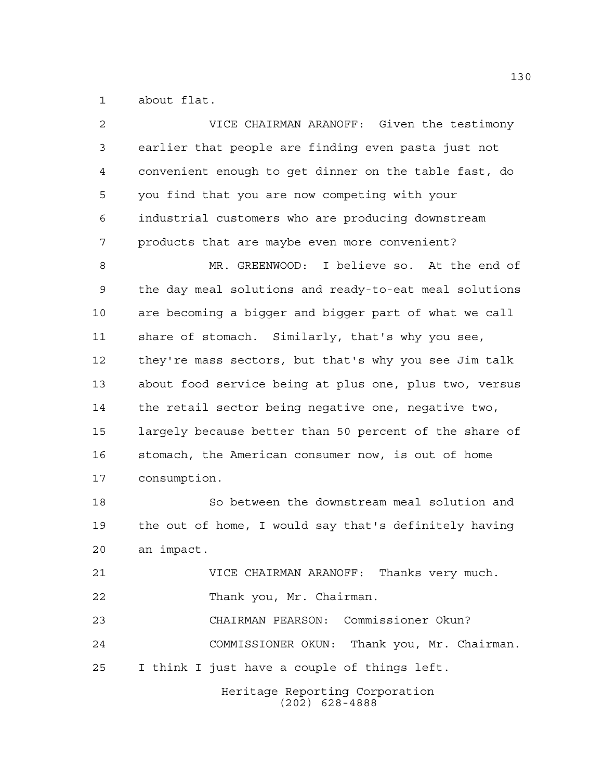about flat.

| 2  | VICE CHAIRMAN ARANOFF: Given the testimony             |
|----|--------------------------------------------------------|
| 3  | earlier that people are finding even pasta just not    |
| 4  | convenient enough to get dinner on the table fast, do  |
| 5  | you find that you are now competing with your          |
| 6  | industrial customers who are producing downstream      |
| 7  | products that are maybe even more convenient?          |
| 8  | MR. GREENWOOD: I believe so. At the end of             |
| 9  | the day meal solutions and ready-to-eat meal solutions |
| 10 | are becoming a bigger and bigger part of what we call  |
| 11 | share of stomach. Similarly, that's why you see,       |
| 12 | they're mass sectors, but that's why you see Jim talk  |
| 13 | about food service being at plus one, plus two, versus |
| 14 | the retail sector being negative one, negative two,    |
| 15 | largely because better than 50 percent of the share of |
| 16 | stomach, the American consumer now, is out of home     |
| 17 | consumption.                                           |
| 18 | So between the downstream meal solution and            |
| 19 | the out of home, I would say that's definitely having  |
| 20 | an impact.                                             |
| 21 | VICE CHAIRMAN ARANOFF: Thanks very much.               |
| 22 | Thank you, Mr. Chairman.                               |
| 23 | CHAIRMAN PEARSON: Commissioner Okun?                   |
| 24 | COMMISSIONER OKUN: Thank you, Mr. Chairman.            |
| 25 | I think I just have a couple of things left.           |
|    | Heritage Reporting Corporation<br>$(202)$ 628-4888     |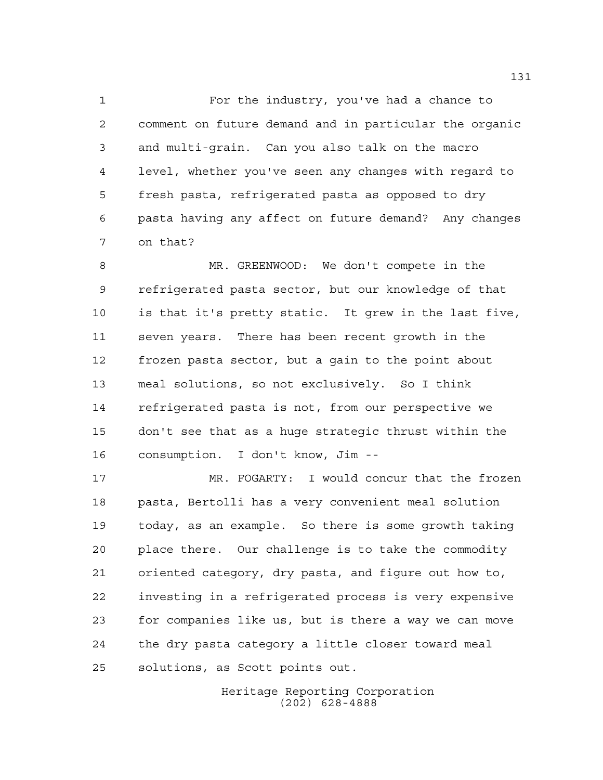For the industry, you've had a chance to comment on future demand and in particular the organic and multi-grain. Can you also talk on the macro level, whether you've seen any changes with regard to fresh pasta, refrigerated pasta as opposed to dry pasta having any affect on future demand? Any changes on that?

 MR. GREENWOOD: We don't compete in the refrigerated pasta sector, but our knowledge of that is that it's pretty static. It grew in the last five, seven years. There has been recent growth in the frozen pasta sector, but a gain to the point about meal solutions, so not exclusively. So I think refrigerated pasta is not, from our perspective we don't see that as a huge strategic thrust within the consumption. I don't know, Jim --

 MR. FOGARTY: I would concur that the frozen pasta, Bertolli has a very convenient meal solution today, as an example. So there is some growth taking place there. Our challenge is to take the commodity oriented category, dry pasta, and figure out how to, investing in a refrigerated process is very expensive for companies like us, but is there a way we can move the dry pasta category a little closer toward meal solutions, as Scott points out.

> Heritage Reporting Corporation (202) 628-4888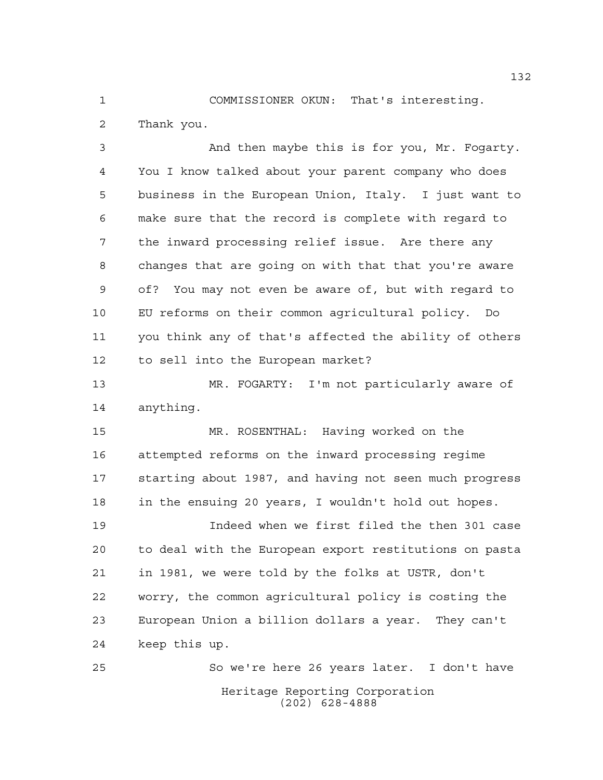COMMISSIONER OKUN: That's interesting. Thank you.

 And then maybe this is for you, Mr. Fogarty. You I know talked about your parent company who does business in the European Union, Italy. I just want to make sure that the record is complete with regard to the inward processing relief issue. Are there any changes that are going on with that that you're aware of? You may not even be aware of, but with regard to EU reforms on their common agricultural policy. Do you think any of that's affected the ability of others to sell into the European market?

 MR. FOGARTY: I'm not particularly aware of anything.

 MR. ROSENTHAL: Having worked on the attempted reforms on the inward processing regime starting about 1987, and having not seen much progress in the ensuing 20 years, I wouldn't hold out hopes.

 Indeed when we first filed the then 301 case to deal with the European export restitutions on pasta in 1981, we were told by the folks at USTR, don't worry, the common agricultural policy is costing the European Union a billion dollars a year. They can't keep this up.

Heritage Reporting Corporation (202) 628-4888 So we're here 26 years later. I don't have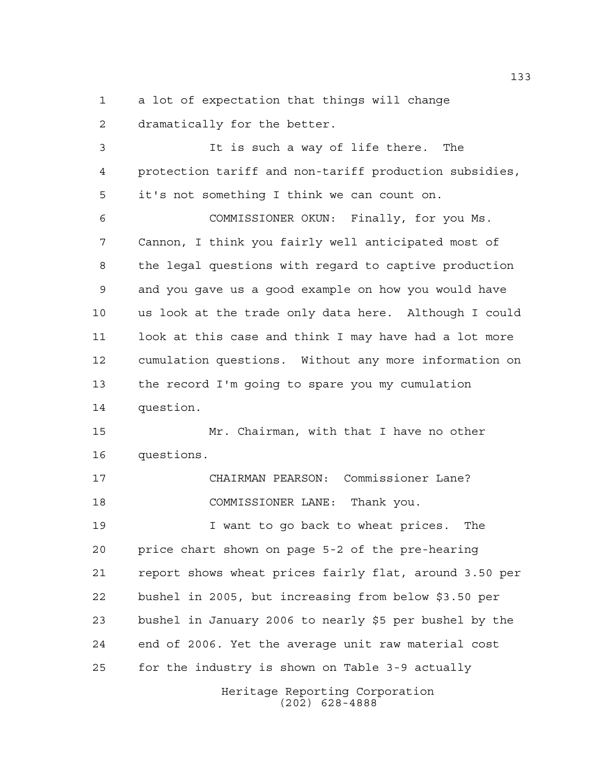a lot of expectation that things will change dramatically for the better.

Heritage Reporting Corporation It is such a way of life there. The protection tariff and non-tariff production subsidies, it's not something I think we can count on. COMMISSIONER OKUN: Finally, for you Ms. Cannon, I think you fairly well anticipated most of the legal questions with regard to captive production and you gave us a good example on how you would have us look at the trade only data here. Although I could look at this case and think I may have had a lot more cumulation questions. Without any more information on the record I'm going to spare you my cumulation question. Mr. Chairman, with that I have no other questions. CHAIRMAN PEARSON: Commissioner Lane? COMMISSIONER LANE: Thank you. I want to go back to wheat prices. The price chart shown on page 5-2 of the pre-hearing report shows wheat prices fairly flat, around 3.50 per bushel in 2005, but increasing from below \$3.50 per bushel in January 2006 to nearly \$5 per bushel by the end of 2006. Yet the average unit raw material cost for the industry is shown on Table 3-9 actually

(202) 628-4888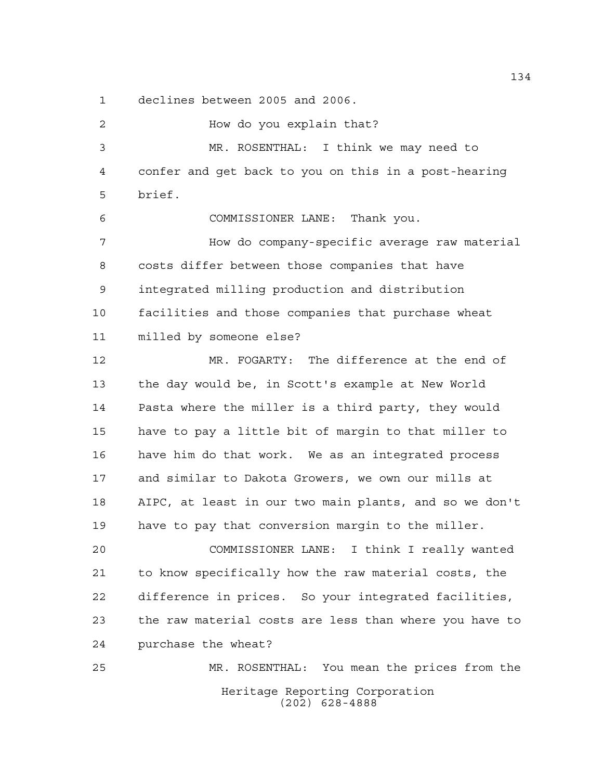declines between 2005 and 2006.

Heritage Reporting Corporation (202) 628-4888 How do you explain that? MR. ROSENTHAL: I think we may need to confer and get back to you on this in a post-hearing brief. COMMISSIONER LANE: Thank you. How do company-specific average raw material costs differ between those companies that have integrated milling production and distribution facilities and those companies that purchase wheat milled by someone else? MR. FOGARTY: The difference at the end of the day would be, in Scott's example at New World Pasta where the miller is a third party, they would have to pay a little bit of margin to that miller to have him do that work. We as an integrated process and similar to Dakota Growers, we own our mills at AIPC, at least in our two main plants, and so we don't have to pay that conversion margin to the miller. COMMISSIONER LANE: I think I really wanted to know specifically how the raw material costs, the difference in prices. So your integrated facilities, the raw material costs are less than where you have to purchase the wheat? MR. ROSENTHAL: You mean the prices from the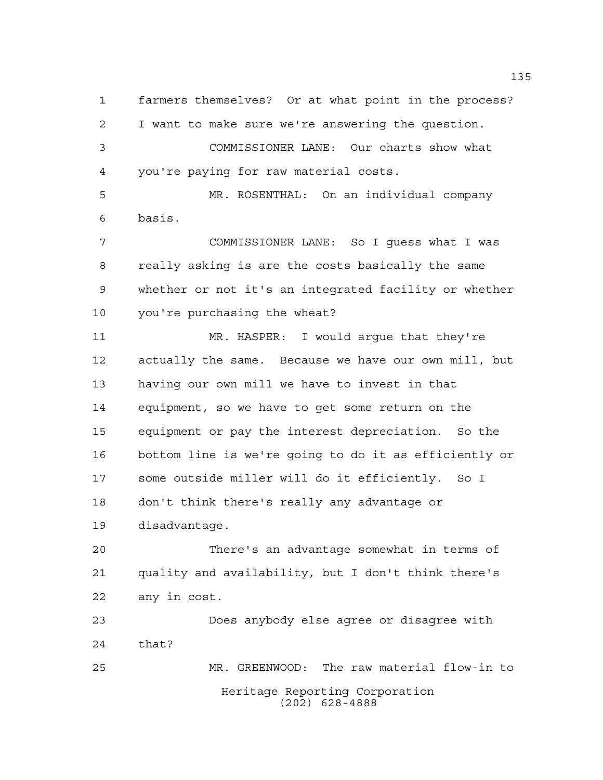farmers themselves? Or at what point in the process? I want to make sure we're answering the question. COMMISSIONER LANE: Our charts show what you're paying for raw material costs.

 MR. ROSENTHAL: On an individual company basis.

 COMMISSIONER LANE: So I guess what I was really asking is are the costs basically the same whether or not it's an integrated facility or whether you're purchasing the wheat?

 MR. HASPER: I would argue that they're actually the same. Because we have our own mill, but having our own mill we have to invest in that equipment, so we have to get some return on the equipment or pay the interest depreciation. So the bottom line is we're going to do it as efficiently or some outside miller will do it efficiently. So I don't think there's really any advantage or disadvantage.

 There's an advantage somewhat in terms of quality and availability, but I don't think there's any in cost.

 Does anybody else agree or disagree with that? MR. GREENWOOD: The raw material flow-in to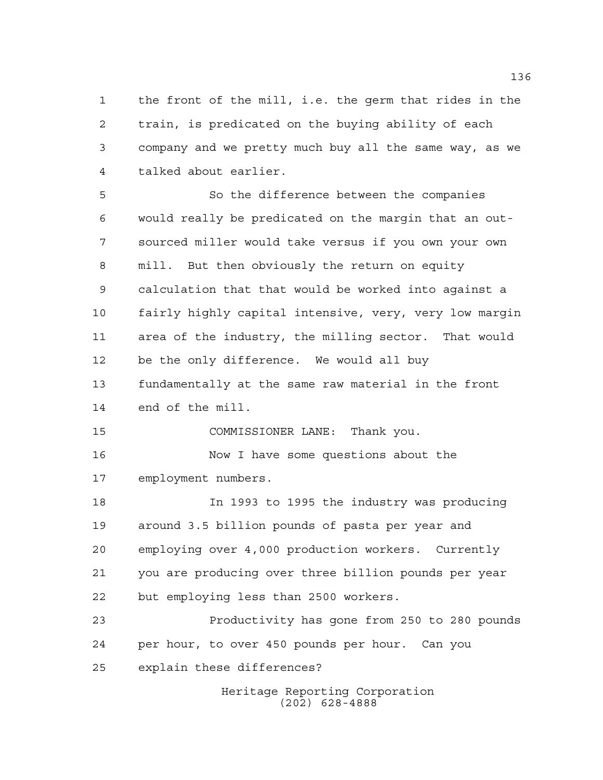the front of the mill, i.e. the germ that rides in the train, is predicated on the buying ability of each company and we pretty much buy all the same way, as we talked about earlier.

 So the difference between the companies would really be predicated on the margin that an out- sourced miller would take versus if you own your own mill. But then obviously the return on equity calculation that that would be worked into against a fairly highly capital intensive, very, very low margin area of the industry, the milling sector. That would be the only difference. We would all buy fundamentally at the same raw material in the front end of the mill. COMMISSIONER LANE: Thank you. Now I have some questions about the employment numbers. In 1993 to 1995 the industry was producing around 3.5 billion pounds of pasta per year and employing over 4,000 production workers. Currently you are producing over three billion pounds per year but employing less than 2500 workers. Productivity has gone from 250 to 280 pounds per hour, to over 450 pounds per hour. Can you explain these differences?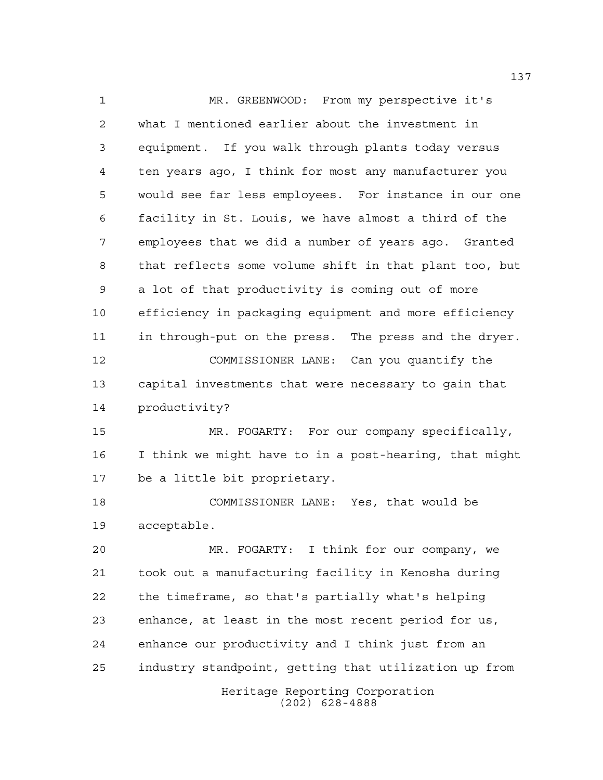Heritage Reporting Corporation MR. GREENWOOD: From my perspective it's what I mentioned earlier about the investment in equipment. If you walk through plants today versus ten years ago, I think for most any manufacturer you would see far less employees. For instance in our one facility in St. Louis, we have almost a third of the employees that we did a number of years ago. Granted that reflects some volume shift in that plant too, but a lot of that productivity is coming out of more efficiency in packaging equipment and more efficiency in through-put on the press. The press and the dryer. COMMISSIONER LANE: Can you quantify the capital investments that were necessary to gain that productivity? MR. FOGARTY: For our company specifically, I think we might have to in a post-hearing, that might be a little bit proprietary. COMMISSIONER LANE: Yes, that would be acceptable. MR. FOGARTY: I think for our company, we took out a manufacturing facility in Kenosha during the timeframe, so that's partially what's helping enhance, at least in the most recent period for us, enhance our productivity and I think just from an industry standpoint, getting that utilization up from

(202) 628-4888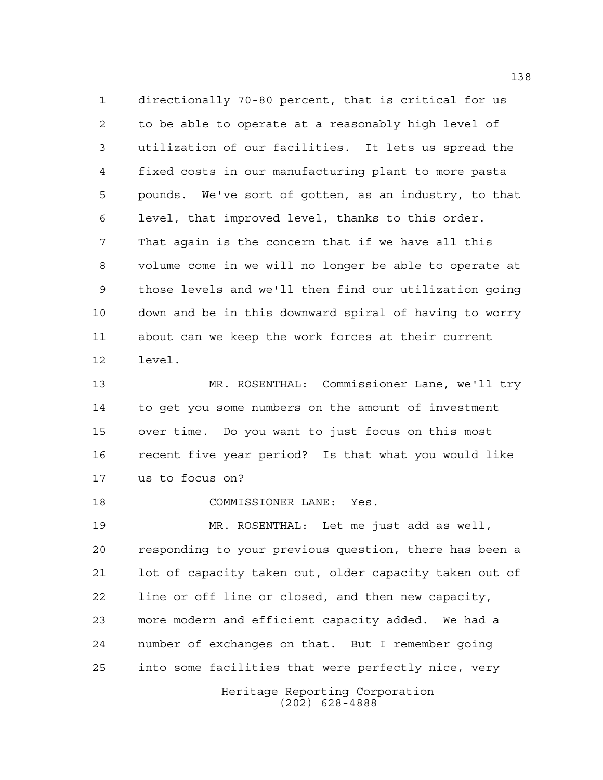directionally 70-80 percent, that is critical for us to be able to operate at a reasonably high level of utilization of our facilities. It lets us spread the fixed costs in our manufacturing plant to more pasta pounds. We've sort of gotten, as an industry, to that level, that improved level, thanks to this order. That again is the concern that if we have all this volume come in we will no longer be able to operate at those levels and we'll then find our utilization going down and be in this downward spiral of having to worry about can we keep the work forces at their current level.

 MR. ROSENTHAL: Commissioner Lane, we'll try to get you some numbers on the amount of investment over time. Do you want to just focus on this most recent five year period? Is that what you would like us to focus on?

COMMISSIONER LANE: Yes.

Heritage Reporting Corporation MR. ROSENTHAL: Let me just add as well, responding to your previous question, there has been a lot of capacity taken out, older capacity taken out of line or off line or closed, and then new capacity, more modern and efficient capacity added. We had a number of exchanges on that. But I remember going into some facilities that were perfectly nice, very

(202) 628-4888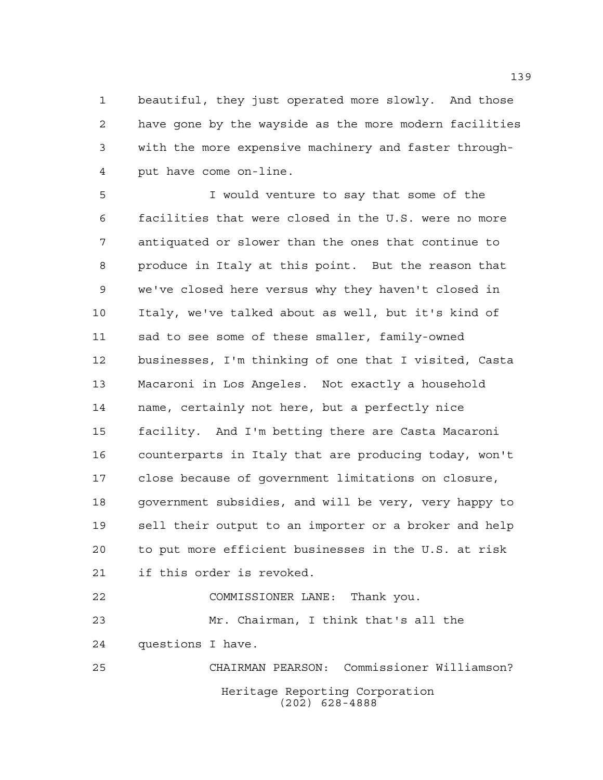beautiful, they just operated more slowly. And those have gone by the wayside as the more modern facilities with the more expensive machinery and faster through-put have come on-line.

 I would venture to say that some of the facilities that were closed in the U.S. were no more antiquated or slower than the ones that continue to produce in Italy at this point. But the reason that we've closed here versus why they haven't closed in Italy, we've talked about as well, but it's kind of sad to see some of these smaller, family-owned businesses, I'm thinking of one that I visited, Casta Macaroni in Los Angeles. Not exactly a household name, certainly not here, but a perfectly nice facility. And I'm betting there are Casta Macaroni counterparts in Italy that are producing today, won't close because of government limitations on closure, government subsidies, and will be very, very happy to sell their output to an importer or a broker and help to put more efficient businesses in the U.S. at risk if this order is revoked. COMMISSIONER LANE: Thank you. Mr. Chairman, I think that's all the

questions I have.

Heritage Reporting Corporation (202) 628-4888 CHAIRMAN PEARSON: Commissioner Williamson?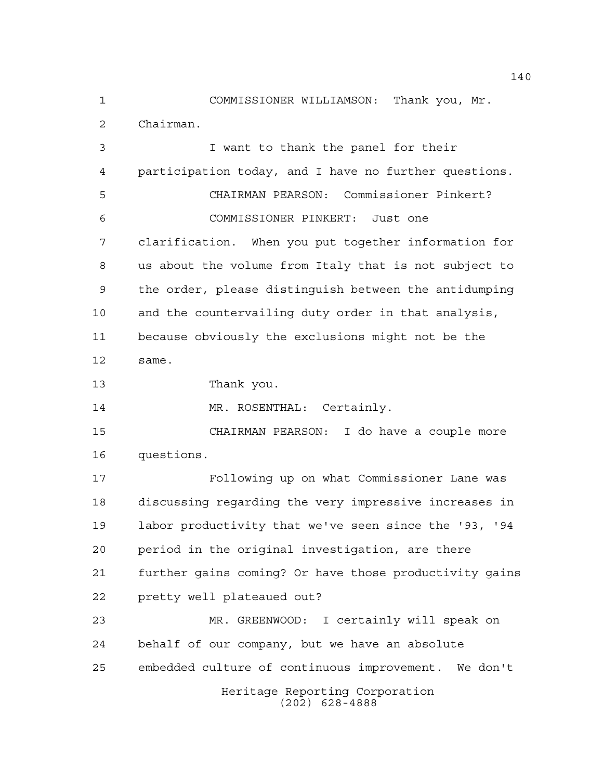COMMISSIONER WILLIAMSON: Thank you, Mr. Chairman.

 I want to thank the panel for their participation today, and I have no further questions. CHAIRMAN PEARSON: Commissioner Pinkert? COMMISSIONER PINKERT: Just one clarification. When you put together information for us about the volume from Italy that is not subject to the order, please distinguish between the antidumping and the countervailing duty order in that analysis, because obviously the exclusions might not be the same. Thank you. 14 MR. ROSENTHAL: Certainly. CHAIRMAN PEARSON: I do have a couple more questions. Following up on what Commissioner Lane was discussing regarding the very impressive increases in labor productivity that we've seen since the '93, '94 period in the original investigation, are there further gains coming? Or have those productivity gains pretty well plateaued out? MR. GREENWOOD: I certainly will speak on behalf of our company, but we have an absolute embedded culture of continuous improvement. We don't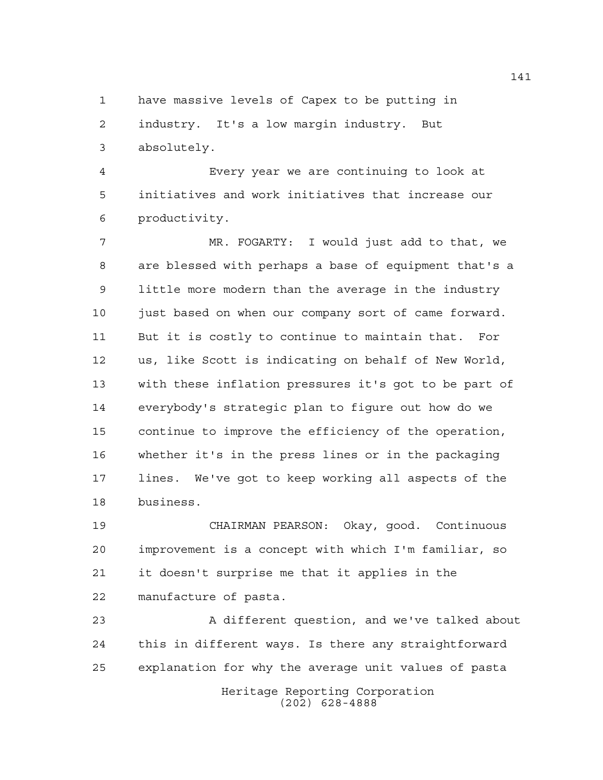have massive levels of Capex to be putting in

 industry. It's a low margin industry. But absolutely.

 Every year we are continuing to look at initiatives and work initiatives that increase our productivity.

 MR. FOGARTY: I would just add to that, we are blessed with perhaps a base of equipment that's a little more modern than the average in the industry just based on when our company sort of came forward. But it is costly to continue to maintain that. For us, like Scott is indicating on behalf of New World, with these inflation pressures it's got to be part of everybody's strategic plan to figure out how do we continue to improve the efficiency of the operation, whether it's in the press lines or in the packaging lines. We've got to keep working all aspects of the business.

 CHAIRMAN PEARSON: Okay, good. Continuous improvement is a concept with which I'm familiar, so it doesn't surprise me that it applies in the manufacture of pasta.

Heritage Reporting Corporation (202) 628-4888 A different question, and we've talked about this in different ways. Is there any straightforward explanation for why the average unit values of pasta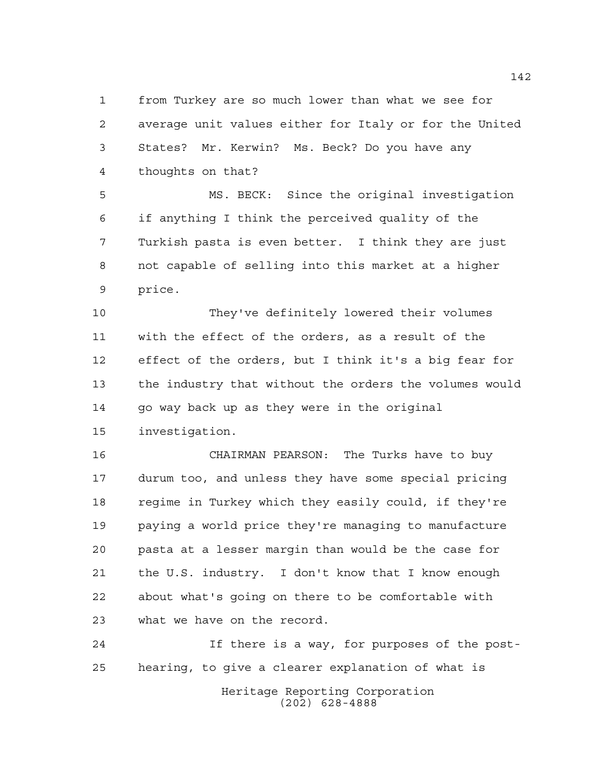from Turkey are so much lower than what we see for average unit values either for Italy or for the United States? Mr. Kerwin? Ms. Beck? Do you have any thoughts on that?

 MS. BECK: Since the original investigation if anything I think the perceived quality of the Turkish pasta is even better. I think they are just not capable of selling into this market at a higher price.

 They've definitely lowered their volumes with the effect of the orders, as a result of the effect of the orders, but I think it's a big fear for the industry that without the orders the volumes would 14 go way back up as they were in the original investigation.

 CHAIRMAN PEARSON: The Turks have to buy durum too, and unless they have some special pricing regime in Turkey which they easily could, if they're paying a world price they're managing to manufacture pasta at a lesser margin than would be the case for the U.S. industry. I don't know that I know enough about what's going on there to be comfortable with what we have on the record.

 If there is a way, for purposes of the post-hearing, to give a clearer explanation of what is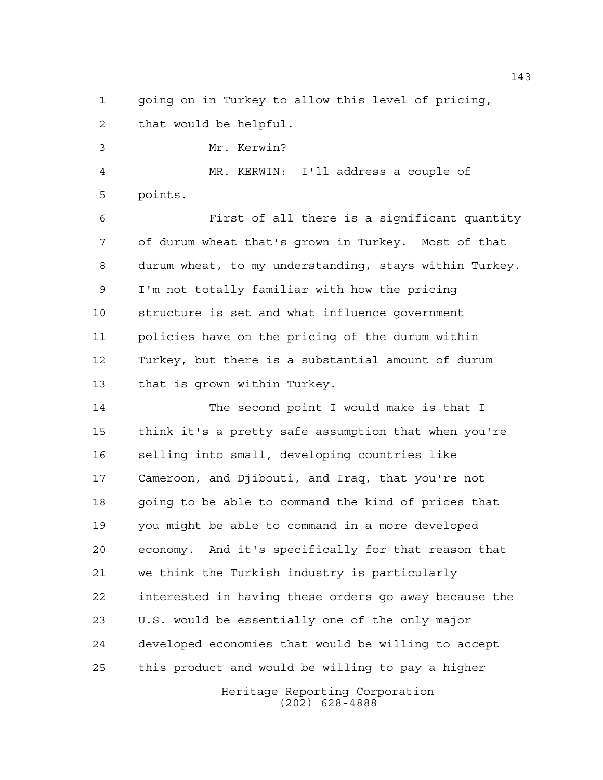going on in Turkey to allow this level of pricing, that would be helpful.

Mr. Kerwin?

 MR. KERWIN: I'll address a couple of points.

 First of all there is a significant quantity of durum wheat that's grown in Turkey. Most of that durum wheat, to my understanding, stays within Turkey. I'm not totally familiar with how the pricing structure is set and what influence government policies have on the pricing of the durum within Turkey, but there is a substantial amount of durum that is grown within Turkey.

 The second point I would make is that I think it's a pretty safe assumption that when you're selling into small, developing countries like Cameroon, and Djibouti, and Iraq, that you're not going to be able to command the kind of prices that you might be able to command in a more developed economy. And it's specifically for that reason that we think the Turkish industry is particularly interested in having these orders go away because the U.S. would be essentially one of the only major developed economies that would be willing to accept this product and would be willing to pay a higher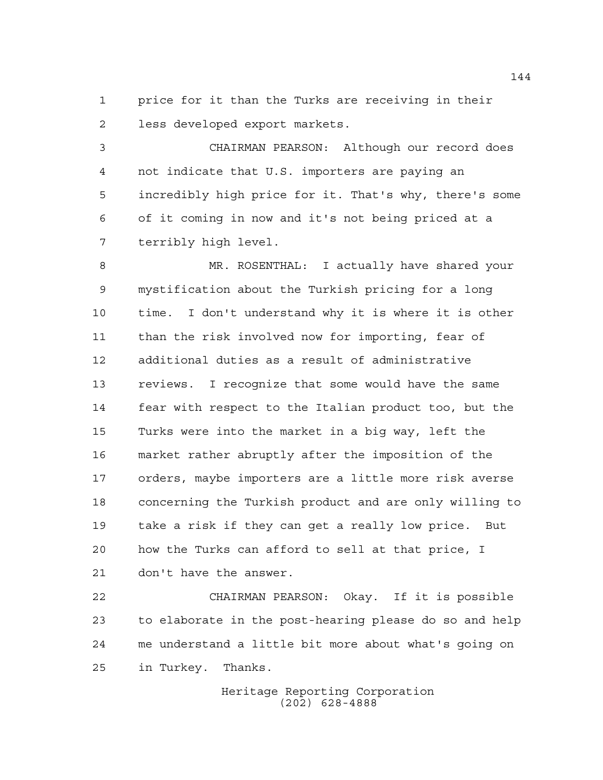price for it than the Turks are receiving in their less developed export markets.

 CHAIRMAN PEARSON: Although our record does not indicate that U.S. importers are paying an incredibly high price for it. That's why, there's some of it coming in now and it's not being priced at a terribly high level.

 MR. ROSENTHAL: I actually have shared your mystification about the Turkish pricing for a long time. I don't understand why it is where it is other than the risk involved now for importing, fear of additional duties as a result of administrative reviews. I recognize that some would have the same fear with respect to the Italian product too, but the Turks were into the market in a big way, left the market rather abruptly after the imposition of the orders, maybe importers are a little more risk averse concerning the Turkish product and are only willing to take a risk if they can get a really low price. But how the Turks can afford to sell at that price, I don't have the answer.

 CHAIRMAN PEARSON: Okay. If it is possible to elaborate in the post-hearing please do so and help me understand a little bit more about what's going on in Turkey. Thanks.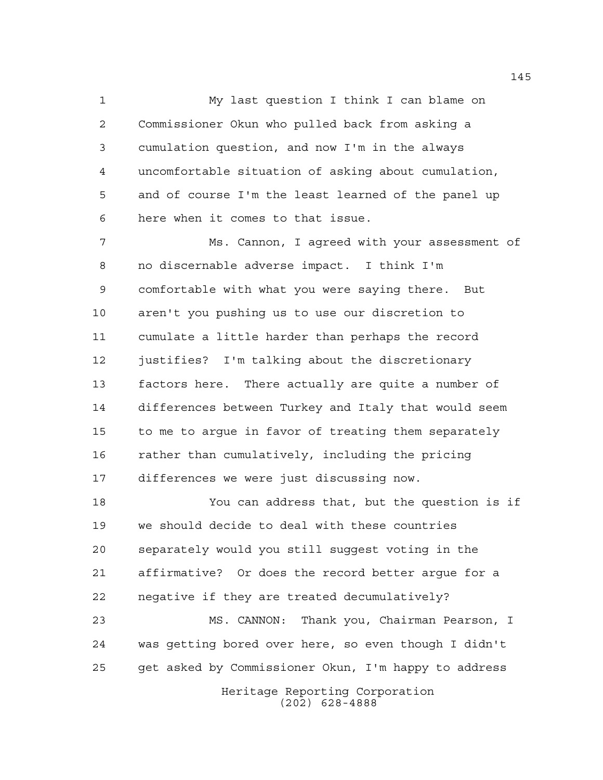My last question I think I can blame on Commissioner Okun who pulled back from asking a cumulation question, and now I'm in the always uncomfortable situation of asking about cumulation, and of course I'm the least learned of the panel up here when it comes to that issue.

 Ms. Cannon, I agreed with your assessment of no discernable adverse impact. I think I'm comfortable with what you were saying there. But aren't you pushing us to use our discretion to cumulate a little harder than perhaps the record justifies? I'm talking about the discretionary factors here. There actually are quite a number of differences between Turkey and Italy that would seem to me to argue in favor of treating them separately rather than cumulatively, including the pricing differences we were just discussing now.

 You can address that, but the question is if we should decide to deal with these countries separately would you still suggest voting in the affirmative? Or does the record better argue for a negative if they are treated decumulatively?

 MS. CANNON: Thank you, Chairman Pearson, I was getting bored over here, so even though I didn't get asked by Commissioner Okun, I'm happy to address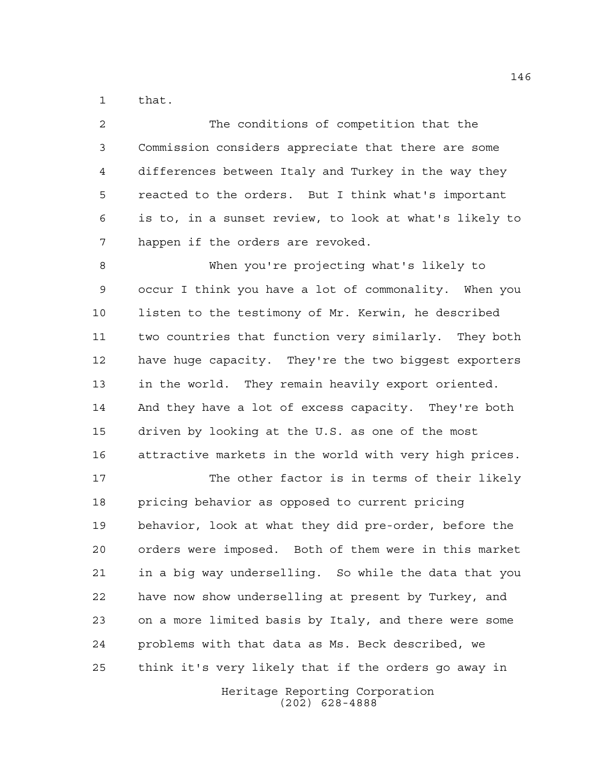that.

| $\overline{2}$ | The conditions of competition that the                 |
|----------------|--------------------------------------------------------|
| 3              | Commission considers appreciate that there are some    |
| 4              | differences between Italy and Turkey in the way they   |
| -5             | reacted to the orders. But I think what's important    |
| 6              | is to, in a sunset review, to look at what's likely to |
|                | happen if the orders are revoked.                      |

 When you're projecting what's likely to occur I think you have a lot of commonality. When you listen to the testimony of Mr. Kerwin, he described two countries that function very similarly. They both have huge capacity. They're the two biggest exporters in the world. They remain heavily export oriented. And they have a lot of excess capacity. They're both driven by looking at the U.S. as one of the most attractive markets in the world with very high prices.

 The other factor is in terms of their likely pricing behavior as opposed to current pricing behavior, look at what they did pre-order, before the orders were imposed. Both of them were in this market in a big way underselling. So while the data that you have now show underselling at present by Turkey, and on a more limited basis by Italy, and there were some problems with that data as Ms. Beck described, we think it's very likely that if the orders go away in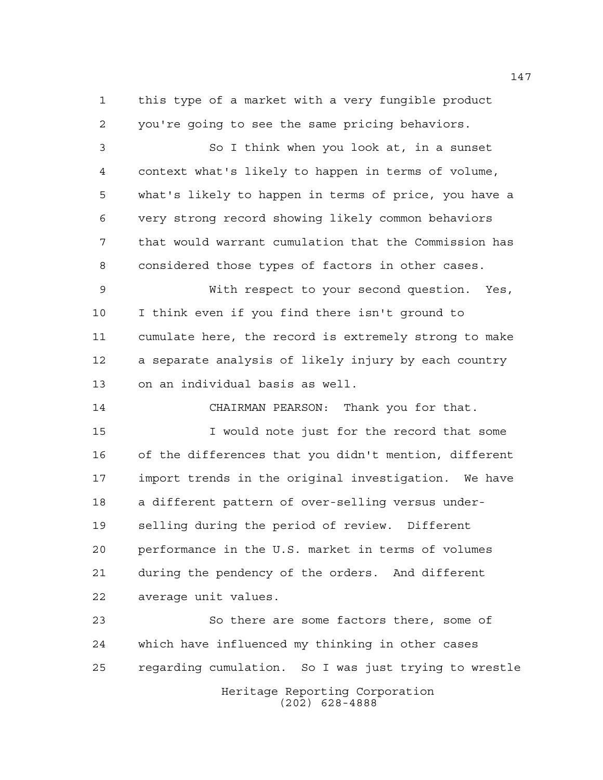this type of a market with a very fungible product you're going to see the same pricing behaviors.

 So I think when you look at, in a sunset context what's likely to happen in terms of volume, what's likely to happen in terms of price, you have a very strong record showing likely common behaviors that would warrant cumulation that the Commission has considered those types of factors in other cases.

 With respect to your second question. Yes, I think even if you find there isn't ground to cumulate here, the record is extremely strong to make a separate analysis of likely injury by each country on an individual basis as well.

CHAIRMAN PEARSON: Thank you for that.

 I would note just for the record that some of the differences that you didn't mention, different import trends in the original investigation. We have a different pattern of over-selling versus under- selling during the period of review. Different performance in the U.S. market in terms of volumes during the pendency of the orders. And different average unit values.

Heritage Reporting Corporation (202) 628-4888 So there are some factors there, some of which have influenced my thinking in other cases regarding cumulation. So I was just trying to wrestle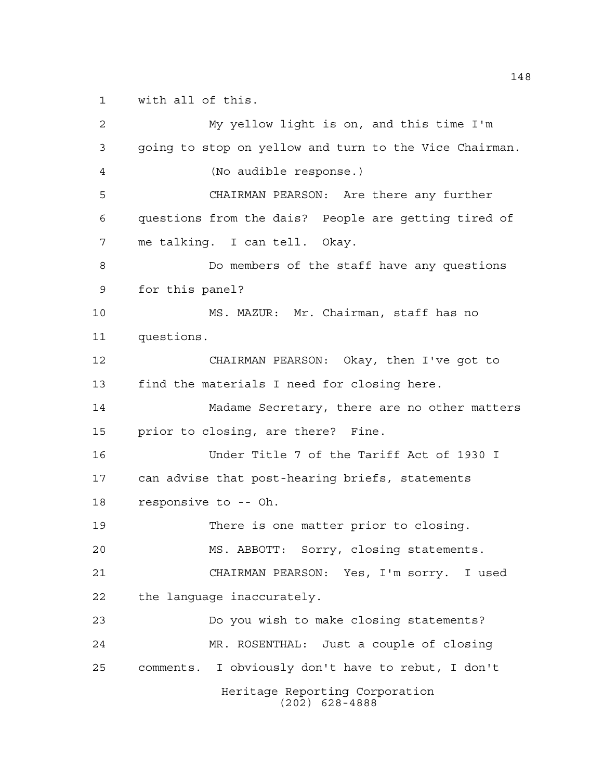with all of this.

Heritage Reporting Corporation (202) 628-4888 My yellow light is on, and this time I'm going to stop on yellow and turn to the Vice Chairman. (No audible response.) CHAIRMAN PEARSON: Are there any further questions from the dais? People are getting tired of me talking. I can tell. Okay. Do members of the staff have any questions for this panel? MS. MAZUR: Mr. Chairman, staff has no questions. CHAIRMAN PEARSON: Okay, then I've got to find the materials I need for closing here. Madame Secretary, there are no other matters prior to closing, are there? Fine. Under Title 7 of the Tariff Act of 1930 I can advise that post-hearing briefs, statements responsive to -- Oh. There is one matter prior to closing. MS. ABBOTT: Sorry, closing statements. CHAIRMAN PEARSON: Yes, I'm sorry. I used the language inaccurately. Do you wish to make closing statements? MR. ROSENTHAL: Just a couple of closing comments. I obviously don't have to rebut, I don't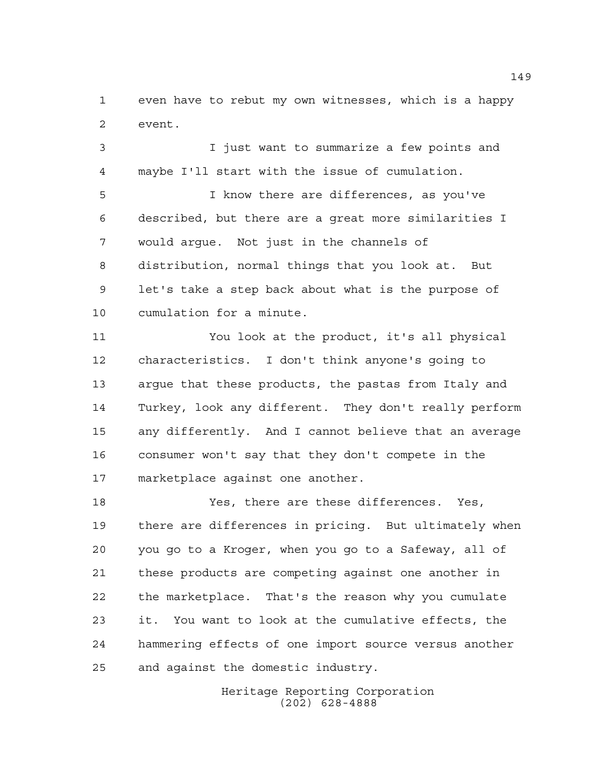even have to rebut my own witnesses, which is a happy event.

 I just want to summarize a few points and maybe I'll start with the issue of cumulation.

 I know there are differences, as you've described, but there are a great more similarities I would argue. Not just in the channels of distribution, normal things that you look at. But let's take a step back about what is the purpose of cumulation for a minute.

 You look at the product, it's all physical characteristics. I don't think anyone's going to argue that these products, the pastas from Italy and Turkey, look any different. They don't really perform any differently. And I cannot believe that an average consumer won't say that they don't compete in the marketplace against one another.

 Yes, there are these differences. Yes, there are differences in pricing. But ultimately when you go to a Kroger, when you go to a Safeway, all of these products are competing against one another in the marketplace. That's the reason why you cumulate it. You want to look at the cumulative effects, the hammering effects of one import source versus another and against the domestic industry.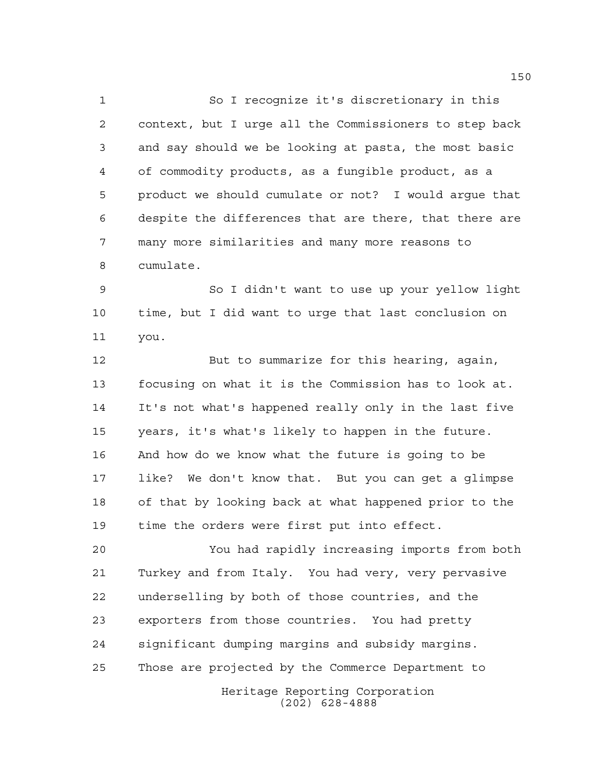So I recognize it's discretionary in this context, but I urge all the Commissioners to step back and say should we be looking at pasta, the most basic of commodity products, as a fungible product, as a product we should cumulate or not? I would argue that despite the differences that are there, that there are many more similarities and many more reasons to cumulate.

 So I didn't want to use up your yellow light time, but I did want to urge that last conclusion on you.

12 But to summarize for this hearing, again, focusing on what it is the Commission has to look at. It's not what's happened really only in the last five years, it's what's likely to happen in the future. And how do we know what the future is going to be like? We don't know that. But you can get a glimpse of that by looking back at what happened prior to the time the orders were first put into effect.

 You had rapidly increasing imports from both Turkey and from Italy. You had very, very pervasive underselling by both of those countries, and the exporters from those countries. You had pretty significant dumping margins and subsidy margins. Those are projected by the Commerce Department to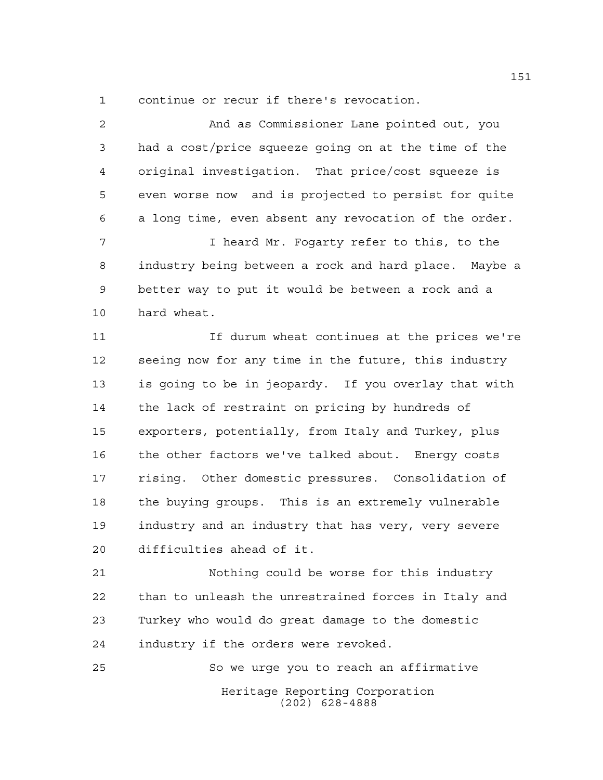continue or recur if there's revocation.

 And as Commissioner Lane pointed out, you had a cost/price squeeze going on at the time of the original investigation. That price/cost squeeze is even worse now and is projected to persist for quite a long time, even absent any revocation of the order. I heard Mr. Fogarty refer to this, to the industry being between a rock and hard place. Maybe a better way to put it would be between a rock and a hard wheat. If durum wheat continues at the prices we're seeing now for any time in the future, this industry is going to be in jeopardy. If you overlay that with the lack of restraint on pricing by hundreds of exporters, potentially, from Italy and Turkey, plus the other factors we've talked about. Energy costs rising. Other domestic pressures. Consolidation of the buying groups. This is an extremely vulnerable industry and an industry that has very, very severe difficulties ahead of it. Nothing could be worse for this industry than to unleash the unrestrained forces in Italy and Turkey who would do great damage to the domestic industry if the orders were revoked. So we urge you to reach an affirmative

> Heritage Reporting Corporation (202) 628-4888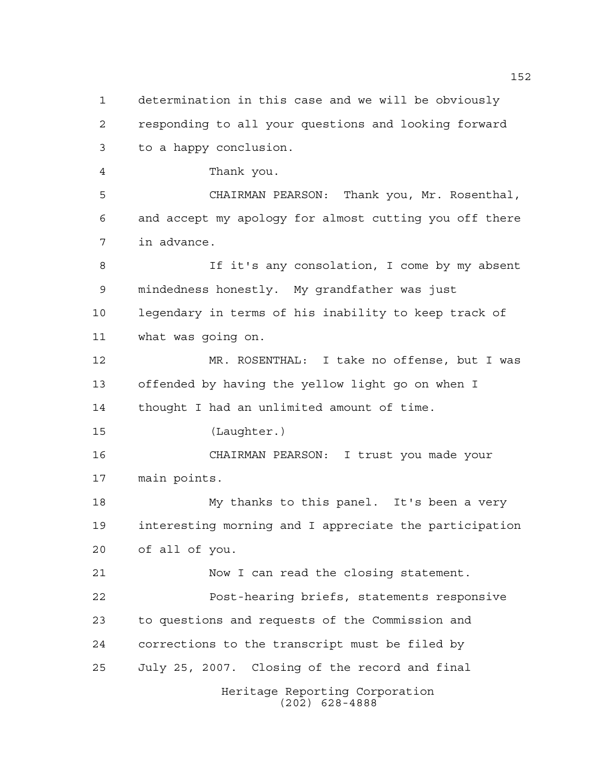Heritage Reporting Corporation determination in this case and we will be obviously responding to all your questions and looking forward to a happy conclusion. Thank you. CHAIRMAN PEARSON: Thank you, Mr. Rosenthal, and accept my apology for almost cutting you off there in advance. If it's any consolation, I come by my absent mindedness honestly. My grandfather was just legendary in terms of his inability to keep track of what was going on. MR. ROSENTHAL: I take no offense, but I was offended by having the yellow light go on when I thought I had an unlimited amount of time. (Laughter.) CHAIRMAN PEARSON: I trust you made your main points. My thanks to this panel. It's been a very interesting morning and I appreciate the participation of all of you. Now I can read the closing statement. Post-hearing briefs, statements responsive to questions and requests of the Commission and corrections to the transcript must be filed by July 25, 2007. Closing of the record and final

(202) 628-4888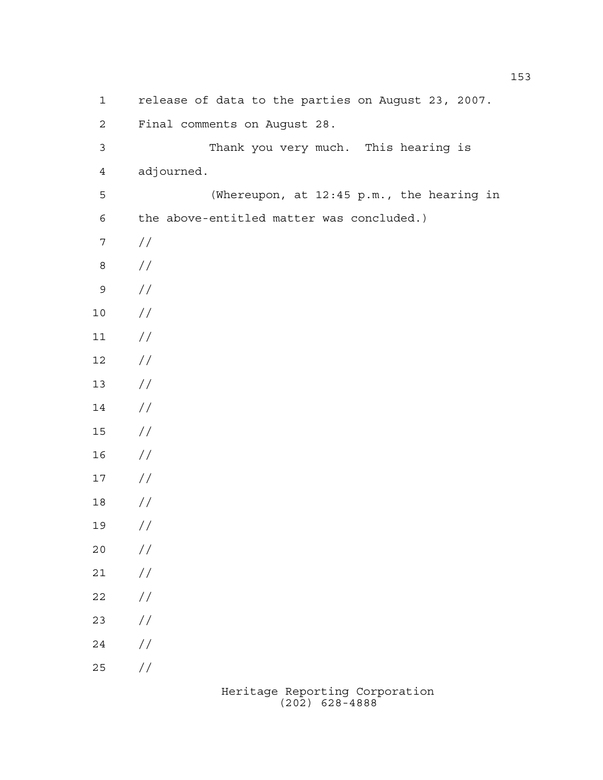release of data to the parties on August 23, 2007. Final comments on August 28. Thank you very much. This hearing is adjourned. (Whereupon, at 12:45 p.m., the hearing in the above-entitled matter was concluded.) // // //  $10 /$  $11 /$  $12 /$  //  $14 /$  // // // // //  $20 /$  $21 /$  $22 / /$  // // //